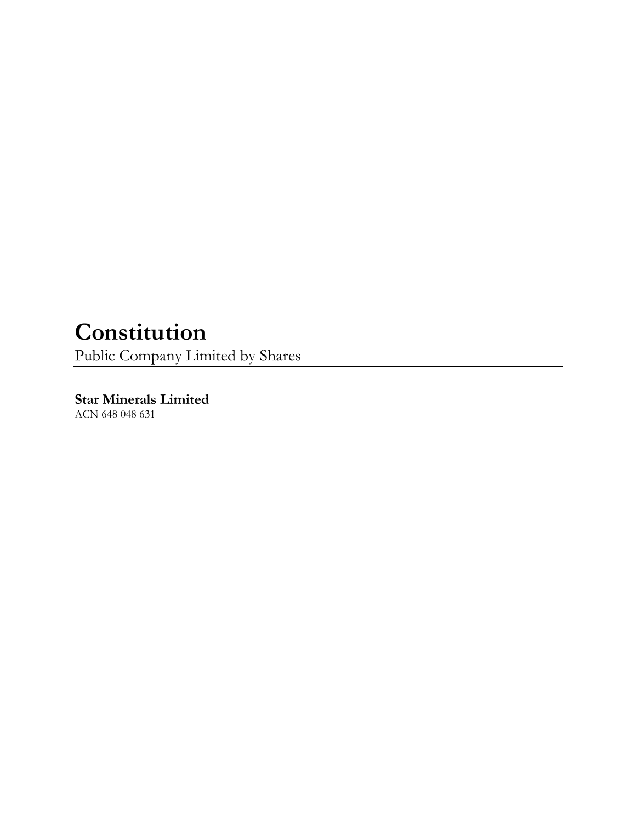# **Constitution**

Public Company Limited by Shares

**Star Minerals Limited** ACN 648 048 631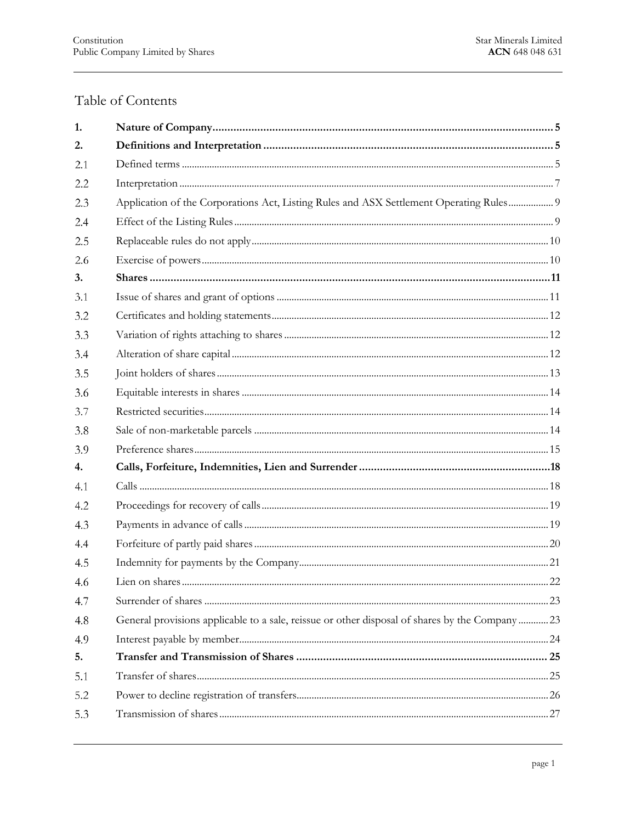# Table of Contents

| 1.  |                                                                                                |  |
|-----|------------------------------------------------------------------------------------------------|--|
| 2.  |                                                                                                |  |
| 2.1 |                                                                                                |  |
| 2.2 |                                                                                                |  |
| 2.3 | Application of the Corporations Act, Listing Rules and ASX Settlement Operating Rules 9        |  |
| 2.4 |                                                                                                |  |
| 2.5 |                                                                                                |  |
| 2.6 |                                                                                                |  |
| 3.  |                                                                                                |  |
| 3.1 |                                                                                                |  |
| 3.2 |                                                                                                |  |
| 3.3 |                                                                                                |  |
| 3.4 |                                                                                                |  |
| 3.5 |                                                                                                |  |
| 3.6 |                                                                                                |  |
| 3.7 |                                                                                                |  |
| 3.8 |                                                                                                |  |
| 3.9 |                                                                                                |  |
| 4.  |                                                                                                |  |
| 4.1 |                                                                                                |  |
| 4.2 |                                                                                                |  |
| 4.3 |                                                                                                |  |
| 4.4 |                                                                                                |  |
| 4.5 |                                                                                                |  |
| 4.6 |                                                                                                |  |
| 4.7 |                                                                                                |  |
| 4.8 | General provisions applicable to a sale, reissue or other disposal of shares by the Company 23 |  |
| 4.9 |                                                                                                |  |
| 5.  |                                                                                                |  |
| 5.1 |                                                                                                |  |
| 5.2 |                                                                                                |  |
| 5.3 |                                                                                                |  |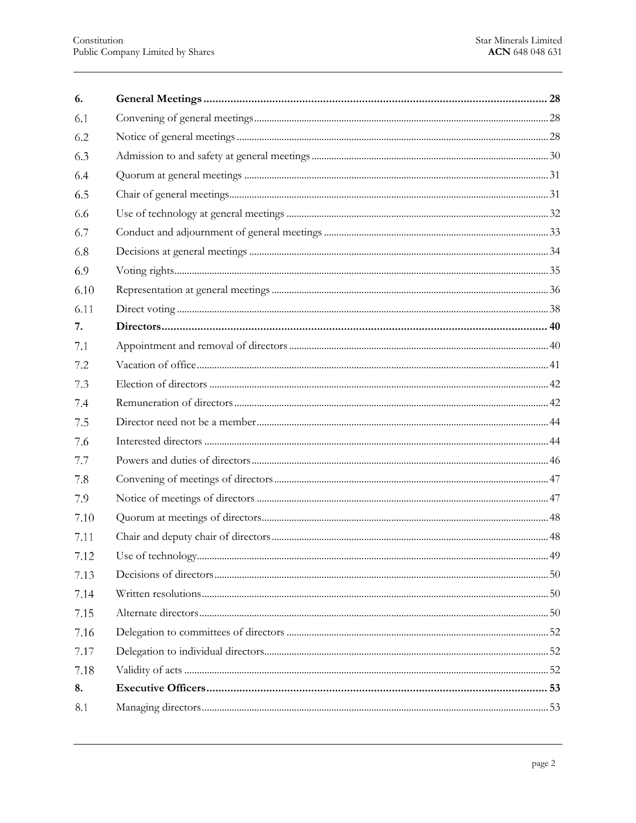| 6.   |  |
|------|--|
| 6.1  |  |
| 6.2  |  |
| 6.3  |  |
| 6.4  |  |
| 6.5  |  |
| 6.6  |  |
| 6.7  |  |
| 6.8  |  |
| 6.9  |  |
| 6.10 |  |
| 6.11 |  |
| 7.   |  |
| 7.1  |  |
| 7.2  |  |
| 7.3  |  |
| 7.4  |  |
| 7.5  |  |
| 7.6  |  |
| 7.7  |  |
| 7.8  |  |
| 7.9  |  |
| 7.10 |  |
| 7.11 |  |
| 7.12 |  |
| 7.13 |  |
| 7.14 |  |
| 7.15 |  |
| 7.16 |  |
| 7.17 |  |
| 7.18 |  |
| 8.   |  |
| 8.1  |  |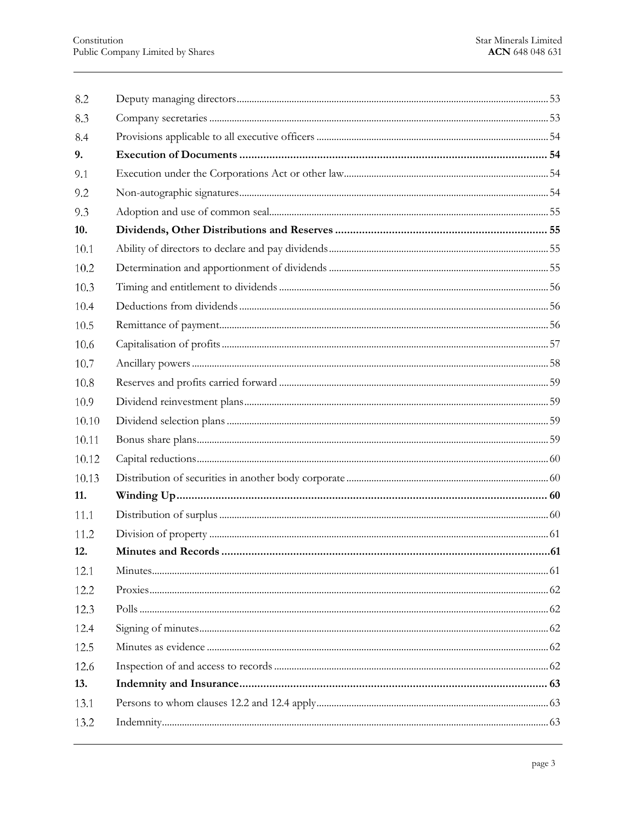| 8.2   |                      |    |
|-------|----------------------|----|
| 8.3   |                      |    |
| 8.4   |                      |    |
| 9.    |                      |    |
| 9.1   |                      |    |
| 9.2   |                      |    |
| 9.3   |                      |    |
| 10.   |                      |    |
| 10.1  |                      |    |
| 10.2  |                      |    |
| 10.3  |                      |    |
| 10.4  |                      |    |
| 10.5  |                      |    |
| 10.6  |                      |    |
| 10.7  |                      |    |
| 10.8  |                      |    |
| 10.9  |                      |    |
| 10.10 |                      |    |
| 10.11 |                      |    |
| 10.12 |                      |    |
| 10.13 |                      |    |
| 11.   |                      |    |
| 11.1  |                      |    |
| 11.2  |                      |    |
| 12.   | Minutes and Records. | 61 |
| 12.1  |                      |    |
| 12.2  |                      |    |
| 12.3  |                      |    |
| 12.4  |                      |    |
| 12.5  |                      |    |
| 12.6  |                      |    |
| 13.   |                      |    |
| 13.1  |                      |    |
| 13.2  |                      |    |
|       |                      |    |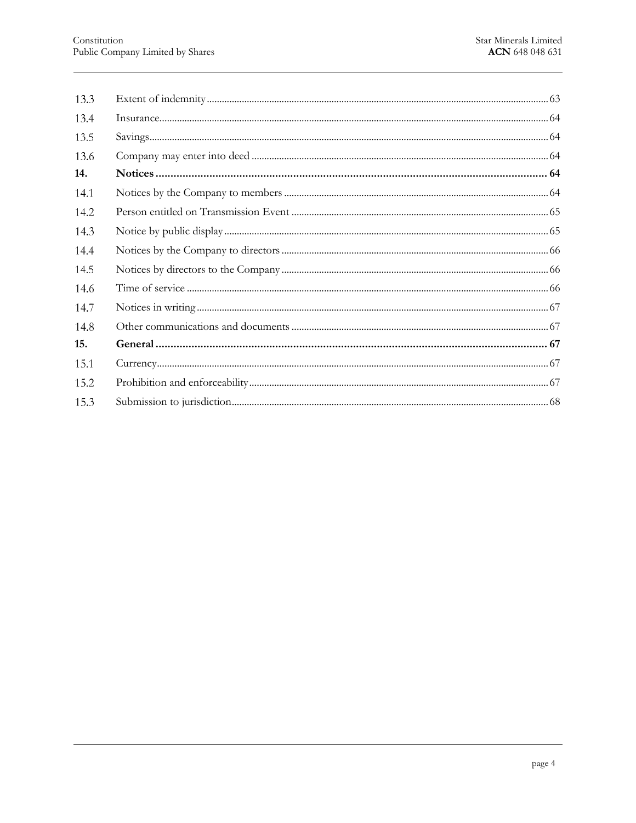| 13.3 |  |
|------|--|
| 13.4 |  |
| 13.5 |  |
| 13.6 |  |
| 14.  |  |
| 14.1 |  |
| 14.2 |  |
| 14.3 |  |
| 14.4 |  |
| 14.5 |  |
| 14.6 |  |
| 14.7 |  |
| 14.8 |  |
| 15.  |  |
| 15.1 |  |
| 15.2 |  |
| 15.3 |  |
|      |  |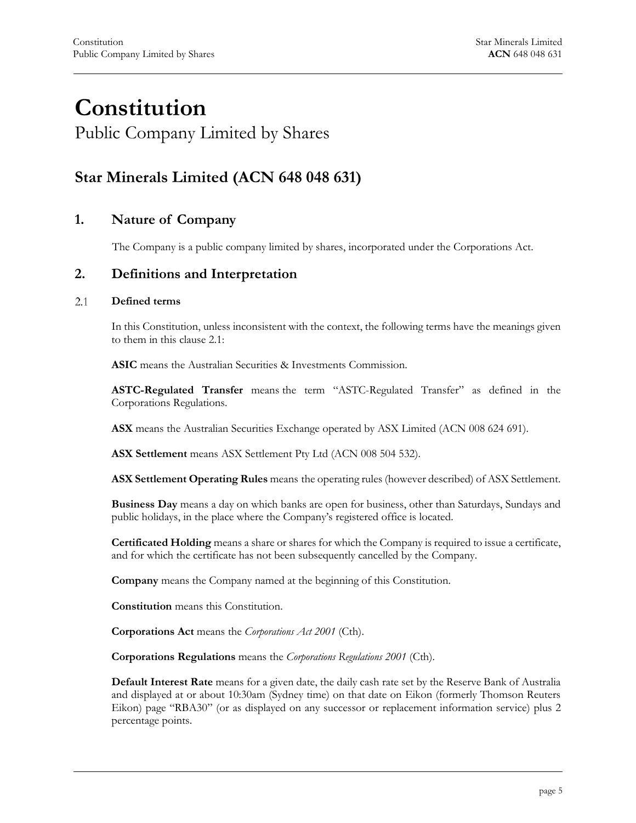# **Constitution** Public Company Limited by Shares

# **Star Minerals Limited (ACN 648 048 631)**

# <span id="page-5-0"></span>**1. Nature of Company**

The Company is a public company limited by shares, incorporated under the Corporations Act.

### <span id="page-5-1"></span>**2. Definitions and Interpretation**

#### <span id="page-5-2"></span> $2.1$ **Defined terms**

In this Constitution, unless inconsistent with the context, the following terms have the meanings given to them in this clause [2.1:](#page-5-2)

**ASIC** means the Australian Securities & Investments Commission.

**ASTC-Regulated Transfer** means the term "ASTC-Regulated Transfer" as defined in the Corporations Regulations.

**ASX** means the Australian Securities Exchange operated by ASX Limited (ACN 008 624 691).

**ASX Settlement** means ASX Settlement Pty Ltd (ACN 008 504 532).

**ASX Settlement Operating Rules** means the operating rules (however described) of ASX Settlement.

**Business Day** means a day on which banks are open for business, other than Saturdays, Sundays and public holidays, in the place where the Company's registered office is located.

**Certificated Holding** means a share or shares for which the Company is required to issue a certificate, and for which the certificate has not been subsequently cancelled by the Company.

**Company** means the Company named at the beginning of this Constitution.

**Constitution** means this Constitution.

**Corporations Act** means the *Corporations Act 2001* (Cth).

**Corporations Regulations** means the *Corporations Regulations 2001* (Cth).

**Default Interest Rate** means for a given date, the daily cash rate set by the Reserve Bank of Australia and displayed at or about 10:30am (Sydney time) on that date on Eikon (formerly Thomson Reuters Eikon) page "RBA30" (or as displayed on any successor or replacement information service) plus 2 percentage points.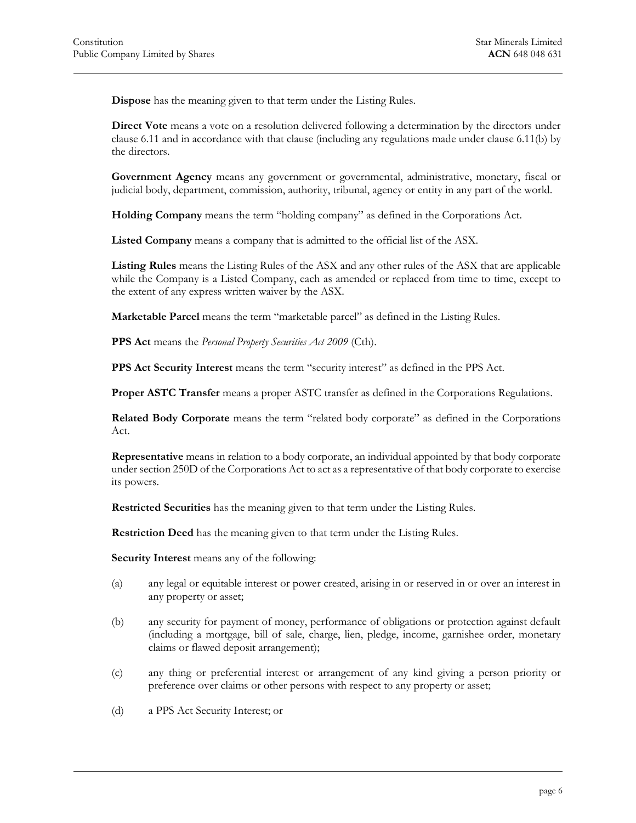**Dispose** has the meaning given to that term under the Listing Rules.

**Direct Vote** means a vote on a resolution delivered following a determination by the directors under claus[e 6.11](#page-38-0) and in accordance with that clause (including any regulations made under clause [6.11\(b\)](#page-38-1) by the directors.

**Government Agency** means any government or governmental, administrative, monetary, fiscal or judicial body, department, commission, authority, tribunal, agency or entity in any part of the world.

**Holding Company** means the term "holding company" as defined in the Corporations Act.

**Listed Company** means a company that is admitted to the official list of the ASX.

**Listing Rules** means the Listing Rules of the ASX and any other rules of the ASX that are applicable while the Company is a Listed Company, each as amended or replaced from time to time, except to the extent of any express written waiver by the ASX.

**Marketable Parcel** means the term "marketable parcel" as defined in the Listing Rules.

**PPS Act** means the *Personal Property Securities Act 2009* (Cth).

**PPS Act Security Interest** means the term "security interest" as defined in the PPS Act.

**Proper ASTC Transfer** means a proper ASTC transfer as defined in the Corporations Regulations.

**Related Body Corporate** means the term "related body corporate" as defined in the Corporations Act.

**Representative** means in relation to a body corporate, an individual appointed by that body corporate under section 250D of the Corporations Act to act as a representative of that body corporate to exercise its powers.

**Restricted Securities** has the meaning given to that term under the Listing Rules.

**Restriction Deed** has the meaning given to that term under the Listing Rules.

<span id="page-6-0"></span>**Security Interest** means any of the following:

- (a) any legal or equitable interest or power created, arising in or reserved in or over an interest in any property or asset;
- <span id="page-6-1"></span>(b) any security for payment of money, performance of obligations or protection against default (including a mortgage, bill of sale, charge, lien, pledge, income, garnishee order, monetary claims or flawed deposit arrangement);
- <span id="page-6-2"></span>(c) any thing or preferential interest or arrangement of any kind giving a person priority or preference over claims or other persons with respect to any property or asset;
- <span id="page-6-3"></span>(d) a PPS Act Security Interest; or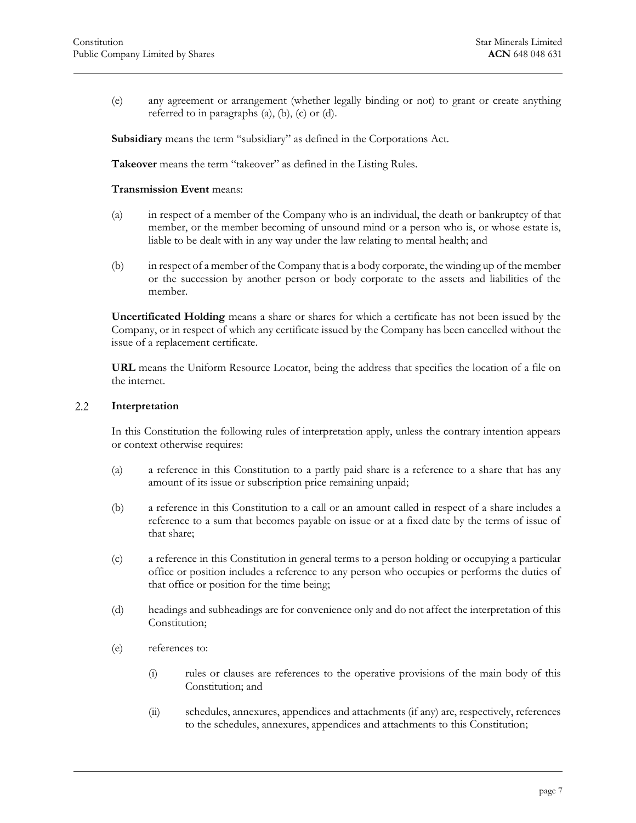(e) any agreement or arrangement (whether legally binding or not) to grant or create anything referred to in paragraphs [\(a\),](#page-6-0) [\(b\),](#page-6-1) [\(c\)](#page-6-2) or [\(d\).](#page-6-3)

**Subsidiary** means the term "subsidiary" as defined in the Corporations Act.

**Takeover** means the term "takeover" as defined in the Listing Rules.

**Transmission Event** means:

- (a) in respect of a member of the Company who is an individual, the death or bankruptcy of that member, or the member becoming of unsound mind or a person who is, or whose estate is, liable to be dealt with in any way under the law relating to mental health; and
- (b) in respect of a member of the Company that is a body corporate, the winding up of the member or the succession by another person or body corporate to the assets and liabilities of the member.

**Uncertificated Holding** means a share or shares for which a certificate has not been issued by the Company, or in respect of which any certificate issued by the Company has been cancelled without the issue of a replacement certificate.

<span id="page-7-0"></span>**URL** means the Uniform Resource Locator, being the address that specifies the location of a file on the internet.

#### $2.2\,$ **Interpretation**

In this Constitution the following rules of interpretation apply, unless the contrary intention appears or context otherwise requires:

- (a) a reference in this Constitution to a partly paid share is a reference to a share that has any amount of its issue or subscription price remaining unpaid;
- (b) a reference in this Constitution to a call or an amount called in respect of a share includes a reference to a sum that becomes payable on issue or at a fixed date by the terms of issue of that share;
- (c) a reference in this Constitution in general terms to a person holding or occupying a particular office or position includes a reference to any person who occupies or performs the duties of that office or position for the time being;
- (d) headings and subheadings are for convenience only and do not affect the interpretation of this Constitution;
- (e) references to:
	- (i) rules or clauses are references to the operative provisions of the main body of this Constitution; and
	- (ii) schedules, annexures, appendices and attachments (if any) are, respectively, references to the schedules, annexures, appendices and attachments to this Constitution;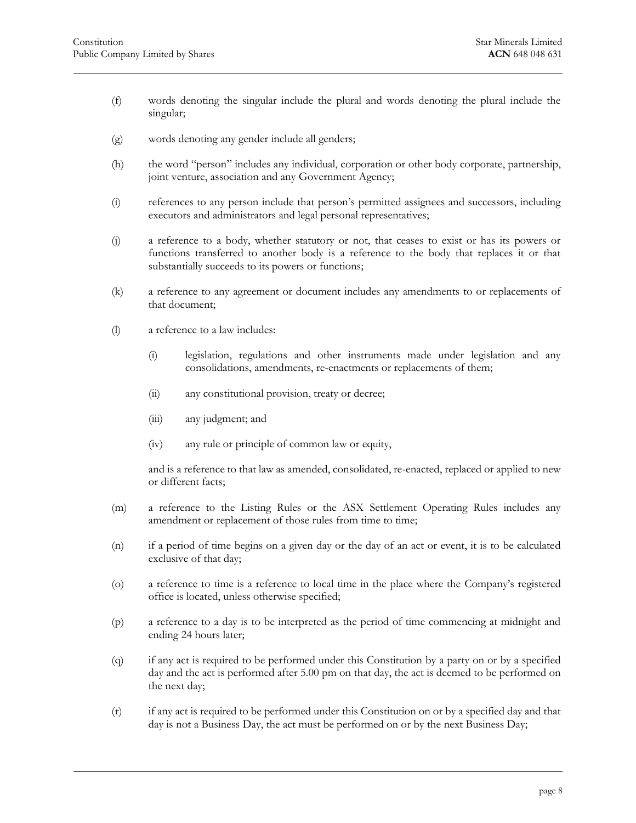- (f) words denoting the singular include the plural and words denoting the plural include the singular;
- (g) words denoting any gender include all genders;
- (h) the word "person" includes any individual, corporation or other body corporate, partnership, joint venture, association and any Government Agency;
- (i) references to any person include that person's permitted assignees and successors, including executors and administrators and legal personal representatives;
- (j) a reference to a body, whether statutory or not, that ceases to exist or has its powers or functions transferred to another body is a reference to the body that replaces it or that substantially succeeds to its powers or functions;
- (k) a reference to any agreement or document includes any amendments to or replacements of that document;
- (l) a reference to a law includes:
	- (i) legislation, regulations and other instruments made under legislation and any consolidations, amendments, re-enactments or replacements of them;
	- (ii) any constitutional provision, treaty or decree;
	- (iii) any judgment; and
	- (iv) any rule or principle of common law or equity,

and is a reference to that law as amended, consolidated, re-enacted, replaced or applied to new or different facts;

- (m) a reference to the Listing Rules or the ASX Settlement Operating Rules includes any amendment or replacement of those rules from time to time;
- (n) if a period of time begins on a given day or the day of an act or event, it is to be calculated exclusive of that day;
- (o) a reference to time is a reference to local time in the place where the Company's registered office is located, unless otherwise specified;
- (p) a reference to a day is to be interpreted as the period of time commencing at midnight and ending 24 hours later;
- (q) if any act is required to be performed under this Constitution by a party on or by a specified day and the act is performed after 5.00 pm on that day, the act is deemed to be performed on the next day;
- (r) if any act is required to be performed under this Constitution on or by a specified day and that day is not a Business Day, the act must be performed on or by the next Business Day;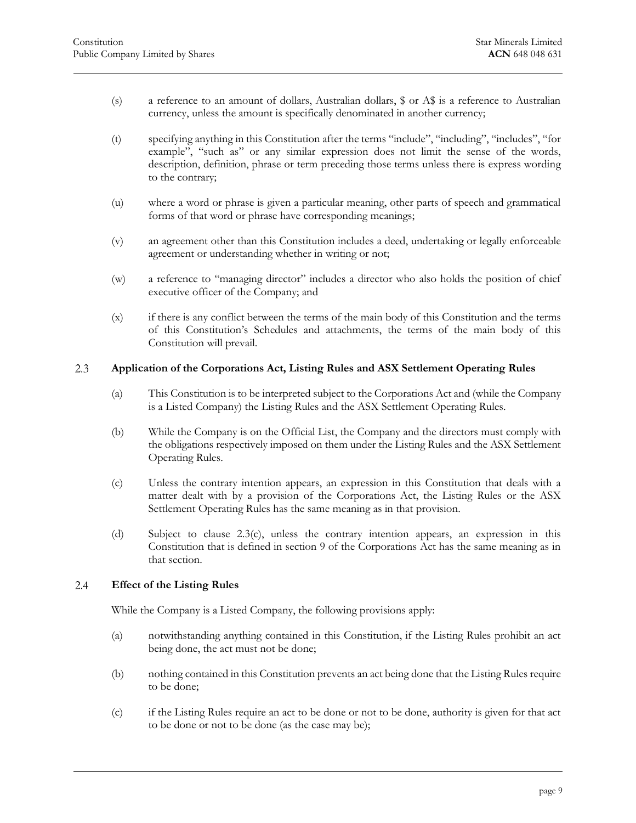- (s) a reference to an amount of dollars, Australian dollars, \$ or A\$ is a reference to Australian currency, unless the amount is specifically denominated in another currency;
- (t) specifying anything in this Constitution after the terms "include", "including", "includes", "for example", "such as" or any similar expression does not limit the sense of the words, description, definition, phrase or term preceding those terms unless there is express wording to the contrary;
- (u) where a word or phrase is given a particular meaning, other parts of speech and grammatical forms of that word or phrase have corresponding meanings;
- (v) an agreement other than this Constitution includes a deed, undertaking or legally enforceable agreement or understanding whether in writing or not;
- (w) a reference to "managing director" includes a director who also holds the position of chief executive officer of the Company; and
- (x) if there is any conflict between the terms of the main body of this Constitution and the terms of this Constitution's Schedules and attachments, the terms of the main body of this Constitution will prevail.

#### <span id="page-9-0"></span> $2.3$ **Application of the Corporations Act, Listing Rules and ASX Settlement Operating Rules**

- (a) This Constitution is to be interpreted subject to the Corporations Act and (while the Company is a Listed Company) the Listing Rules and the ASX Settlement Operating Rules.
- (b) While the Company is on the Official List, the Company and the directors must comply with the obligations respectively imposed on them under the Listing Rules and the ASX Settlement Operating Rules.
- <span id="page-9-2"></span>(c) Unless the contrary intention appears, an expression in this Constitution that deals with a matter dealt with by a provision of the Corporations Act, the Listing Rules or the ASX Settlement Operating Rules has the same meaning as in that provision.
- (d) Subject to [clause 2.3\(c\),](#page-9-2) unless the contrary intention appears, an expression in this Constitution that is defined in section 9 of the Corporations Act has the same meaning as in that section.

#### <span id="page-9-1"></span>2.4 **Effect of the Listing Rules**

While the Company is a Listed Company, the following provisions apply:

- (a) notwithstanding anything contained in this Constitution, if the Listing Rules prohibit an act being done, the act must not be done;
- (b) nothing contained in this Constitution prevents an act being done that the Listing Rules require to be done;
- (c) if the Listing Rules require an act to be done or not to be done, authority is given for that act to be done or not to be done (as the case may be);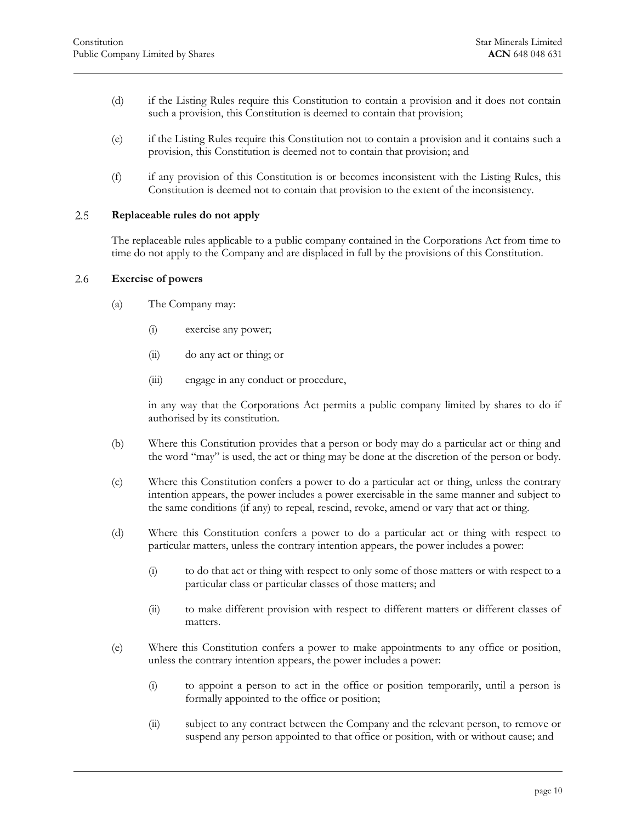- (d) if the Listing Rules require this Constitution to contain a provision and it does not contain such a provision, this Constitution is deemed to contain that provision;
- (e) if the Listing Rules require this Constitution not to contain a provision and it contains such a provision, this Constitution is deemed not to contain that provision; and
- <span id="page-10-0"></span>(f) if any provision of this Constitution is or becomes inconsistent with the Listing Rules, this Constitution is deemed not to contain that provision to the extent of the inconsistency.

#### 2.5 **Replaceable rules do not apply**

<span id="page-10-1"></span>The replaceable rules applicable to a public company contained in the Corporations Act from time to time do not apply to the Company and are displaced in full by the provisions of this Constitution.

#### 2.6 **Exercise of powers**

- (a) The Company may:
	- (i) exercise any power;
	- (ii) do any act or thing; or
	- (iii) engage in any conduct or procedure,

in any way that the Corporations Act permits a public company limited by shares to do if authorised by its constitution.

- (b) Where this Constitution provides that a person or body may do a particular act or thing and the word "may" is used, the act or thing may be done at the discretion of the person or body.
- (c) Where this Constitution confers a power to do a particular act or thing, unless the contrary intention appears, the power includes a power exercisable in the same manner and subject to the same conditions (if any) to repeal, rescind, revoke, amend or vary that act or thing.
- (d) Where this Constitution confers a power to do a particular act or thing with respect to particular matters, unless the contrary intention appears, the power includes a power:
	- (i) to do that act or thing with respect to only some of those matters or with respect to a particular class or particular classes of those matters; and
	- (ii) to make different provision with respect to different matters or different classes of matters.
- (e) Where this Constitution confers a power to make appointments to any office or position, unless the contrary intention appears, the power includes a power:
	- (i) to appoint a person to act in the office or position temporarily, until a person is formally appointed to the office or position;
	- (ii) subject to any contract between the Company and the relevant person, to remove or suspend any person appointed to that office or position, with or without cause; and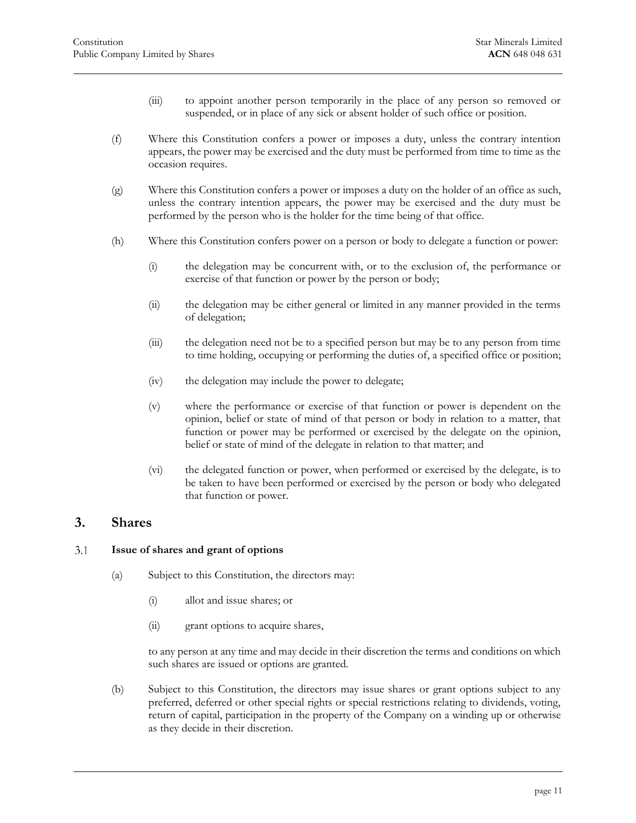- (iii) to appoint another person temporarily in the place of any person so removed or suspended, or in place of any sick or absent holder of such office or position.
- (f) Where this Constitution confers a power or imposes a duty, unless the contrary intention appears, the power may be exercised and the duty must be performed from time to time as the occasion requires.
- (g) Where this Constitution confers a power or imposes a duty on the holder of an office as such, unless the contrary intention appears, the power may be exercised and the duty must be performed by the person who is the holder for the time being of that office.
- (h) Where this Constitution confers power on a person or body to delegate a function or power:
	- (i) the delegation may be concurrent with, or to the exclusion of, the performance or exercise of that function or power by the person or body;
	- (ii) the delegation may be either general or limited in any manner provided in the terms of delegation;
	- (iii) the delegation need not be to a specified person but may be to any person from time to time holding, occupying or performing the duties of, a specified office or position;
	- (iv) the delegation may include the power to delegate;
	- (v) where the performance or exercise of that function or power is dependent on the opinion, belief or state of mind of that person or body in relation to a matter, that function or power may be performed or exercised by the delegate on the opinion, belief or state of mind of the delegate in relation to that matter; and
	- (vi) the delegated function or power, when performed or exercised by the delegate, is to be taken to have been performed or exercised by the person or body who delegated that function or power.

# <span id="page-11-0"></span>**3. Shares**

#### <span id="page-11-1"></span> $3.1$ **Issue of shares and grant of options**

- (a) Subject to this Constitution, the directors may:
	- (i) allot and issue shares; or
	- (ii) grant options to acquire shares,

to any person at any time and may decide in their discretion the terms and conditions on which such shares are issued or options are granted.

(b) Subject to this Constitution, the directors may issue shares or grant options subject to any preferred, deferred or other special rights or special restrictions relating to dividends, voting, return of capital, participation in the property of the Company on a winding up or otherwise as they decide in their discretion.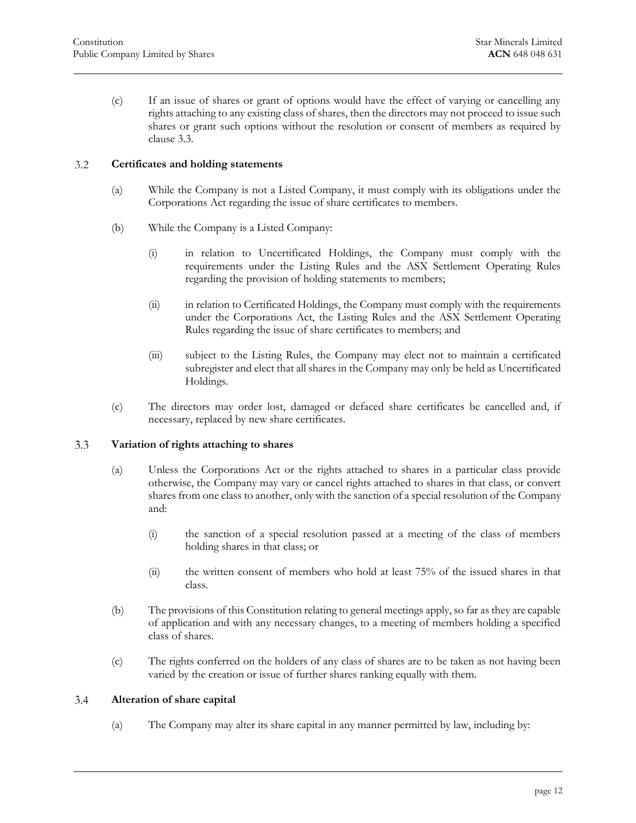(c) If an issue of shares or grant of options would have the effect of varying or cancelling any rights attaching to any existing class of shares, then the directors may not proceed to issue such shares or grant such options without the resolution or consent of members as required by [clause 3.3.](#page-12-1)

#### <span id="page-12-0"></span> $3.2$ **Certificates and holding statements**

- (a) While the Company is not a Listed Company, it must comply with its obligations under the Corporations Act regarding the issue of share certificates to members.
- <span id="page-12-4"></span>(b) While the Company is a Listed Company:
	- (i) in relation to Uncertificated Holdings, the Company must comply with the requirements under the Listing Rules and the ASX Settlement Operating Rules regarding the provision of holding statements to members;
	- (ii) in relation to Certificated Holdings, the Company must comply with the requirements under the Corporations Act, the Listing Rules and the ASX Settlement Operating Rules regarding the issue of share certificates to members; and
	- (iii) subject to the Listing Rules, the Company may elect not to maintain a certificated subregister and elect that all shares in the Company may only be held as Uncertificated Holdings.
- (c) The directors may order lost, damaged or defaced share certificates be cancelled and, if necessary, replaced by new share certificates.

#### <span id="page-12-1"></span>3.3 **Variation of rights attaching to shares**

- (a) Unless the Corporations Act or the rights attached to shares in a particular class provide otherwise, the Company may vary or cancel rights attached to shares in that class, or convert shares from one class to another, only with the sanction of a special resolution of the Company and:
	- (i) the sanction of a special resolution passed at a meeting of the class of members holding shares in that class; or
	- (ii) the written consent of members who hold at least 75% of the issued shares in that class.
- (b) The provisions of this Constitution relating to general meetings apply, so far as they are capable of application and with any necessary changes, to a meeting of members holding a specified class of shares.
- (c) The rights conferred on the holders of any class of shares are to be taken as not having been varied by the creation or issue of further shares ranking equally with them.

#### <span id="page-12-3"></span><span id="page-12-2"></span>3.4 **Alteration of share capital**

(a) The Company may alter its share capital in any manner permitted by law, including by: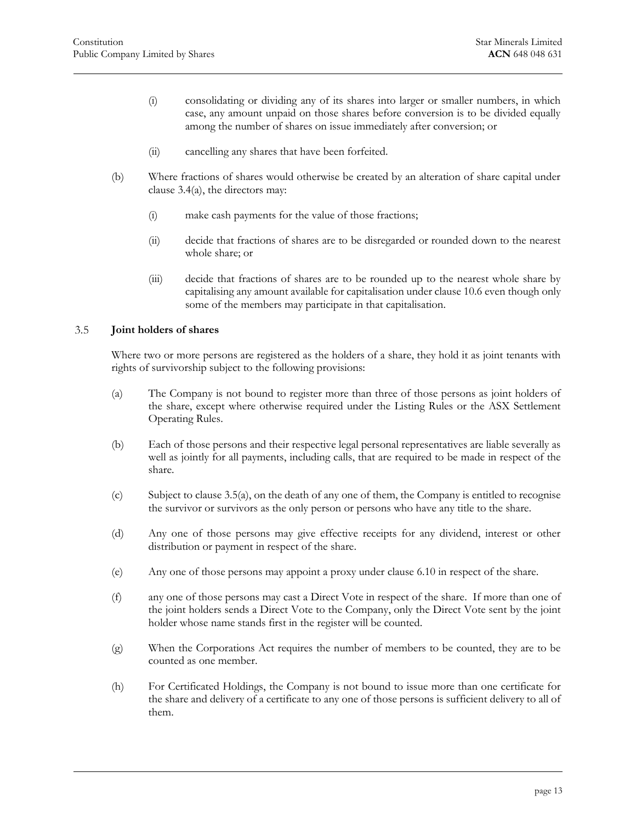- (i) consolidating or dividing any of its shares into larger or smaller numbers, in which case, any amount unpaid on those shares before conversion is to be divided equally among the number of shares on issue immediately after conversion; or
- (ii) cancelling any shares that have been forfeited.
- (b) Where fractions of shares would otherwise be created by an alteration of share capital under [clause 3.4\(a\),](#page-12-3) the directors may:
	- (i) make cash payments for the value of those fractions;
	- (ii) decide that fractions of shares are to be disregarded or rounded down to the nearest whole share; or
	- (iii) decide that fractions of shares are to be rounded up to the nearest whole share by capitalising any amount available for capitalisation unde[r clause 10.6](#page-57-0) even though only some of the members may participate in that capitalisation.

#### <span id="page-13-0"></span>3.5 **Joint holders of shares**

Where two or more persons are registered as the holders of a share, they hold it as joint tenants with rights of survivorship subject to the following provisions:

- (a) The Company is not bound to register more than three of those persons as joint holders of the share, except where otherwise required under the Listing Rules or the ASX Settlement Operating Rules.
- <span id="page-13-1"></span>(b) Each of those persons and their respective legal personal representatives are liable severally as well as jointly for all payments, including calls, that are required to be made in respect of the share.
- (c) Subject to [clause 3.5\(a\),](#page-13-1) on the death of any one of them, the Company is entitled to recognise the survivor or survivors as the only person or persons who have any title to the share.
- (d) Any one of those persons may give effective receipts for any dividend, interest or other distribution or payment in respect of the share.
- (e) Any one of those persons may appoint a proxy under [clause 6.10](#page-36-0) in respect of the share.
- (f) any one of those persons may cast a Direct Vote in respect of the share. If more than one of the joint holders sends a Direct Vote to the Company, only the Direct Vote sent by the joint holder whose name stands first in the register will be counted.
- (g) When the Corporations Act requires the number of members to be counted, they are to be counted as one member.
- (h) For Certificated Holdings, the Company is not bound to issue more than one certificate for the share and delivery of a certificate to any one of those persons is sufficient delivery to all of them.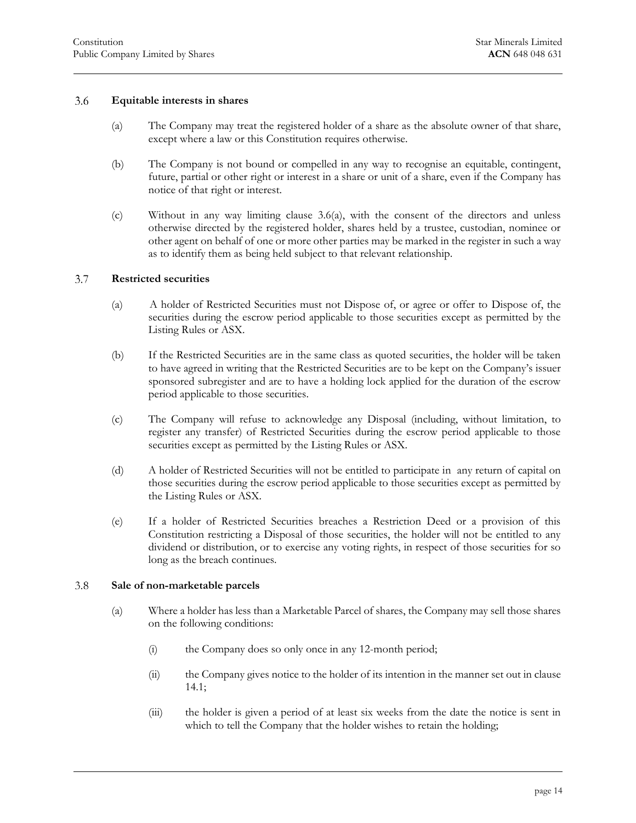#### <span id="page-14-3"></span>3.6 **Equitable interests in shares**

- <span id="page-14-0"></span>(a) The Company may treat the registered holder of a share as the absolute owner of that share, except where a law or this Constitution requires otherwise.
- (b) The Company is not bound or compelled in any way to recognise an equitable, contingent, future, partial or other right or interest in a share or unit of a share, even if the Company has notice of that right or interest.
- (c) Without in any way limiting [clause 3.6\(a\),](#page-14-3) with the consent of the directors and unless otherwise directed by the registered holder, shares held by a trustee, custodian, nominee or other agent on behalf of one or more other parties may be marked in the register in such a way as to identify them as being held subject to that relevant relationship.

#### <span id="page-14-1"></span> $3.7$ **Restricted securities**

- (a) A holder of Restricted Securities must not Dispose of, or agree or offer to Dispose of, the securities during the escrow period applicable to those securities except as permitted by the Listing Rules or ASX.
- (b) If the Restricted Securities are in the same class as quoted securities, the holder will be taken to have agreed in writing that the Restricted Securities are to be kept on the Company's issuer sponsored subregister and are to have a holding lock applied for the duration of the escrow period applicable to those securities.
- (c) The Company will refuse to acknowledge any Disposal (including, without limitation, to register any transfer) of Restricted Securities during the escrow period applicable to those securities except as permitted by the Listing Rules or ASX.
- (d) A holder of Restricted Securities will not be entitled to participate in any return of capital on those securities during the escrow period applicable to those securities except as permitted by the Listing Rules or ASX.
- (e) If a holder of Restricted Securities breaches a Restriction Deed or a provision of this Constitution restricting a Disposal of those securities, the holder will not be entitled to any dividend or distribution, or to exercise any voting rights, in respect of those securities for so long as the breach continues.

#### <span id="page-14-5"></span><span id="page-14-2"></span>3.8 **Sale of non-marketable parcels**

- <span id="page-14-4"></span>(a) Where a holder has less than a Marketable Parcel of shares, the Company may sell those shares on the following conditions:
	- (i) the Company does so only once in any 12-month period;
	- (ii) the Company gives notice to the holder of its intention in the manner set out i[n clause](#page-64-4)  [14.1;](#page-64-4)
	- (iii) the holder is given a period of at least six weeks from the date the notice is sent in which to tell the Company that the holder wishes to retain the holding;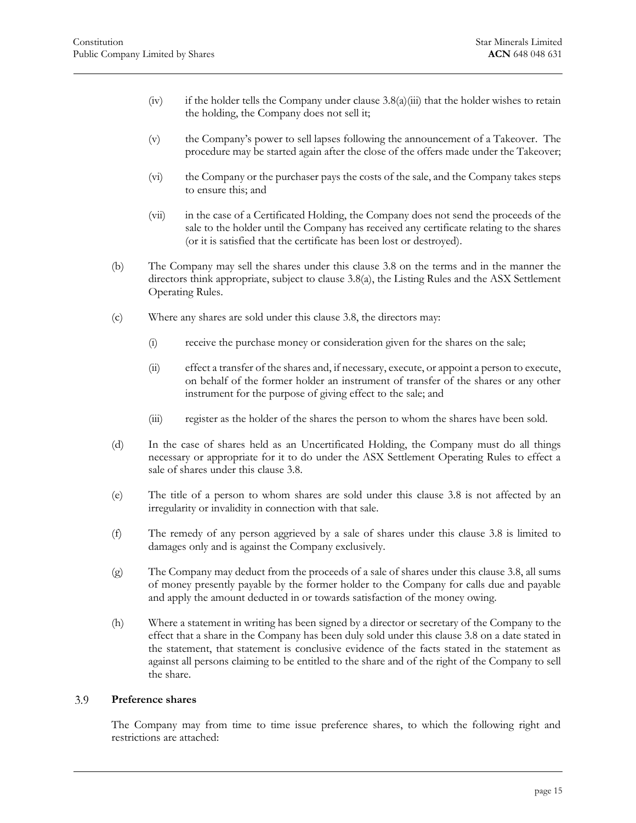- (iv) if the holder tells the Company under clause  $3.8(a)$ (iii) that the holder wishes to retain the holding, the Company does not sell it;
- (v) the Company's power to sell lapses following the announcement of a Takeover. The procedure may be started again after the close of the offers made under the Takeover;
- (vi) the Company or the purchaser pays the costs of the sale, and the Company takes steps to ensure this; and
- (vii) in the case of a Certificated Holding, the Company does not send the proceeds of the sale to the holder until the Company has received any certificate relating to the shares (or it is satisfied that the certificate has been lost or destroyed).
- (b) The Company may sell the shares under this [clause 3.8](#page-14-2) on the terms and in the manner the directors think appropriate, subject to [clause 3.8\(a\),](#page-14-5) the Listing Rules and the ASX Settlement Operating Rules.
- (c) Where any shares are sold under this [clause 3.8,](#page-14-2) the directors may:
	- (i) receive the purchase money or consideration given for the shares on the sale;
	- (ii) effect a transfer of the shares and, if necessary, execute, or appoint a person to execute, on behalf of the former holder an instrument of transfer of the shares or any other instrument for the purpose of giving effect to the sale; and
	- (iii) register as the holder of the shares the person to whom the shares have been sold.
- (d) In the case of shares held as an Uncertificated Holding, the Company must do all things necessary or appropriate for it to do under the ASX Settlement Operating Rules to effect a sale of shares under this [clause 3.8.](#page-14-2)
- (e) The title of a person to whom shares are sold under this [clause 3.8](#page-14-2) is not affected by an irregularity or invalidity in connection with that sale.
- (f) The remedy of any person aggrieved by a sale of shares under this [clause 3.8](#page-14-2) is limited to damages only and is against the Company exclusively.
- (g) The Company may deduct from the proceeds of a sale of shares under thi[s clause 3.8,](#page-14-2) all sums of money presently payable by the former holder to the Company for calls due and payable and apply the amount deducted in or towards satisfaction of the money owing.
- (h) Where a statement in writing has been signed by a director or secretary of the Company to the effect that a share in the Company has been duly sold under this [clause 3.8](#page-14-2) on a date stated in the statement, that statement is conclusive evidence of the facts stated in the statement as against all persons claiming to be entitled to the share and of the right of the Company to sell the share.

#### <span id="page-15-0"></span>3.9 **Preference shares**

The Company may from time to time issue preference shares, to which the following right and restrictions are attached: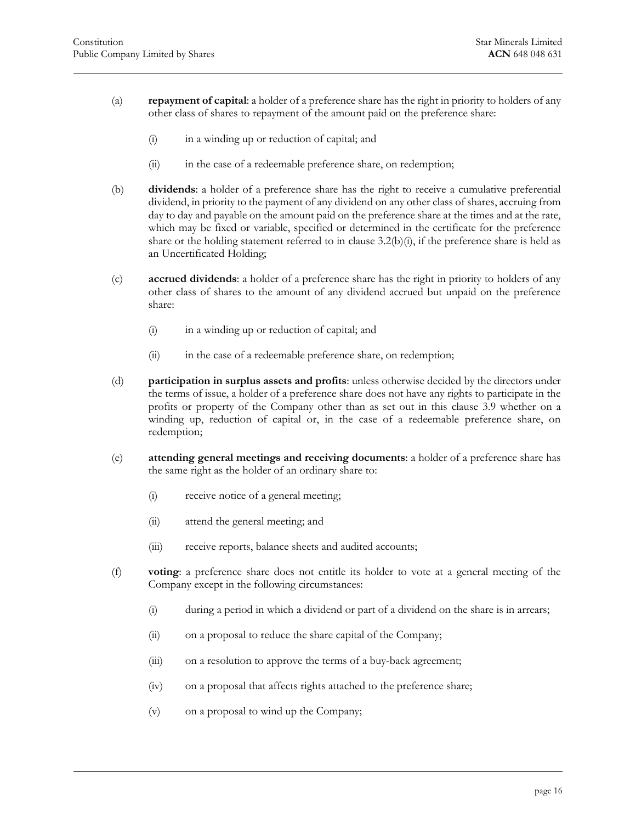- (a) **repayment of capital**: a holder of a preference share has the right in priority to holders of any other class of shares to repayment of the amount paid on the preference share:
	- (i) in a winding up or reduction of capital; and
	- (ii) in the case of a redeemable preference share, on redemption;
- (b) **dividends**: a holder of a preference share has the right to receive a cumulative preferential dividend, in priority to the payment of any dividend on any other class of shares, accruing from day to day and payable on the amount paid on the preference share at the times and at the rate, which may be fixed or variable, specified or determined in the certificate for the preference share or the holding statement referred to in clause  $3.2(b)(i)$ , if the preference share is held as an Uncertificated Holding;
- (c) **accrued dividends**: a holder of a preference share has the right in priority to holders of any other class of shares to the amount of any dividend accrued but unpaid on the preference share:
	- (i) in a winding up or reduction of capital; and
	- (ii) in the case of a redeemable preference share, on redemption;
- (d) **participation in surplus assets and profits**: unless otherwise decided by the directors under the terms of issue, a holder of a preference share does not have any rights to participate in the profits or property of the Company other than as set out in this [clause 3.9](#page-15-0) whether on a winding up, reduction of capital or, in the case of a redeemable preference share, on redemption;
- (e) **attending general meetings and receiving documents**: a holder of a preference share has the same right as the holder of an ordinary share to:
	- (i) receive notice of a general meeting;
	- (ii) attend the general meeting; and
	- (iii) receive reports, balance sheets and audited accounts;
- <span id="page-16-0"></span>(f) **voting**: a preference share does not entitle its holder to vote at a general meeting of the Company except in the following circumstances:
	- (i) during a period in which a dividend or part of a dividend on the share is in arrears;
	- (ii) on a proposal to reduce the share capital of the Company;
	- (iii) on a resolution to approve the terms of a buy-back agreement;
	- (iv) on a proposal that affects rights attached to the preference share;
	- (v) on a proposal to wind up the Company;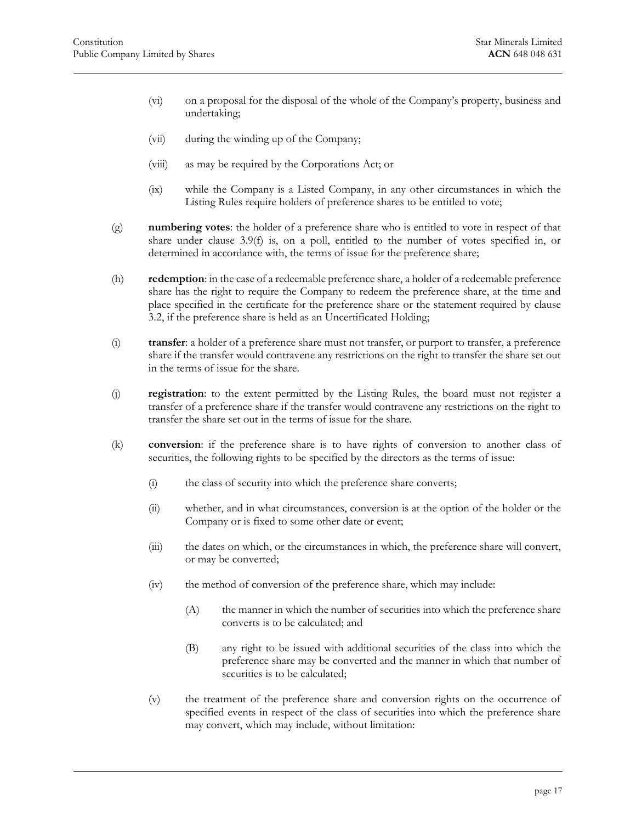- (vi) on a proposal for the disposal of the whole of the Company's property, business and undertaking;
- (vii) during the winding up of the Company;
- (viii) as may be required by the Corporations Act; or
- (ix) while the Company is a Listed Company, in any other circumstances in which the Listing Rules require holders of preference shares to be entitled to vote;
- (g) **numbering votes**: the holder of a preference share who is entitled to vote in respect of that share under [clause 3.9\(f\)](#page-16-0) is, on a poll, entitled to the number of votes specified in, or determined in accordance with, the terms of issue for the preference share;
- (h) **redemption**: in the case of a redeemable preference share, a holder of a redeemable preference share has the right to require the Company to redeem the preference share, at the time and place specified in the certificate for the preference share or the statement required by [clause](#page-12-0)  [3.2,](#page-12-0) if the preference share is held as an Uncertificated Holding;
- (i) **transfer**: a holder of a preference share must not transfer, or purport to transfer, a preference share if the transfer would contravene any restrictions on the right to transfer the share set out in the terms of issue for the share.
- (j) **registration**: to the extent permitted by the Listing Rules, the board must not register a transfer of a preference share if the transfer would contravene any restrictions on the right to transfer the share set out in the terms of issue for the share.
- (k) **conversion**: if the preference share is to have rights of conversion to another class of securities, the following rights to be specified by the directors as the terms of issue:
	- (i) the class of security into which the preference share converts;
	- (ii) whether, and in what circumstances, conversion is at the option of the holder or the Company or is fixed to some other date or event;
	- (iii) the dates on which, or the circumstances in which, the preference share will convert, or may be converted;
	- (iv) the method of conversion of the preference share, which may include:
		- (A) the manner in which the number of securities into which the preference share converts is to be calculated; and
		- (B) any right to be issued with additional securities of the class into which the preference share may be converted and the manner in which that number of securities is to be calculated;
	- (v) the treatment of the preference share and conversion rights on the occurrence of specified events in respect of the class of securities into which the preference share may convert, which may include, without limitation: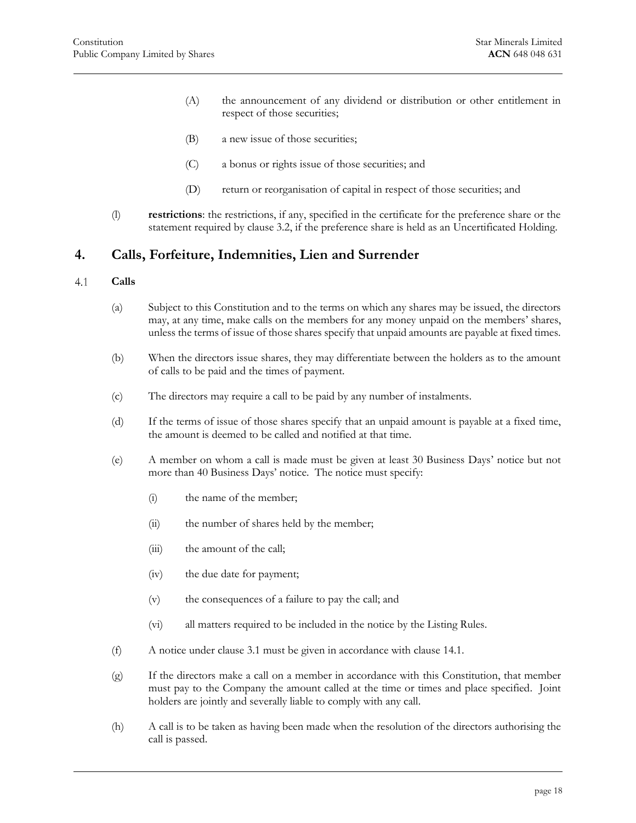- (A) the announcement of any dividend or distribution or other entitlement in respect of those securities;
- (B) a new issue of those securities;
- (C) a bonus or rights issue of those securities; and
- (D) return or reorganisation of capital in respect of those securities; and
- <span id="page-18-0"></span>(l) **restrictions**: the restrictions, if any, specified in the certificate for the preference share or the statement required by [clause 3.2,](#page-12-0) if the preference share is held as an Uncertificated Holding.

## **4. Calls, Forfeiture, Indemnities, Lien and Surrender**

#### <span id="page-18-1"></span> $4.1$ **Calls**

- (a) Subject to this Constitution and to the terms on which any shares may be issued, the directors may, at any time, make calls on the members for any money unpaid on the members' shares, unless the terms of issue of those shares specify that unpaid amounts are payable at fixed times.
- (b) When the directors issue shares, they may differentiate between the holders as to the amount of calls to be paid and the times of payment.
- (c) The directors may require a call to be paid by any number of instalments.
- (d) If the terms of issue of those shares specify that an unpaid amount is payable at a fixed time, the amount is deemed to be called and notified at that time.
- (e) A member on whom a call is made must be given at least 30 Business Days' notice but not more than 40 Business Days' notice. The notice must specify:
	- (i) the name of the member;
	- (ii) the number of shares held by the member;
	- (iii) the amount of the call;
	- (iv) the due date for payment;
	- (v) the consequences of a failure to pay the call; and
	- (vi) all matters required to be included in the notice by the Listing Rules.
- (f) A notice under clause 3.1 must be given in accordance with [clause 14.1.](#page-64-4)
- (g) If the directors make a call on a member in accordance with this Constitution, that member must pay to the Company the amount called at the time or times and place specified. Joint holders are jointly and severally liable to comply with any call.
- (h) A call is to be taken as having been made when the resolution of the directors authorising the call is passed.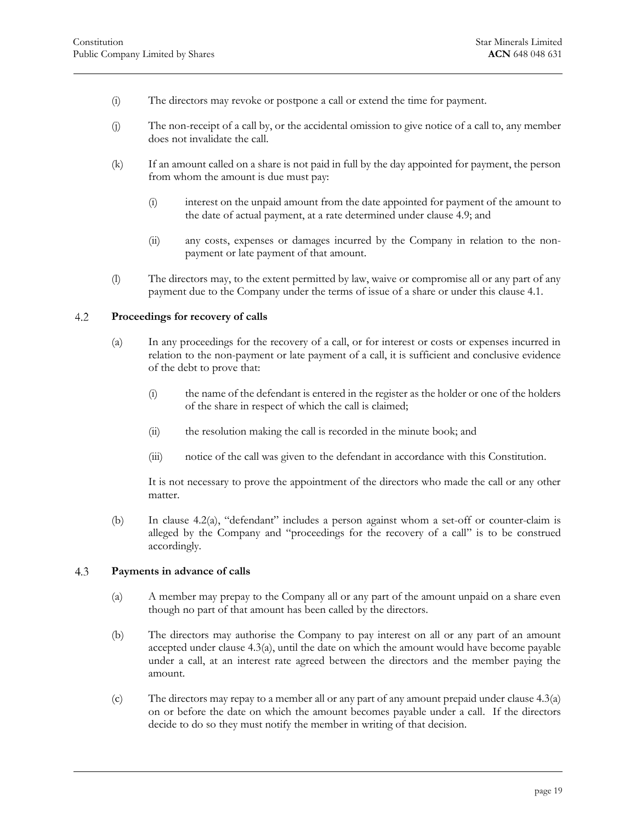- (i) The directors may revoke or postpone a call or extend the time for payment.
- (j) The non-receipt of a call by, or the accidental omission to give notice of a call to, any member does not invalidate the call.
- (k) If an amount called on a share is not paid in full by the day appointed for payment, the person from whom the amount is due must pay:
	- (i) interest on the unpaid amount from the date appointed for payment of the amount to the date of actual payment, at a rate determined under [clause 4.9;](#page-24-0) and
	- (ii) any costs, expenses or damages incurred by the Company in relation to the nonpayment or late payment of that amount.
- <span id="page-19-0"></span>(l) The directors may, to the extent permitted by law, waive or compromise all or any part of any payment due to the Company under the terms of issue of a share or under thi[s clause 4.1.](#page-18-1)

#### <span id="page-19-2"></span> $4.2$ **Proceedings for recovery of calls**

- (a) In any proceedings for the recovery of a call, or for interest or costs or expenses incurred in relation to the non-payment or late payment of a call, it is sufficient and conclusive evidence of the debt to prove that:
	- (i) the name of the defendant is entered in the register as the holder or one of the holders of the share in respect of which the call is claimed;
	- (ii) the resolution making the call is recorded in the minute book; and
	- (iii) notice of the call was given to the defendant in accordance with this Constitution.

It is not necessary to prove the appointment of the directors who made the call or any other matter.

(b) In [clause 4.2\(a\),](#page-19-2) "defendant" includes a person against whom a set-off or counter-claim is alleged by the Company and "proceedings for the recovery of a call" is to be construed accordingly.

#### <span id="page-19-3"></span><span id="page-19-1"></span>4.3 **Payments in advance of calls**

- (a) A member may prepay to the Company all or any part of the amount unpaid on a share even though no part of that amount has been called by the directors.
- (b) The directors may authorise the Company to pay interest on all or any part of an amount accepted under [clause 4.3\(a\),](#page-19-3) until the date on which the amount would have become payable under a call, at an interest rate agreed between the directors and the member paying the amount.
- (c) The directors may repay to a member all or any part of any amount prepaid unde[r clause 4.3\(a\)](#page-19-3) on or before the date on which the amount becomes payable under a call. If the directors decide to do so they must notify the member in writing of that decision.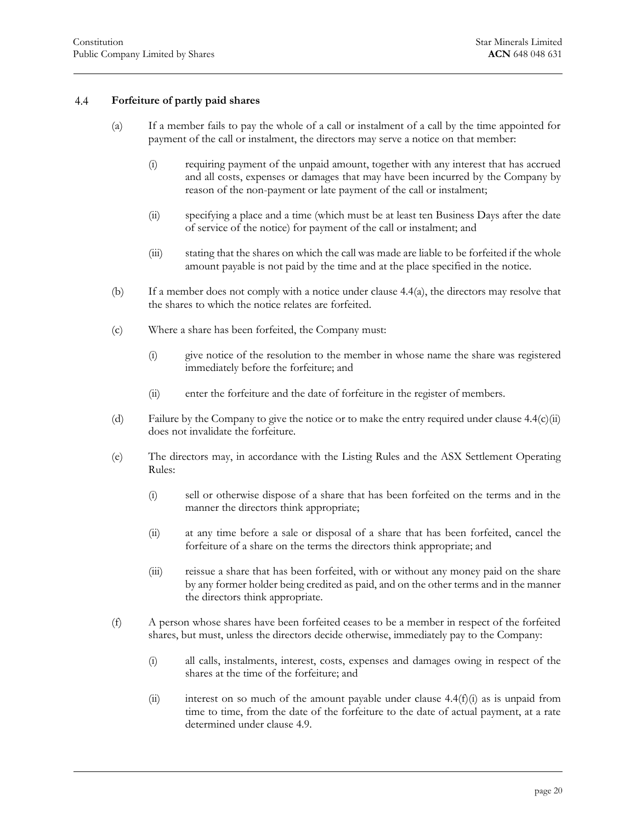#### <span id="page-20-1"></span>4.4 **Forfeiture of partly paid shares**

- <span id="page-20-0"></span>(a) If a member fails to pay the whole of a call or instalment of a call by the time appointed for payment of the call or instalment, the directors may serve a notice on that member:
	- (i) requiring payment of the unpaid amount, together with any interest that has accrued and all costs, expenses or damages that may have been incurred by the Company by reason of the non-payment or late payment of the call or instalment;
	- (ii) specifying a place and a time (which must be at least ten Business Days after the date of service of the notice) for payment of the call or instalment; and
	- (iii) stating that the shares on which the call was made are liable to be forfeited if the whole amount payable is not paid by the time and at the place specified in the notice.
- <span id="page-20-5"></span>(b) If a member does not comply with a notice under [clause 4.4\(a\),](#page-20-1) the directors may resolve that the shares to which the notice relates are forfeited.
- (c) Where a share has been forfeited, the Company must:
	- (i) give notice of the resolution to the member in whose name the share was registered immediately before the forfeiture; and
	- (ii) enter the forfeiture and the date of forfeiture in the register of members.
- <span id="page-20-2"></span>(d) Failure by the Company to give the notice or to make the entry required unde[r clause 4.4\(c\)\(ii\)](#page-20-2) does not invalidate the forfeiture.
- <span id="page-20-4"></span>(e) The directors may, in accordance with the Listing Rules and the ASX Settlement Operating Rules:
	- (i) sell or otherwise dispose of a share that has been forfeited on the terms and in the manner the directors think appropriate;
	- (ii) at any time before a sale or disposal of a share that has been forfeited, cancel the forfeiture of a share on the terms the directors think appropriate; and
	- (iii) reissue a share that has been forfeited, with or without any money paid on the share by any former holder being credited as paid, and on the other terms and in the manner the directors think appropriate.
- <span id="page-20-3"></span>(f) A person whose shares have been forfeited ceases to be a member in respect of the forfeited shares, but must, unless the directors decide otherwise, immediately pay to the Company:
	- (i) all calls, instalments, interest, costs, expenses and damages owing in respect of the shares at the time of the forfeiture; and
	- (ii) interest on so much of the amount payable under clause  $4.4(f)(i)$  as is unpaid from time to time, from the date of the forfeiture to the date of actual payment, at a rate determined under [clause 4.9.](#page-24-0)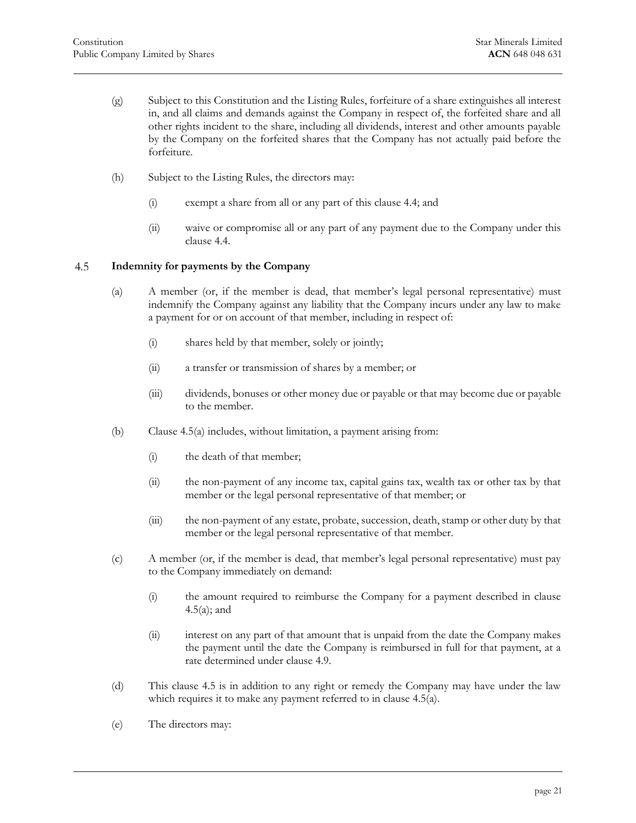- (g) Subject to this Constitution and the Listing Rules, forfeiture of a share extinguishes all interest in, and all claims and demands against the Company in respect of, the forfeited share and all other rights incident to the share, including all dividends, interest and other amounts payable by the Company on the forfeited shares that the Company has not actually paid before the forfeiture.
- (h) Subject to the Listing Rules, the directors may:
	- (i) exempt a share from all or any part of this [clause 4.4;](#page-20-0) and
	- (ii) waive or compromise all or any part of any payment due to the Company under this [clause 4.4.](#page-20-0)

#### <span id="page-21-1"></span><span id="page-21-0"></span>4.5 **Indemnity for payments by the Company**

- (a) A member (or, if the member is dead, that member's legal personal representative) must indemnify the Company against any liability that the Company incurs under any law to make a payment for or on account of that member, including in respect of:
	- (i) shares held by that member, solely or jointly;
	- (ii) a transfer or transmission of shares by a member; or
	- (iii) dividends, bonuses or other money due or payable or that may become due or payable to the member.
- (b) [Clause 4.5\(a\)](#page-21-1) includes, without limitation, a payment arising from:
	- (i) the death of that member;
	- (ii) the non-payment of any income tax, capital gains tax, wealth tax or other tax by that member or the legal personal representative of that member; or
	- (iii) the non-payment of any estate, probate, succession, death, stamp or other duty by that member or the legal personal representative of that member.
- (c) A member (or, if the member is dead, that member's legal personal representative) must pay to the Company immediately on demand:
	- (i) the amount required to reimburse the Company for a payment described in [clause](#page-21-1)  [4.5\(a\);](#page-21-1) and
	- (ii) interest on any part of that amount that is unpaid from the date the Company makes the payment until the date the Company is reimbursed in full for that payment, at a rate determined under [clause 4.9.](#page-24-0)
- (d) This [clause 4.5](#page-21-0) is in addition to any right or remedy the Company may have under the law which requires it to make any payment referred to in [clause 4.5\(a\).](#page-21-1)
- (e) The directors may: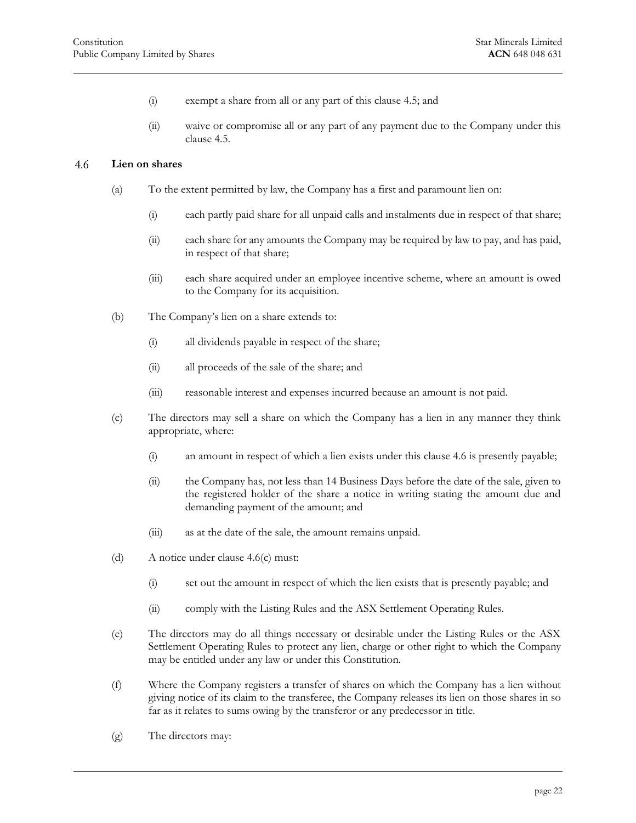- (i) exempt a share from all or any part of this [clause 4.5;](#page-21-0) and
- (ii) waive or compromise all or any part of any payment due to the Company under this [clause 4.5.](#page-21-0)

#### <span id="page-22-0"></span>4.6 **Lien on shares**

- (a) To the extent permitted by law, the Company has a first and paramount lien on:
	- (i) each partly paid share for all unpaid calls and instalments due in respect of that share;
	- (ii) each share for any amounts the Company may be required by law to pay, and has paid, in respect of that share;
	- (iii) each share acquired under an employee incentive scheme, where an amount is owed to the Company for its acquisition.
- (b) The Company's lien on a share extends to:
	- (i) all dividends payable in respect of the share;
	- (ii) all proceeds of the sale of the share; and
	- (iii) reasonable interest and expenses incurred because an amount is not paid.
- <span id="page-22-1"></span>(c) The directors may sell a share on which the Company has a lien in any manner they think appropriate, where:
	- (i) an amount in respect of which a lien exists under this [clause 4.6](#page-22-0) is presently payable;
	- (ii) the Company has, not less than 14 Business Days before the date of the sale, given to the registered holder of the share a notice in writing stating the amount due and demanding payment of the amount; and
	- (iii) as at the date of the sale, the amount remains unpaid.
- (d) A notice under [clause 4.6\(c\)](#page-22-1) must:
	- (i) set out the amount in respect of which the lien exists that is presently payable; and
	- (ii) comply with the Listing Rules and the ASX Settlement Operating Rules.
- (e) The directors may do all things necessary or desirable under the Listing Rules or the ASX Settlement Operating Rules to protect any lien, charge or other right to which the Company may be entitled under any law or under this Constitution.
- (f) Where the Company registers a transfer of shares on which the Company has a lien without giving notice of its claim to the transferee, the Company releases its lien on those shares in so far as it relates to sums owing by the transferor or any predecessor in title.
- (g) The directors may: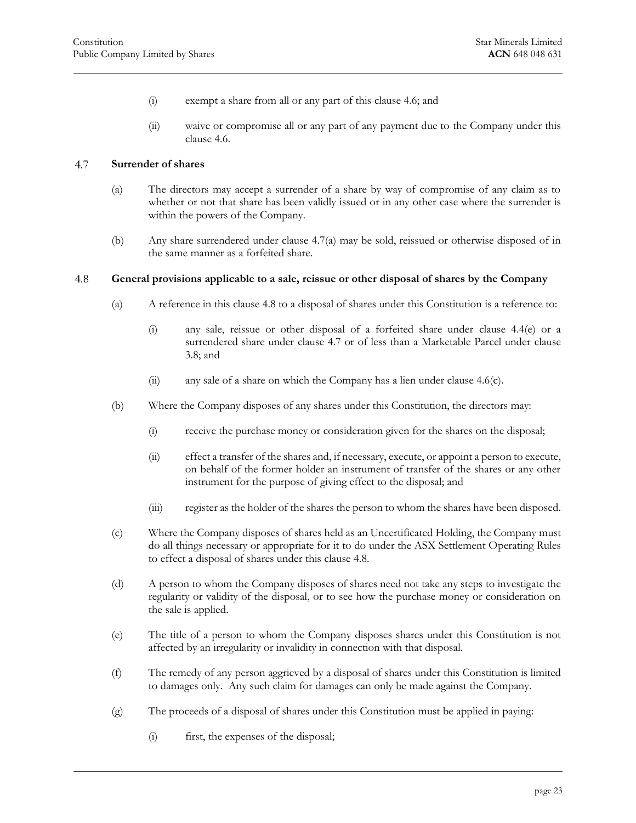- (i) exempt a share from all or any part of this [clause 4.6;](#page-22-0) and
- (ii) waive or compromise all or any part of any payment due to the Company under this [clause 4.6.](#page-22-0)

#### <span id="page-23-2"></span><span id="page-23-0"></span>4.7 **Surrender of shares**

- (a) The directors may accept a surrender of a share by way of compromise of any claim as to whether or not that share has been validly issued or in any other case where the surrender is within the powers of the Company.
- <span id="page-23-1"></span>(b) Any share surrendered under [clause 4.7\(a\)](#page-23-2) may be sold, reissued or otherwise disposed of in the same manner as a forfeited share.

#### 4.8 **General provisions applicable to a sale, reissue or other disposal of shares by the Company**

- (a) A reference in this [clause 4.8](#page-23-1) to a disposal of shares under this Constitution is a reference to:
	- (i) any sale, reissue or other disposal of a forfeited share under [clause 4.4\(e\)](#page-20-4) or a surrendered share under [clause 4.7](#page-23-0) or of less than a Marketable Parcel under [clause](#page-14-2)  [3.8;](#page-14-2) and
	- (ii) any sale of a share on which the Company has a lien under clause  $4.6(c)$ .
- (b) Where the Company disposes of any shares under this Constitution, the directors may:
	- (i) receive the purchase money or consideration given for the shares on the disposal;
	- (ii) effect a transfer of the shares and, if necessary, execute, or appoint a person to execute, on behalf of the former holder an instrument of transfer of the shares or any other instrument for the purpose of giving effect to the disposal; and
	- (iii) register as the holder of the shares the person to whom the shares have been disposed.
- (c) Where the Company disposes of shares held as an Uncertificated Holding, the Company must do all things necessary or appropriate for it to do under the ASX Settlement Operating Rules to effect a disposal of shares under this [clause 4.8.](#page-23-1)
- (d) A person to whom the Company disposes of shares need not take any steps to investigate the regularity or validity of the disposal, or to see how the purchase money or consideration on the sale is applied.
- (e) The title of a person to whom the Company disposes shares under this Constitution is not affected by an irregularity or invalidity in connection with that disposal.
- (f) The remedy of any person aggrieved by a disposal of shares under this Constitution is limited to damages only. Any such claim for damages can only be made against the Company.
- (g) The proceeds of a disposal of shares under this Constitution must be applied in paying:
	- (i) first, the expenses of the disposal;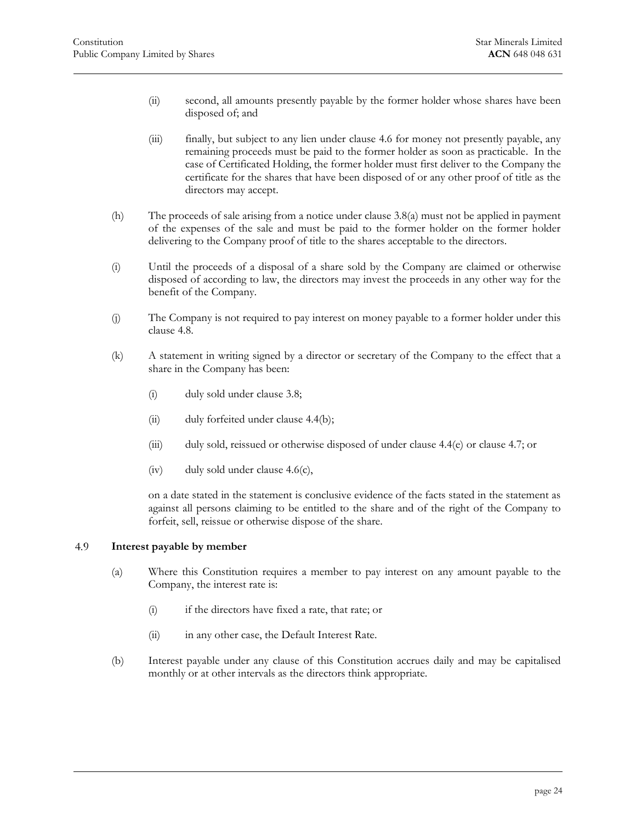- (ii) second, all amounts presently payable by the former holder whose shares have been disposed of; and
- (iii) finally, but subject to any lien under [clause 4.6](#page-22-0) for money not presently payable, any remaining proceeds must be paid to the former holder as soon as practicable. In the case of Certificated Holding, the former holder must first deliver to the Company the certificate for the shares that have been disposed of or any other proof of title as the directors may accept.
- (h) The proceeds of sale arising from a notice under [clause 3.8\(a\)](#page-14-5) must not be applied in payment of the expenses of the sale and must be paid to the former holder on the former holder delivering to the Company proof of title to the shares acceptable to the directors.
- (i) Until the proceeds of a disposal of a share sold by the Company are claimed or otherwise disposed of according to law, the directors may invest the proceeds in any other way for the benefit of the Company.
- (j) The Company is not required to pay interest on money payable to a former holder under this [clause 4.8.](#page-23-1)
- (k) A statement in writing signed by a director or secretary of the Company to the effect that a share in the Company has been:
	- (i) duly sold under [clause 3.8;](#page-14-2)
	- (ii) duly forfeited under [clause 4.4\(b\);](#page-20-5)
	- (iii) duly sold, reissued or otherwise disposed of under [clause 4.4\(e\)](#page-20-4) or [clause 4.7;](#page-23-0) or
	- (iv) duly sold under [clause 4.6\(c\),](#page-22-1)

on a date stated in the statement is conclusive evidence of the facts stated in the statement as against all persons claiming to be entitled to the share and of the right of the Company to forfeit, sell, reissue or otherwise dispose of the share.

#### <span id="page-24-0"></span>4.9 **Interest payable by member**

- (a) Where this Constitution requires a member to pay interest on any amount payable to the Company, the interest rate is:
	- (i) if the directors have fixed a rate, that rate; or
	- (ii) in any other case, the Default Interest Rate.
- (b) Interest payable under any clause of this Constitution accrues daily and may be capitalised monthly or at other intervals as the directors think appropriate.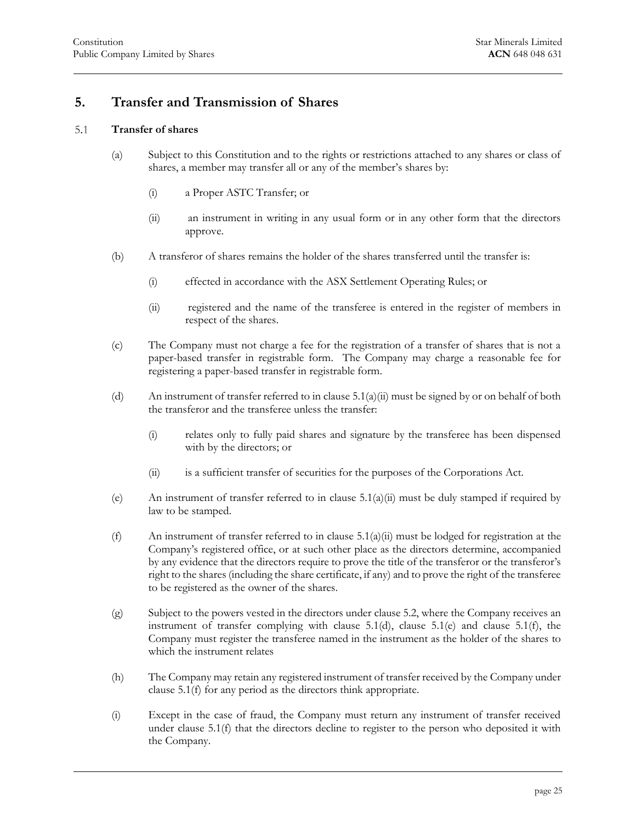# <span id="page-25-0"></span>**5. Transfer and Transmission of Shares**

#### <span id="page-25-1"></span> $5.1$ **Transfer of shares**

- <span id="page-25-2"></span>(a) Subject to this Constitution and to the rights or restrictions attached to any shares or class of shares, a member may transfer all or any of the member's shares by:
	- (i) a Proper ASTC Transfer; or
	- (ii) an instrument in writing in any usual form or in any other form that the directors approve.
- (b) A transferor of shares remains the holder of the shares transferred until the transfer is:
	- (i) effected in accordance with the ASX Settlement Operating Rules; or
	- (ii) registered and the name of the transferee is entered in the register of members in respect of the shares.
- (c) The Company must not charge a fee for the registration of a transfer of shares that is not a paper-based transfer in registrable form. The Company may charge a reasonable fee for registering a paper-based transfer in registrable form.
- <span id="page-25-3"></span>(d) An instrument of transfer referred to in clause  $5.1(a)(ii)$  must be signed by or on behalf of both the transferor and the transferee unless the transfer:
	- (i) relates only to fully paid shares and signature by the transferee has been dispensed with by the directors; or
	- (ii) is a sufficient transfer of securities for the purposes of the Corporations Act.
- <span id="page-25-4"></span>(e) An instrument of transfer referred to in clause  $5.1(a)(ii)$  must be duly stamped if required by law to be stamped.
- <span id="page-25-5"></span>(f) An instrument of transfer referred to in clause  $5.1(a)(ii)$  must be lodged for registration at the Company's registered office, or at such other place as the directors determine, accompanied by any evidence that the directors require to prove the title of the transferor or the transferor's right to the shares (including the share certificate, if any) and to prove the right of the transferee to be registered as the owner of the shares.
- <span id="page-25-6"></span>(g) Subject to the powers vested in the directors under [clause 5.2,](#page-26-0) where the Company receives an instrument of transfer complying with [clause 5.1\(d\),](#page-25-3) [clause 5.1\(e\)](#page-25-4) and [clause 5.1\(f\),](#page-25-5) the Company must register the transferee named in the instrument as the holder of the shares to which the instrument relates
- (h) The Company may retain any registered instrument of transfer received by the Company under [clause 5.1\(f\)](#page-25-5) for any period as the directors think appropriate.
- (i) Except in the case of fraud, the Company must return any instrument of transfer received under [clause 5.1\(f\)](#page-25-5) that the directors decline to register to the person who deposited it with the Company.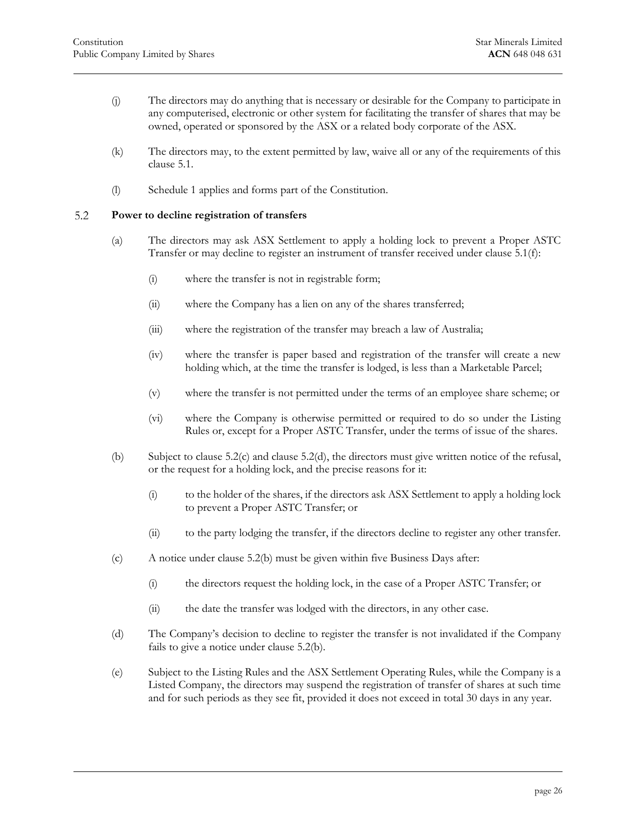- (j) The directors may do anything that is necessary or desirable for the Company to participate in any computerised, electronic or other system for facilitating the transfer of shares that may be owned, operated or sponsored by the ASX or a related body corporate of the ASX.
- (k) The directors may, to the extent permitted by law, waive all or any of the requirements of this [clause 5.1.](#page-25-1)
- <span id="page-26-0"></span>(l) Schedule 1 applies and forms part of the Constitution.

#### $5.2$ **Power to decline registration of transfers**

- (a) The directors may ask ASX Settlement to apply a holding lock to prevent a Proper ASTC Transfer or may decline to register an instrument of transfer received under [clause 5.1\(f\):](#page-25-5)
	- (i) where the transfer is not in registrable form;
	- (ii) where the Company has a lien on any of the shares transferred;
	- (iii) where the registration of the transfer may breach a law of Australia;
	- (iv) where the transfer is paper based and registration of the transfer will create a new holding which, at the time the transfer is lodged, is less than a Marketable Parcel;
	- (v) where the transfer is not permitted under the terms of an employee share scheme; or
	- (vi) where the Company is otherwise permitted or required to do so under the Listing Rules or, except for a Proper ASTC Transfer, under the terms of issue of the shares.
- <span id="page-26-3"></span>(b) Subject to [clause 5.2\(c\)](#page-26-1) and [clause 5.2\(d\),](#page-26-2) the directors must give written notice of the refusal, or the request for a holding lock, and the precise reasons for it:
	- (i) to the holder of the shares, if the directors ask ASX Settlement to apply a holding lock to prevent a Proper ASTC Transfer; or
	- (ii) to the party lodging the transfer, if the directors decline to register any other transfer.
- <span id="page-26-1"></span>(c) A notice under [clause 5.2\(b\)](#page-26-3) must be given within five Business Days after:
	- (i) the directors request the holding lock, in the case of a Proper ASTC Transfer; or
	- (ii) the date the transfer was lodged with the directors, in any other case.
- <span id="page-26-2"></span>(d) The Company's decision to decline to register the transfer is not invalidated if the Company fails to give a notice under [clause 5.2\(b\).](#page-26-3)
- <span id="page-26-4"></span>(e) Subject to the Listing Rules and the ASX Settlement Operating Rules, while the Company is a Listed Company, the directors may suspend the registration of transfer of shares at such time and for such periods as they see fit, provided it does not exceed in total 30 days in any year.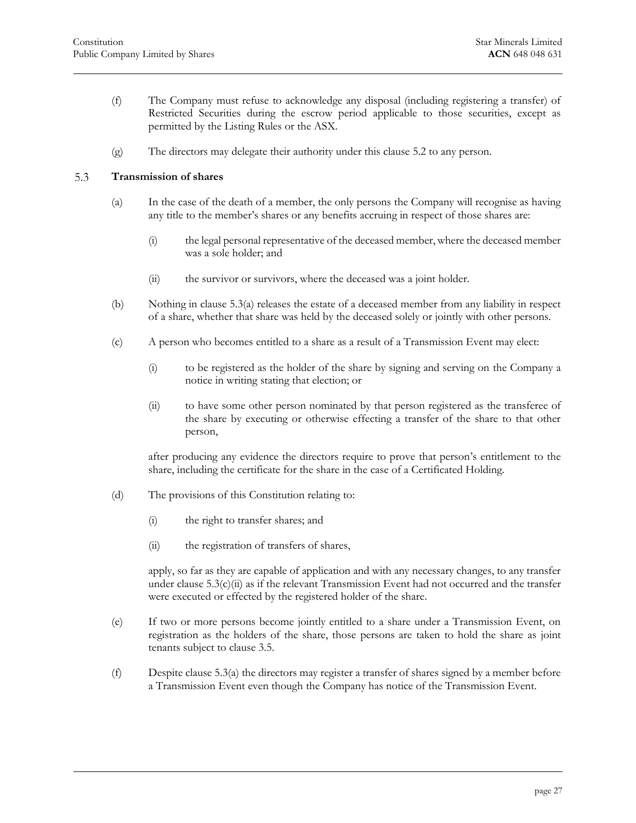- (f) The Company must refuse to acknowledge any disposal (including registering a transfer) of Restricted Securities during the escrow period applicable to those securities, except as permitted by the Listing Rules or the ASX.
- <span id="page-27-0"></span>(g) The directors may delegate their authority under this [clause 5.2](#page-26-0) to any person.

#### <span id="page-27-1"></span> $5.3$ **Transmission of shares**

- (a) In the case of the death of a member, the only persons the Company will recognise as having any title to the member's shares or any benefits accruing in respect of those shares are:
	- (i) the legal personal representative of the deceased member, where the deceased member was a sole holder; and
	- (ii) the survivor or survivors, where the deceased was a joint holder.
- (b) Nothing in [clause 5.3\(a\)](#page-27-1) releases the estate of a deceased member from any liability in respect of a share, whether that share was held by the deceased solely or jointly with other persons.
- <span id="page-27-3"></span><span id="page-27-2"></span>(c) A person who becomes entitled to a share as a result of a Transmission Event may elect:
	- (i) to be registered as the holder of the share by signing and serving on the Company a notice in writing stating that election; or
	- (ii) to have some other person nominated by that person registered as the transferee of the share by executing or otherwise effecting a transfer of the share to that other person,

after producing any evidence the directors require to prove that person's entitlement to the share, including the certificate for the share in the case of a Certificated Holding.

- (d) The provisions of this Constitution relating to:
	- (i) the right to transfer shares; and
	- (ii) the registration of transfers of shares,

apply, so far as they are capable of application and with any necessary changes, to any transfer under clause  $5.3(c)$ (ii) as if the relevant Transmission Event had not occurred and the transfer were executed or effected by the registered holder of the share.

- (e) If two or more persons become jointly entitled to a share under a Transmission Event, on registration as the holders of the share, those persons are taken to hold the share as joint tenants subject to [clause 3.5.](#page-13-0)
- (f) Despit[e clause 5.3\(a\)](#page-27-1) the directors may register a transfer of shares signed by a member before a Transmission Event even though the Company has notice of the Transmission Event.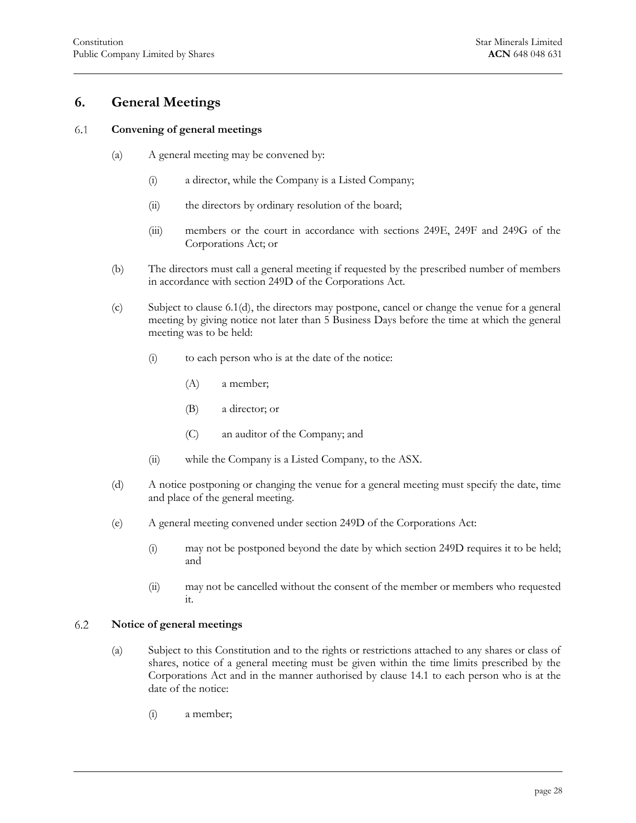# <span id="page-28-0"></span>**6. General Meetings**

#### <span id="page-28-1"></span>6.1 **Convening of general meetings**

- (a) A general meeting may be convened by:
	- (i) a director, while the Company is a Listed Company;
	- (ii) the directors by ordinary resolution of the board;
	- (iii) members or the court in accordance with sections 249E, 249F and 249G of the Corporations Act; or
- (b) The directors must call a general meeting if requested by the prescribed number of members in accordance with section 249D of the Corporations Act.
- <span id="page-28-5"></span>(c) Subject to [clause 6.1\(d\),](#page-28-3) the directors may postpone, cancel or change the venue for a general meeting by giving notice not later than 5 Business Days before the time at which the general meeting was to be held:
	- (i) to each person who is at the date of the notice:
		- (A) a member;
		- (B) a director; or
		- (C) an auditor of the Company; and
	- (ii) while the Company is a Listed Company, to the ASX.
- <span id="page-28-3"></span>(d) A notice postponing or changing the venue for a general meeting must specify the date, time and place of the general meeting.
- (e) A general meeting convened under section 249D of the Corporations Act:
	- (i) may not be postponed beyond the date by which section 249D requires it to be held; and
	- (ii) may not be cancelled without the consent of the member or members who requested it.

#### <span id="page-28-4"></span><span id="page-28-2"></span>6.2 **Notice of general meetings**

- (a) Subject to this Constitution and to the rights or restrictions attached to any shares or class of shares, notice of a general meeting must be given within the time limits prescribed by the Corporations Act and in the manner authorised by [clause 14.1](#page-64-4) to each person who is at the date of the notice:
	- (i) a member;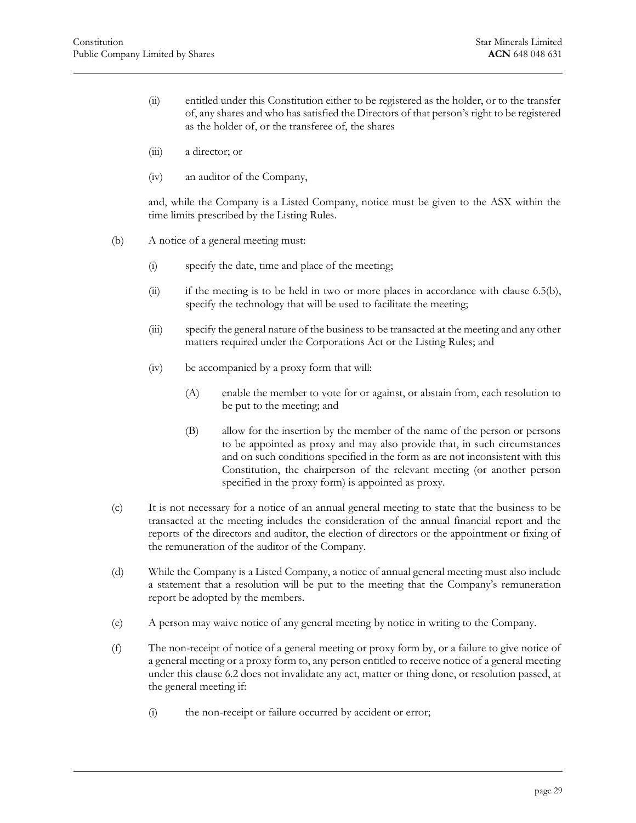- <span id="page-29-2"></span>(ii) entitled under this Constitution either to be registered as the holder, or to the transfer of, any shares and who has satisfied the Directors of that person's right to be registered as the holder of, or the transferee of, the shares
- (iii) a director; or
- (iv) an auditor of the Company,

and, while the Company is a Listed Company, notice must be given to the ASX within the time limits prescribed by the Listing Rules.

- (b) A notice of a general meeting must:
	- (i) specify the date, time and place of the meeting;
	- (ii) if the meeting is to be held in two or more places in accordance with [clause 6.5\(b\),](#page-31-2) specify the technology that will be used to facilitate the meeting;
	- (iii) specify the general nature of the business to be transacted at the meeting and any other matters required under the Corporations Act or the Listing Rules; and
	- (iv) be accompanied by a proxy form that will:
		- (A) enable the member to vote for or against, or abstain from, each resolution to be put to the meeting; and
		- (B) allow for the insertion by the member of the name of the person or persons to be appointed as proxy and may also provide that, in such circumstances and on such conditions specified in the form as are not inconsistent with this Constitution, the chairperson of the relevant meeting (or another person specified in the proxy form) is appointed as proxy.
- <span id="page-29-1"></span>(c) It is not necessary for a notice of an annual general meeting to state that the business to be transacted at the meeting includes the consideration of the annual financial report and the reports of the directors and auditor, the election of directors or the appointment or fixing of the remuneration of the auditor of the Company.
- (d) While the Company is a Listed Company, a notice of annual general meeting must also include a statement that a resolution will be put to the meeting that the Company's remuneration report be adopted by the members.
- <span id="page-29-0"></span>(e) A person may waive notice of any general meeting by notice in writing to the Company.
- (f) The non-receipt of notice of a general meeting or proxy form by, or a failure to give notice of a general meeting or a proxy form to, any person entitled to receive notice of a general meeting under this [clause 6.2](#page-28-2) does not invalidate any act, matter or thing done, or resolution passed, at the general meeting if:
	- (i) the non-receipt or failure occurred by accident or error;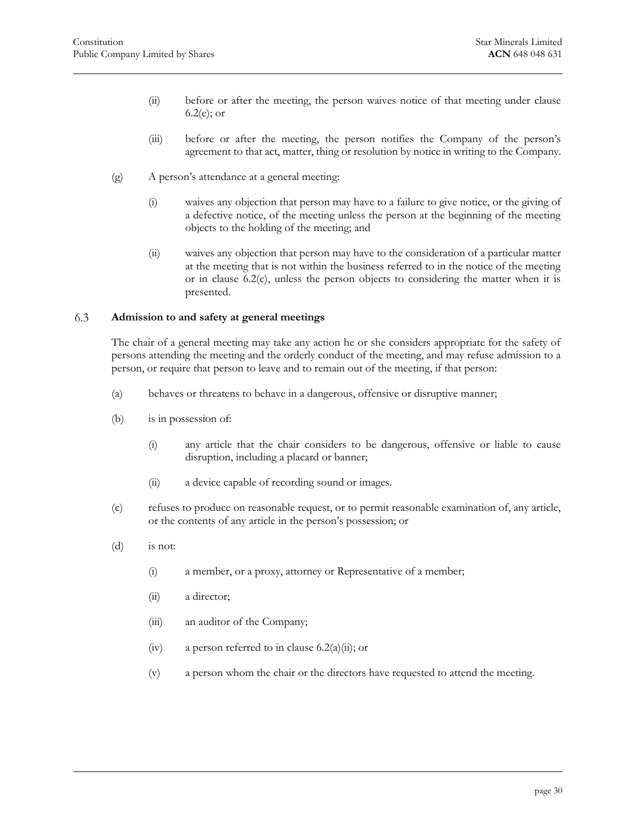- (ii) before or after the meeting, the person waives notice of that meeting under [clause](#page-29-0)  [6.2\(e\);](#page-29-0) or
- (iii) before or after the meeting, the person notifies the Company of the person's agreement to that act, matter, thing or resolution by notice in writing to the Company.
- (g) A person's attendance at a general meeting:
	- (i) waives any objection that person may have to a failure to give notice, or the giving of a defective notice, of the meeting unless the person at the beginning of the meeting objects to the holding of the meeting; and
	- (ii) waives any objection that person may have to the consideration of a particular matter at the meeting that is not within the business referred to in the notice of the meeting or in [clause 6.2\(c\),](#page-29-1) unless the person objects to considering the matter when it is presented.

#### <span id="page-30-0"></span>6.3 **Admission to and safety at general meetings**

The chair of a general meeting may take any action he or she considers appropriate for the safety of persons attending the meeting and the orderly conduct of the meeting, and may refuse admission to a person, or require that person to leave and to remain out of the meeting, if that person:

- (a) behaves or threatens to behave in a dangerous, offensive or disruptive manner;
- (b) is in possession of:
	- (i) any article that the chair considers to be dangerous, offensive or liable to cause disruption, including a placard or banner;
	- (ii) a device capable of recording sound or images.
- (c) refuses to produce on reasonable request, or to permit reasonable examination of, any article, or the contents of any article in the person's possession; or
- (d) is not:
	- (i) a member, or a proxy, attorney or Representative of a member;
	- (ii) a director;
	- (iii) an auditor of the Company;
	- (iv) a person referred to in clause  $6.2(a)(ii)$ ; or
	- (v) a person whom the chair or the directors have requested to attend the meeting.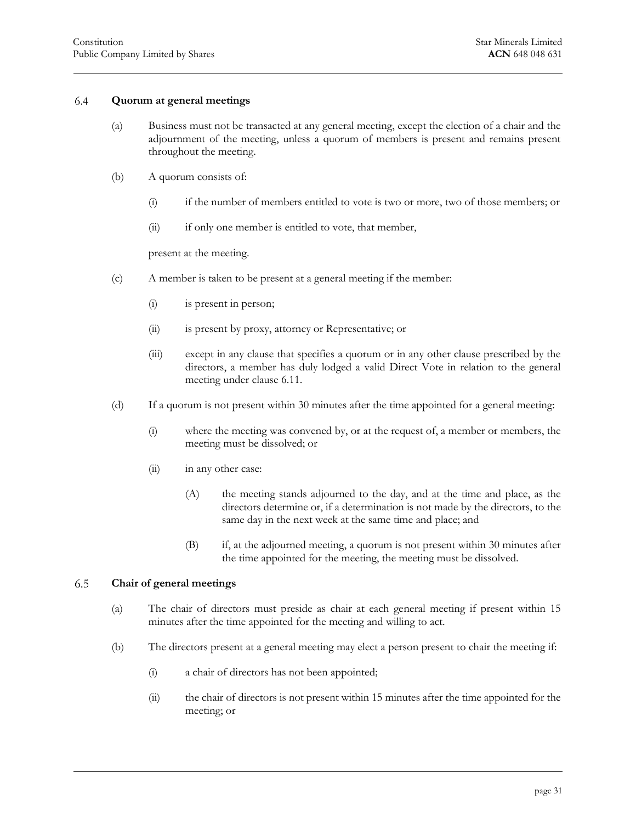#### 6.4 **Quorum at general meetings**

- <span id="page-31-0"></span>(a) Business must not be transacted at any general meeting, except the election of a chair and the adjournment of the meeting, unless a quorum of members is present and remains present throughout the meeting.
- (b) A quorum consists of:
	- (i) if the number of members entitled to vote is two or more, two of those members; or
	- (ii) if only one member is entitled to vote, that member,

present at the meeting.

- (c) A member is taken to be present at a general meeting if the member:
	- (i) is present in person;
	- (ii) is present by proxy, attorney or Representative; or
	- (iii) except in any clause that specifies a quorum or in any other clause prescribed by the directors, a member has duly lodged a valid Direct Vote in relation to the general meeting under [clause 6.11.](#page-38-0)
- (d) If a quorum is not present within 30 minutes after the time appointed for a general meeting:
	- (i) where the meeting was convened by, or at the request of, a member or members, the meeting must be dissolved; or
	- (ii) in any other case:
		- (A) the meeting stands adjourned to the day, and at the time and place, as the directors determine or, if a determination is not made by the directors, to the same day in the next week at the same time and place; and
		- (B) if, at the adjourned meeting, a quorum is not present within 30 minutes after the time appointed for the meeting, the meeting must be dissolved.

#### <span id="page-31-3"></span><span id="page-31-1"></span>6.5 **Chair of general meetings**

- (a) The chair of directors must preside as chair at each general meeting if present within 15 minutes after the time appointed for the meeting and willing to act.
- <span id="page-31-2"></span>(b) The directors present at a general meeting may elect a person present to chair the meeting if:
	- (i) a chair of directors has not been appointed;
	- (ii) the chair of directors is not present within 15 minutes after the time appointed for the meeting; or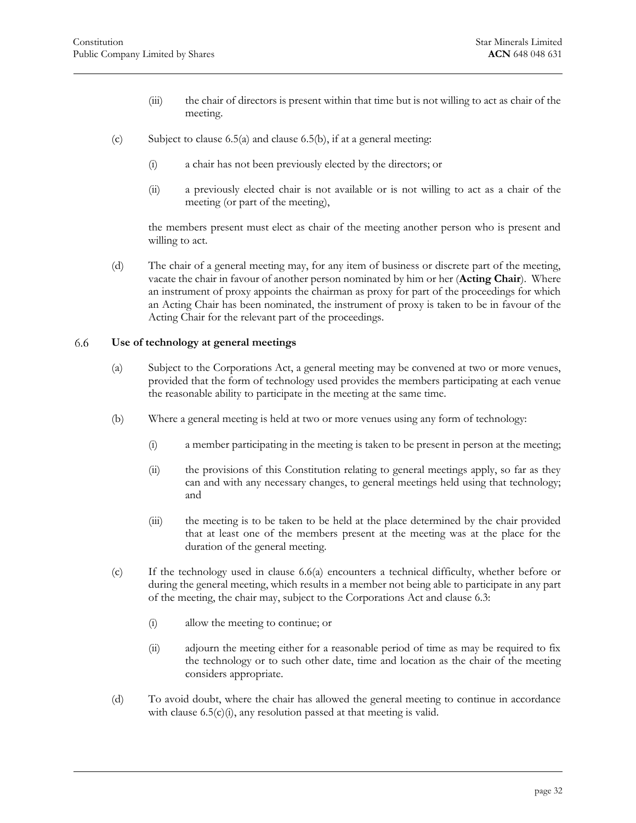- (iii) the chair of directors is present within that time but is not willing to act as chair of the meeting.
- <span id="page-32-2"></span>(c) Subject to clause  $6.5(a)$  and clause  $6.5(b)$ , if at a general meeting:
	- (i) a chair has not been previously elected by the directors; or
	- (ii) a previously elected chair is not available or is not willing to act as a chair of the meeting (or part of the meeting),

the members present must elect as chair of the meeting another person who is present and willing to act.

(d) The chair of a general meeting may, for any item of business or discrete part of the meeting, vacate the chair in favour of another person nominated by him or her (**Acting Chair**). Where an instrument of proxy appoints the chairman as proxy for part of the proceedings for which an Acting Chair has been nominated, the instrument of proxy is taken to be in favour of the Acting Chair for the relevant part of the proceedings.

#### <span id="page-32-1"></span><span id="page-32-0"></span>6.6 **Use of technology at general meetings**

- (a) Subject to the Corporations Act, a general meeting may be convened at two or more venues, provided that the form of technology used provides the members participating at each venue the reasonable ability to participate in the meeting at the same time.
- (b) Where a general meeting is held at two or more venues using any form of technology:
	- (i) a member participating in the meeting is taken to be present in person at the meeting;
	- (ii) the provisions of this Constitution relating to general meetings apply, so far as they can and with any necessary changes, to general meetings held using that technology; and
	- (iii) the meeting is to be taken to be held at the place determined by the chair provided that at least one of the members present at the meeting was at the place for the duration of the general meeting.
- (c) If the technology used in [clause 6.6\(a\)](#page-32-1) encounters a technical difficulty, whether before or during the general meeting, which results in a member not being able to participate in any part of the meeting, the chair may, subject to the Corporations Act and [clause 6.3:](#page-30-0)
	- (i) allow the meeting to continue; or
	- (ii) adjourn the meeting either for a reasonable period of time as may be required to fix the technology or to such other date, time and location as the chair of the meeting considers appropriate.
- (d) To avoid doubt, where the chair has allowed the general meeting to continue in accordance with clause  $6.5(c)(i)$ , any resolution passed at that meeting is valid.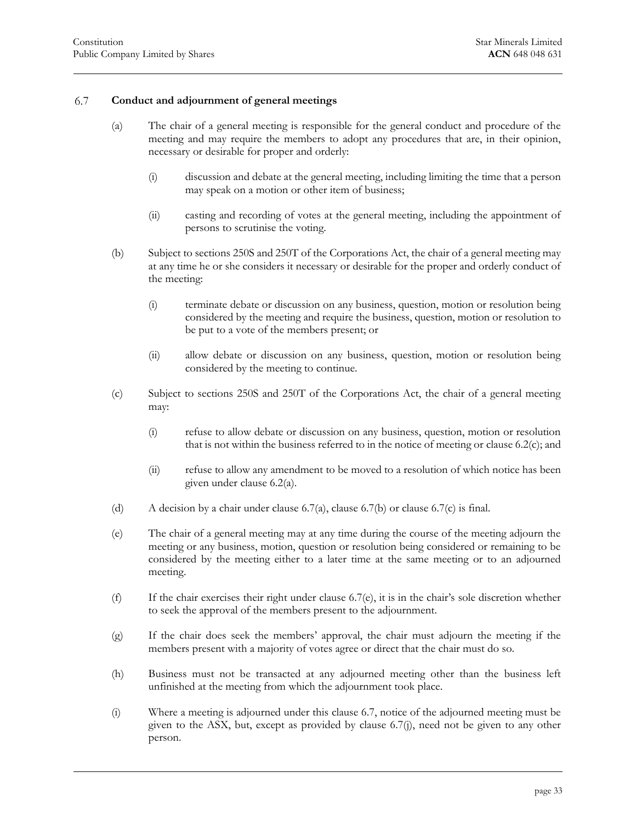#### <span id="page-33-1"></span>6.7 **Conduct and adjournment of general meetings**

- <span id="page-33-0"></span>(a) The chair of a general meeting is responsible for the general conduct and procedure of the meeting and may require the members to adopt any procedures that are, in their opinion, necessary or desirable for proper and orderly:
	- (i) discussion and debate at the general meeting, including limiting the time that a person may speak on a motion or other item of business;
	- (ii) casting and recording of votes at the general meeting, including the appointment of persons to scrutinise the voting.
- <span id="page-33-2"></span>(b) Subject to sections 250S and 250T of the Corporations Act, the chair of a general meeting may at any time he or she considers it necessary or desirable for the proper and orderly conduct of the meeting:
	- (i) terminate debate or discussion on any business, question, motion or resolution being considered by the meeting and require the business, question, motion or resolution to be put to a vote of the members present; or
	- (ii) allow debate or discussion on any business, question, motion or resolution being considered by the meeting to continue.
- <span id="page-33-3"></span>(c) Subject to sections 250S and 250T of the Corporations Act, the chair of a general meeting may:
	- (i) refuse to allow debate or discussion on any business, question, motion or resolution that is not within the business referred to in the notice of meeting or [clause 6.2\(c\);](#page-29-1) and
	- (ii) refuse to allow any amendment to be moved to a resolution of which notice has been given under [clause 6.2\(a\).](#page-28-4)
- (d) A decision by a chair under [clause 6.7\(a\),](#page-33-1) [clause 6.7\(b\)](#page-33-2) or [clause 6.7\(c\)](#page-33-3) is final.
- <span id="page-33-4"></span>(e) The chair of a general meeting may at any time during the course of the meeting adjourn the meeting or any business, motion, question or resolution being considered or remaining to be considered by the meeting either to a later time at the same meeting or to an adjourned meeting.
- (f) If the chair exercises their right under [clause 6.7\(e\),](#page-33-4) it is in the chair's sole discretion whether to seek the approval of the members present to the adjournment.
- (g) If the chair does seek the members' approval, the chair must adjourn the meeting if the members present with a majority of votes agree or direct that the chair must do so.
- (h) Business must not be transacted at any adjourned meeting other than the business left unfinished at the meeting from which the adjournment took place.
- (i) Where a meeting is adjourned under this [clause 6.7,](#page-33-0) notice of the adjourned meeting must be given to the ASX, but, except as provided by [clause 6.7\(j\),](#page-34-1) need not be given to any other person.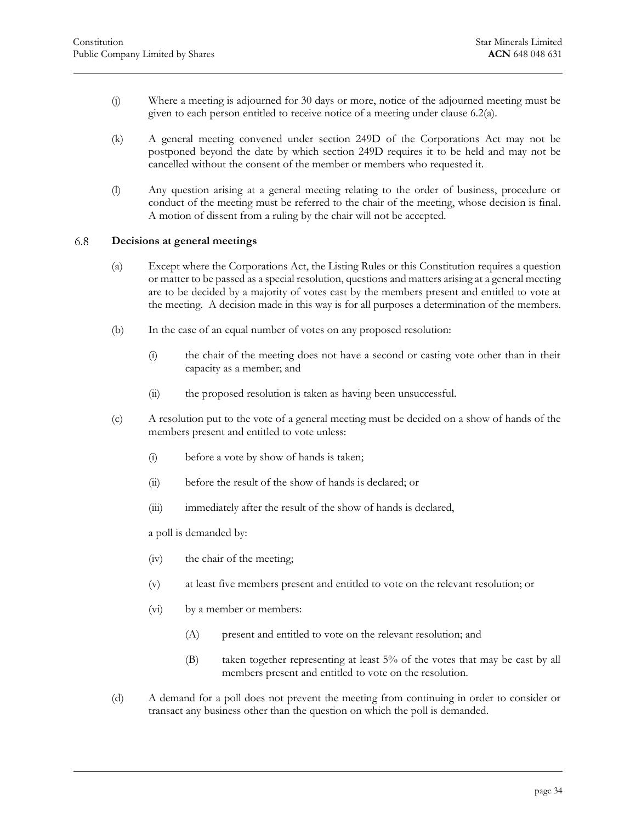- <span id="page-34-1"></span>(j) Where a meeting is adjourned for 30 days or more, notice of the adjourned meeting must be given to each person entitled to receive notice of a meeting under [clause 6.2\(a\).](#page-28-4)
- (k) A general meeting convened under section 249D of the Corporations Act may not be postponed beyond the date by which section 249D requires it to be held and may not be cancelled without the consent of the member or members who requested it.
- (l) Any question arising at a general meeting relating to the order of business, procedure or conduct of the meeting must be referred to the chair of the meeting, whose decision is final. A motion of dissent from a ruling by the chair will not be accepted.

#### <span id="page-34-0"></span>6.8 **Decisions at general meetings**

- (a) Except where the Corporations Act, the Listing Rules or this Constitution requires a question or matter to be passed as a special resolution, questions and matters arising at a general meeting are to be decided by a majority of votes cast by the members present and entitled to vote at the meeting. A decision made in this way is for all purposes a determination of the members.
- (b) In the case of an equal number of votes on any proposed resolution:
	- (i) the chair of the meeting does not have a second or casting vote other than in their capacity as a member; and
	- (ii) the proposed resolution is taken as having been unsuccessful.
- (c) A resolution put to the vote of a general meeting must be decided on a show of hands of the members present and entitled to vote unless:
	- (i) before a vote by show of hands is taken;
	- (ii) before the result of the show of hands is declared; or
	- (iii) immediately after the result of the show of hands is declared,

a poll is demanded by:

- (iv) the chair of the meeting;
- (v) at least five members present and entitled to vote on the relevant resolution; or
- (vi) by a member or members:
	- (A) present and entitled to vote on the relevant resolution; and
	- (B) taken together representing at least 5% of the votes that may be cast by all members present and entitled to vote on the resolution.
- (d) A demand for a poll does not prevent the meeting from continuing in order to consider or transact any business other than the question on which the poll is demanded.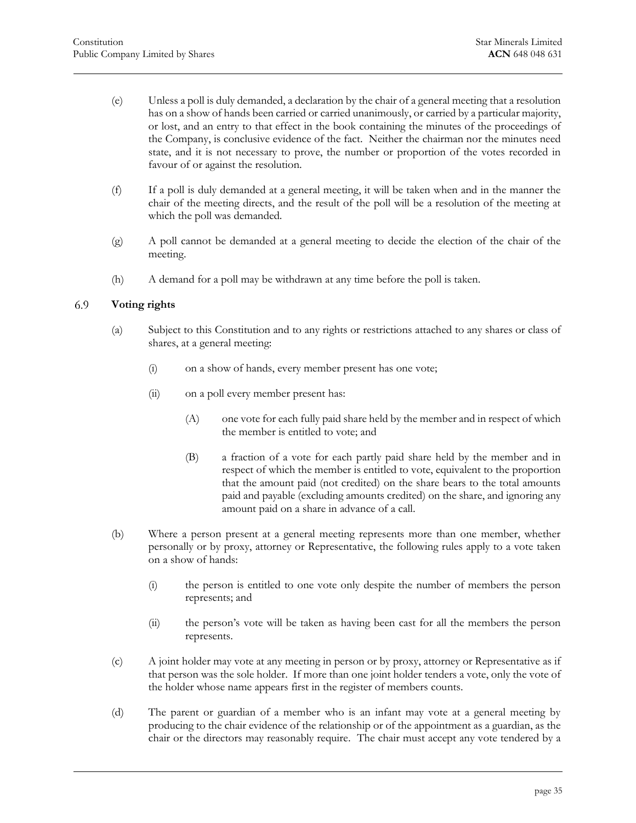- (e) Unless a poll is duly demanded, a declaration by the chair of a general meeting that a resolution has on a show of hands been carried or carried unanimously, or carried by a particular majority, or lost, and an entry to that effect in the book containing the minutes of the proceedings of the Company, is conclusive evidence of the fact. Neither the chairman nor the minutes need state, and it is not necessary to prove, the number or proportion of the votes recorded in favour of or against the resolution.
- (f) If a poll is duly demanded at a general meeting, it will be taken when and in the manner the chair of the meeting directs, and the result of the poll will be a resolution of the meeting at which the poll was demanded.
- (g) A poll cannot be demanded at a general meeting to decide the election of the chair of the meeting.
- <span id="page-35-0"></span>(h) A demand for a poll may be withdrawn at any time before the poll is taken.

#### 6.9 **Voting rights**

- (a) Subject to this Constitution and to any rights or restrictions attached to any shares or class of shares, at a general meeting:
	- (i) on a show of hands, every member present has one vote;
	- (ii) on a poll every member present has:
		- (A) one vote for each fully paid share held by the member and in respect of which the member is entitled to vote; and
		- (B) a fraction of a vote for each partly paid share held by the member and in respect of which the member is entitled to vote, equivalent to the proportion that the amount paid (not credited) on the share bears to the total amounts paid and payable (excluding amounts credited) on the share, and ignoring any amount paid on a share in advance of a call.
- (b) Where a person present at a general meeting represents more than one member, whether personally or by proxy, attorney or Representative, the following rules apply to a vote taken on a show of hands:
	- (i) the person is entitled to one vote only despite the number of members the person represents; and
	- (ii) the person's vote will be taken as having been cast for all the members the person represents.
- (c) A joint holder may vote at any meeting in person or by proxy, attorney or Representative as if that person was the sole holder. If more than one joint holder tenders a vote, only the vote of the holder whose name appears first in the register of members counts.
- (d) The parent or guardian of a member who is an infant may vote at a general meeting by producing to the chair evidence of the relationship or of the appointment as a guardian, as the chair or the directors may reasonably require. The chair must accept any vote tendered by a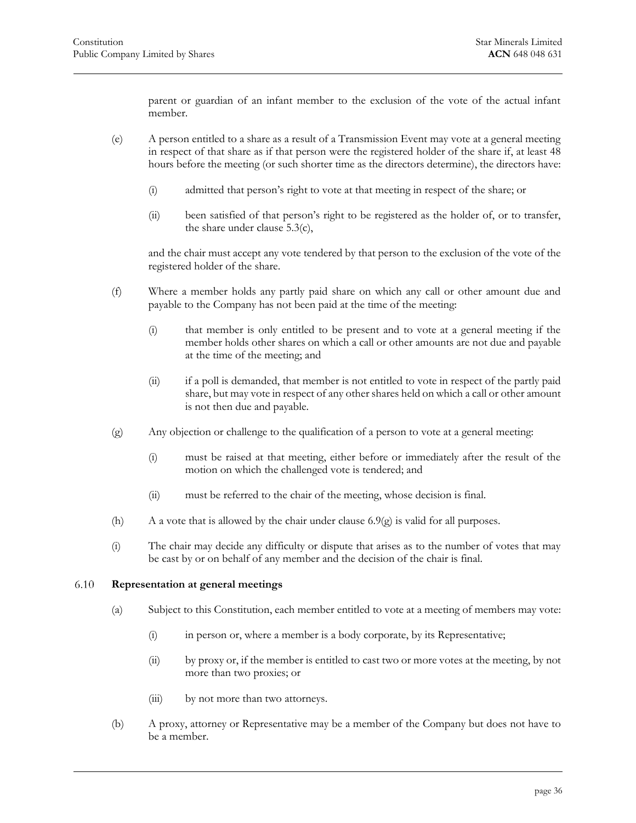parent or guardian of an infant member to the exclusion of the vote of the actual infant member.

- (e) A person entitled to a share as a result of a Transmission Event may vote at a general meeting in respect of that share as if that person were the registered holder of the share if, at least 48 hours before the meeting (or such shorter time as the directors determine), the directors have:
	- (i) admitted that person's right to vote at that meeting in respect of the share; or
	- (ii) been satisfied of that person's right to be registered as the holder of, or to transfer, the share under [clause 5.3\(c\),](#page-27-3)

and the chair must accept any vote tendered by that person to the exclusion of the vote of the registered holder of the share.

- (f) Where a member holds any partly paid share on which any call or other amount due and payable to the Company has not been paid at the time of the meeting:
	- (i) that member is only entitled to be present and to vote at a general meeting if the member holds other shares on which a call or other amounts are not due and payable at the time of the meeting; and
	- (ii) if a poll is demanded, that member is not entitled to vote in respect of the partly paid share, but may vote in respect of any other shares held on which a call or other amount is not then due and payable.
- <span id="page-36-1"></span>(g) Any objection or challenge to the qualification of a person to vote at a general meeting:
	- (i) must be raised at that meeting, either before or immediately after the result of the motion on which the challenged vote is tendered; and
	- (ii) must be referred to the chair of the meeting, whose decision is final.
- (h) A a vote that is allowed by the chair under clause  $6.9(g)$  is valid for all purposes.
- <span id="page-36-0"></span>(i) The chair may decide any difficulty or dispute that arises as to the number of votes that may be cast by or on behalf of any member and the decision of the chair is final.

#### 6.10 **Representation at general meetings**

- (a) Subject to this Constitution, each member entitled to vote at a meeting of members may vote:
	- (i) in person or, where a member is a body corporate, by its Representative;
	- (ii) by proxy or, if the member is entitled to cast two or more votes at the meeting, by not more than two proxies; or
	- (iii) by not more than two attorneys.
- (b) A proxy, attorney or Representative may be a member of the Company but does not have to be a member.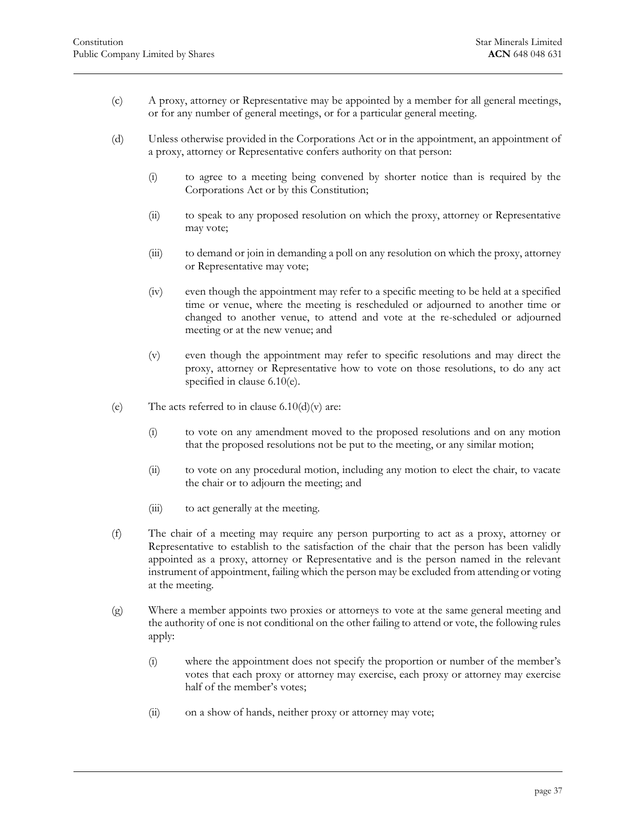- (c) A proxy, attorney or Representative may be appointed by a member for all general meetings, or for any number of general meetings, or for a particular general meeting.
- (d) Unless otherwise provided in the Corporations Act or in the appointment, an appointment of a proxy, attorney or Representative confers authority on that person:
	- (i) to agree to a meeting being convened by shorter notice than is required by the Corporations Act or by this Constitution;
	- (ii) to speak to any proposed resolution on which the proxy, attorney or Representative may vote;
	- (iii) to demand or join in demanding a poll on any resolution on which the proxy, attorney or Representative may vote;
	- (iv) even though the appointment may refer to a specific meeting to be held at a specified time or venue, where the meeting is rescheduled or adjourned to another time or changed to another venue, to attend and vote at the re-scheduled or adjourned meeting or at the new venue; and
	- (v) even though the appointment may refer to specific resolutions and may direct the proxy, attorney or Representative how to vote on those resolutions, to do any act specified in [clause 6.10\(e\).](#page-37-0)
- <span id="page-37-1"></span><span id="page-37-0"></span>(e) The acts referred to in clause  $6.10(d)(v)$  are:
	- (i) to vote on any amendment moved to the proposed resolutions and on any motion that the proposed resolutions not be put to the meeting, or any similar motion;
	- (ii) to vote on any procedural motion, including any motion to elect the chair, to vacate the chair or to adjourn the meeting; and
	- (iii) to act generally at the meeting.
- (f) The chair of a meeting may require any person purporting to act as a proxy, attorney or Representative to establish to the satisfaction of the chair that the person has been validly appointed as a proxy, attorney or Representative and is the person named in the relevant instrument of appointment, failing which the person may be excluded from attending or voting at the meeting.
- (g) Where a member appoints two proxies or attorneys to vote at the same general meeting and the authority of one is not conditional on the other failing to attend or vote, the following rules apply:
	- (i) where the appointment does not specify the proportion or number of the member's votes that each proxy or attorney may exercise, each proxy or attorney may exercise half of the member's votes;
	- (ii) on a show of hands, neither proxy or attorney may vote;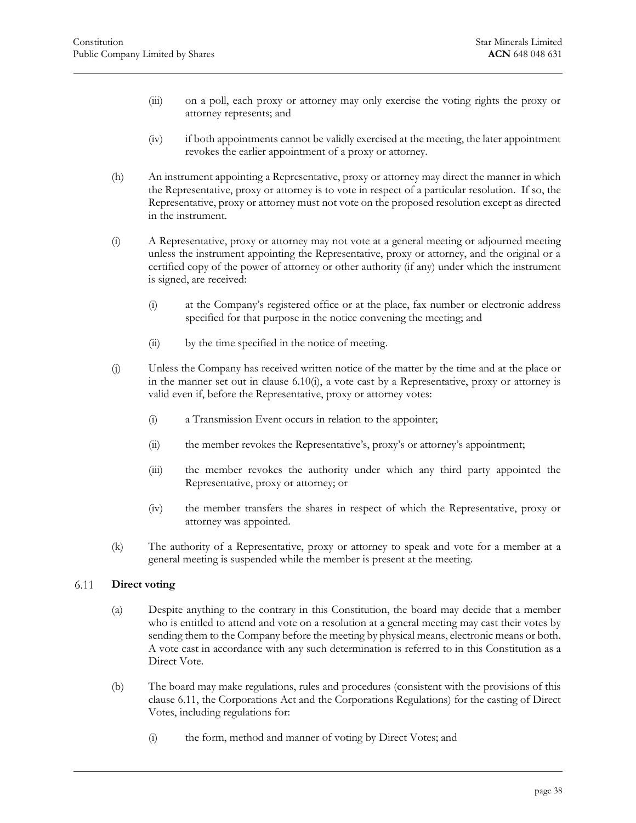- (iii) on a poll, each proxy or attorney may only exercise the voting rights the proxy or attorney represents; and
- (iv) if both appointments cannot be validly exercised at the meeting, the later appointment revokes the earlier appointment of a proxy or attorney.
- (h) An instrument appointing a Representative, proxy or attorney may direct the manner in which the Representative, proxy or attorney is to vote in respect of a particular resolution. If so, the Representative, proxy or attorney must not vote on the proposed resolution except as directed in the instrument.
- <span id="page-38-2"></span>(i) A Representative, proxy or attorney may not vote at a general meeting or adjourned meeting unless the instrument appointing the Representative, proxy or attorney, and the original or a certified copy of the power of attorney or other authority (if any) under which the instrument is signed, are received:
	- (i) at the Company's registered office or at the place, fax number or electronic address specified for that purpose in the notice convening the meeting; and
	- (ii) by the time specified in the notice of meeting.
- (j) Unless the Company has received written notice of the matter by the time and at the place or in the manner set out in [clause 6.10\(i\),](#page-38-2) a vote cast by a Representative, proxy or attorney is valid even if, before the Representative, proxy or attorney votes:
	- (i) a Transmission Event occurs in relation to the appointer;
	- (ii) the member revokes the Representative's, proxy's or attorney's appointment;
	- (iii) the member revokes the authority under which any third party appointed the Representative, proxy or attorney; or
	- (iv) the member transfers the shares in respect of which the Representative, proxy or attorney was appointed.
- <span id="page-38-0"></span>(k) The authority of a Representative, proxy or attorney to speak and vote for a member at a general meeting is suspended while the member is present at the meeting.

#### <span id="page-38-3"></span>6.11 **Direct voting**

- (a) Despite anything to the contrary in this Constitution, the board may decide that a member who is entitled to attend and vote on a resolution at a general meeting may cast their votes by sending them to the Company before the meeting by physical means, electronic means or both. A vote cast in accordance with any such determination is referred to in this Constitution as a Direct Vote.
- <span id="page-38-1"></span>(b) The board may make regulations, rules and procedures (consistent with the provisions of this [clause 6.11,](#page-38-0) the Corporations Act and the Corporations Regulations) for the casting of Direct Votes, including regulations for:
	- (i) the form, method and manner of voting by Direct Votes; and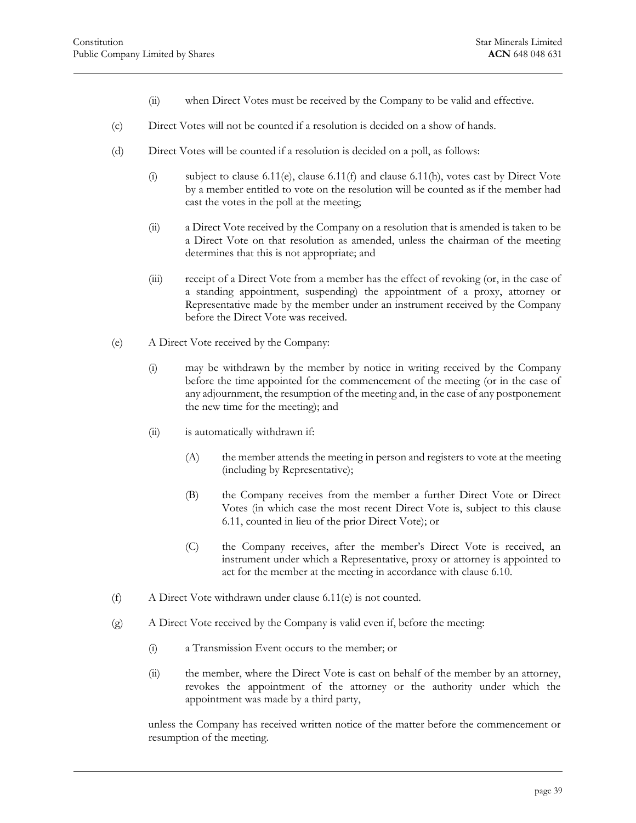- (ii) when Direct Votes must be received by the Company to be valid and effective.
- <span id="page-39-2"></span>(c) Direct Votes will not be counted if a resolution is decided on a show of hands.
- (d) Direct Votes will be counted if a resolution is decided on a poll, as follows:
	- (i) subject to [clause 6.11\(e\),](#page-39-0) [clause 6.11\(f\)](#page-39-1) and [clause 6.11\(h\),](#page-40-2) votes cast by Direct Vote by a member entitled to vote on the resolution will be counted as if the member had cast the votes in the poll at the meeting;
	- (ii) a Direct Vote received by the Company on a resolution that is amended is taken to be a Direct Vote on that resolution as amended, unless the chairman of the meeting determines that this is not appropriate; and
	- (iii) receipt of a Direct Vote from a member has the effect of revoking (or, in the case of a standing appointment, suspending) the appointment of a proxy, attorney or Representative made by the member under an instrument received by the Company before the Direct Vote was received.
- <span id="page-39-0"></span>(e) A Direct Vote received by the Company:
	- (i) may be withdrawn by the member by notice in writing received by the Company before the time appointed for the commencement of the meeting (or in the case of any adjournment, the resumption of the meeting and, in the case of any postponement the new time for the meeting); and
	- (ii) is automatically withdrawn if:
		- (A) the member attends the meeting in person and registers to vote at the meeting (including by Representative);
		- (B) the Company receives from the member a further Direct Vote or Direct Votes (in which case the most recent Direct Vote is, subject to this [clause](#page-38-0)  [6.11,](#page-38-0) counted in lieu of the prior Direct Vote); or
		- (C) the Company receives, after the member's Direct Vote is received, an instrument under which a Representative, proxy or attorney is appointed to act for the member at the meeting in accordance with [clause 6.10.](#page-36-0)
- <span id="page-39-1"></span>(f) A Direct Vote withdrawn under [clause 6.11\(e\)](#page-39-0) is not counted.
- (g) A Direct Vote received by the Company is valid even if, before the meeting:
	- (i) a Transmission Event occurs to the member; or
	- (ii) the member, where the Direct Vote is cast on behalf of the member by an attorney, revokes the appointment of the attorney or the authority under which the appointment was made by a third party,

unless the Company has received written notice of the matter before the commencement or resumption of the meeting.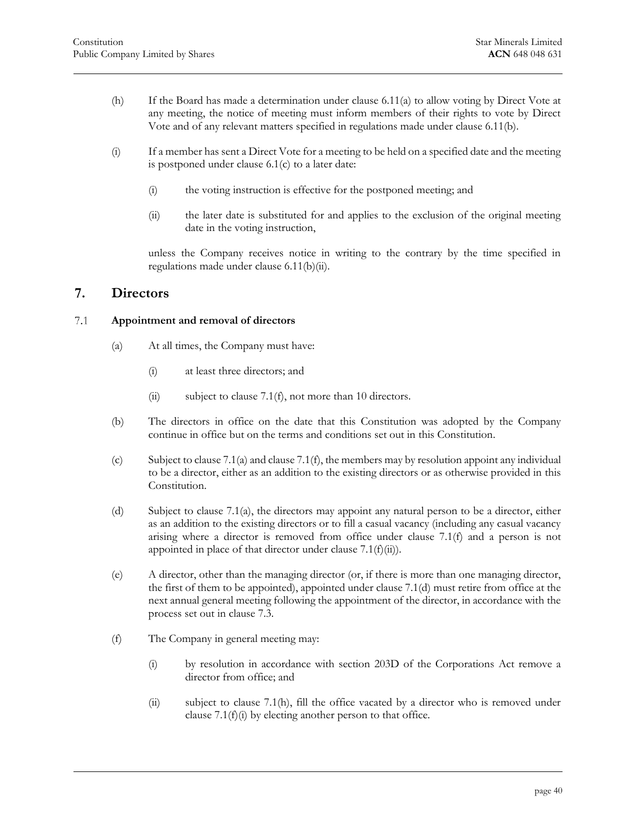- <span id="page-40-2"></span>(h) If the Board has made a determination under [clause 6](#page-38-3).11(a) to allow voting by Direct Vote at any meeting, the notice of meeting must inform [members](#page-38-3) of their rights to vote by Direct Vote and of any relevant matters specified in regulations made unde[r clause 6.11\(b\).](#page-38-1)
- (i) If a member has sent a Direct Vote for a meeting to be held on a specified date and the meeting is postponed under [clause 6.1\(c\)](#page-28-5) to a later date:
	- (i) the voting instruction is effective for the postponed meeting; and
	- (ii) the later date is substituted for and applies to the exclusion of the original meeting date in the voting instruction,

unless the Company receives notice in writing to the contrary by the time specified in regulations made under [clause 6.11\(b\)\(ii\).](#page-39-2)

# <span id="page-40-0"></span>**7. Directors**

#### <span id="page-40-4"></span><span id="page-40-1"></span> $7.1$ **Appointment and removal of directors**

- (a) At all times, the Company must have:
	- (i) at least three directors; and
	- (ii) subject to [clause 7.1\(f\),](#page-40-3) not more than 10 directors.
- (b) The directors in office on the date that this Constitution was adopted by the Company continue in office but on the terms and conditions set out in this Constitution.
- (c) Subject t[o clause 7.1\(a\)](#page-40-4) an[d clause 7.1\(f\),](#page-40-3) the members may by resolution appoint any individual to be a director, either as an addition to the existing directors or as otherwise provided in this Constitution.
- <span id="page-40-6"></span>(d) Subject to [clause 7.1\(a\),](#page-40-4) the directors may appoint any natural person to be a director, either as an addition to the existing directors or to fill a casual vacancy (including any casual vacancy arising where a director is removed from office under [clause 7.1\(f\)](#page-40-3) and a person is not appointed in place of that director under clause  $7.1(f)(ii)$ .
- <span id="page-40-8"></span>(e) A director, other than the managing director (or, if there is more than one managing director, the first of them to be appointed), appointed under [clause 7.1\(d\)](#page-40-6) must retire from office at the next annual general meeting following the appointment of the director, in accordance with the process set out in [clause 7.3.](#page-42-0)
- <span id="page-40-7"></span><span id="page-40-5"></span><span id="page-40-3"></span>(f) The Company in general meeting may:
	- (i) by resolution in accordance with section 203D of the Corporations Act remove a director from office; and
	- (ii) subject to [clause 7.1\(h\),](#page-41-1) fill the office vacated by a director who is removed under clause  $7.1(f)(i)$  by electing another person to that office.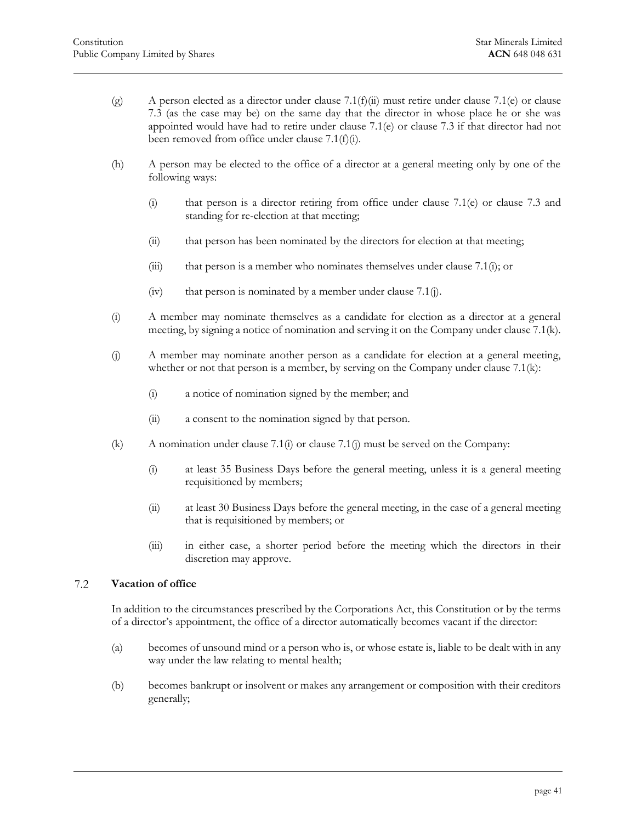- (g) A person elected as a director under [clause](#page-42-0)  $7.1(f)(ii)$  must retire under clause  $7.1(e)$  or clause [7.3](#page-42-0) (as the case may be) on the same day [that the](#page-40-5) director in whose plac[e he or](#page-40-8) she was appointed would have had to retire under [clause 7.1\(e\)](#page-40-8) or [clause 7.3](#page-42-0) if that director had not been removed from office under [clause 7.1\(f\)\(i\).](#page-40-7)
- <span id="page-41-1"></span>(h) A person may be elected to the office of a director at a general meeting only by one of the following ways:
	- (i) that person is a director retiring from office under [clause 7.1\(e\)](#page-40-8) or [clause 7.3](#page-42-0) and standing for re-election at that meeting;
	- (ii) that person has been nominated by the directors for election at that meeting;
	- (iii) that person is a member who nominates themselves under clause  $7.1(i)$ ; or
	- $(iv)$  that person is nominated by a member under [clause 7.1\(j\).](#page-41-3)
- <span id="page-41-2"></span>(i) A member may nominate themselves as a candidate for election as a director at a general meeting, by signing a notice of nomination and serving it on the Company unde[r clause 7.1\(k\).](#page-41-4)
- <span id="page-41-3"></span>(j) A member may nominate another person as a candidate for election at a general meeting, whether or not that person is a member, by serving on the Company unde[r clause 7.1\(k\):](#page-41-4)
	- (i) a notice of nomination signed by the member; and
	- (ii) a consent to the nomination signed by that person.
- <span id="page-41-4"></span>(k) A nomination unde[r clause 7.1\(i\)](#page-41-2) or [clause 7.1\(j\)](#page-41-3) must be served on the Company:
	- (i) at least 35 Business Days before the general meeting, unless it is a general meeting requisitioned by members;
	- (ii) at least 30 Business Days before the general meeting, in the case of a general meeting that is requisitioned by members; or
	- (iii) in either case, a shorter period before the meeting which the directors in their discretion may approve.

#### <span id="page-41-0"></span> $7.2$ **Vacation of office**

In addition to the circumstances prescribed by the Corporations Act, this Constitution or by the terms of a director's appointment, the office of a director automatically becomes vacant if the director:

- (a) becomes of unsound mind or a person who is, or whose estate is, liable to be dealt with in any way under the law relating to mental health;
- (b) becomes bankrupt or insolvent or makes any arrangement or composition with their creditors generally;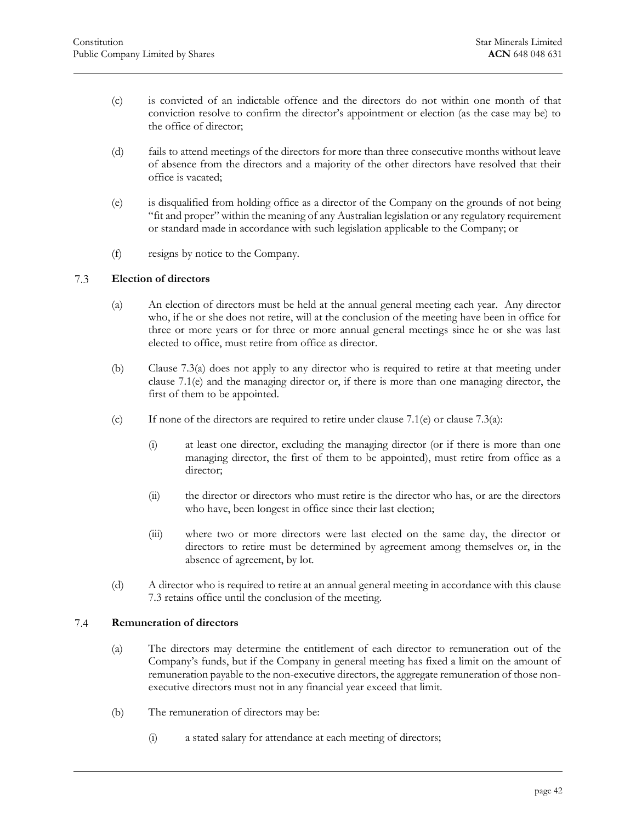- (c) is convicted of an indictable offence and the directors do not within one month of that conviction resolve to confirm the director's appointment or election (as the case may be) to the office of director;
- (d) fails to attend meetings of the directors for more than three consecutive months without leave of absence from the directors and a majority of the other directors have resolved that their office is vacated;
- (e) is disqualified from holding office as a director of the Company on the grounds of not being "fit and proper" within the meaning of any Australian legislation or any regulatory requirement or standard made in accordance with such legislation applicable to the Company; or
- <span id="page-42-0"></span>(f) resigns by notice to the Company.

#### <span id="page-42-2"></span>7.3 **Election of directors**

- (a) An election of directors must be held at the annual general meeting each year. Any director who, if he or she does not retire, will at the conclusion of the meeting have been in office for three or more years or for three or more annual general meetings since he or she was last elected to office, must retire from office as director.
- (b) Clause [7.3\(a\)](#page-42-2) does not apply to any director who is required to retire at that meeting under [clause 7.1\(e\)](#page-40-8) and the managing director or, if there is more than one managing director, the first of them to be appointed.
- (c) If none of the directors are required to retire under [clause 7.1\(e\)](#page-40-8) or clause [7.3\(a\):](#page-42-2)
	- (i) at least one director, excluding the managing director (or if there is more than one managing director, the first of them to be appointed), must retire from office as a director;
	- (ii) the director or directors who must retire is the director who has, or are the directors who have, been longest in office since their last election;
	- (iii) where two or more directors were last elected on the same day, the director or directors to retire must be determined by agreement among themselves or, in the absence of agreement, by lot.
- <span id="page-42-1"></span>(d) A director who is required to retire at an annual general meeting in accordance with this [clause](#page-42-0)  [7.3](#page-42-0) retains office until the conclusion of the meeting.

#### <span id="page-42-4"></span> $7.4$ **Remuneration of directors**

- (a) The directors may determine the entitlement of each director to remuneration out of the Company's funds, but if the Company in general meeting has fixed a limit on the amount of remuneration payable to the non-executive directors, the aggregate remuneration of those nonexecutive directors must not in any financial year exceed that limit.
- <span id="page-42-3"></span>(b) The remuneration of directors may be:
	- (i) a stated salary for attendance at each meeting of directors;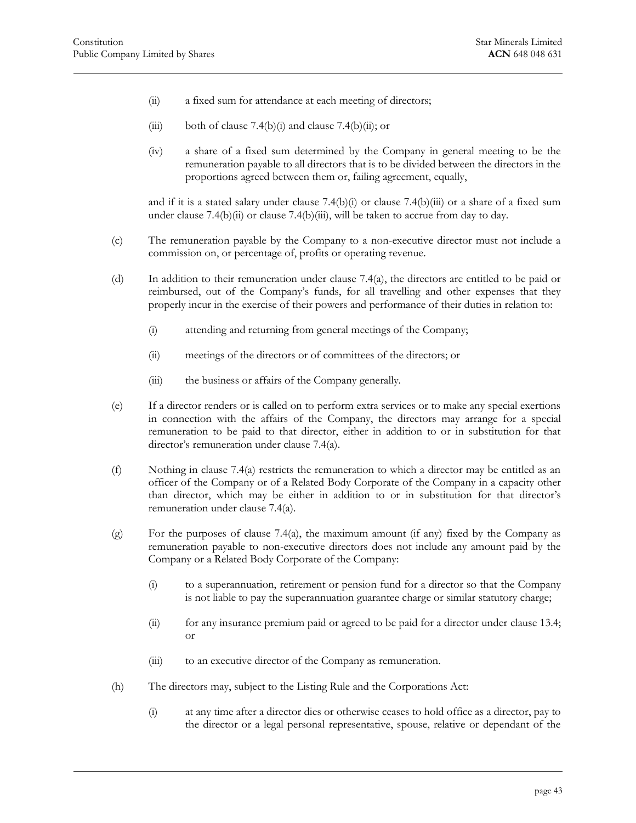- <span id="page-43-1"></span><span id="page-43-0"></span>(ii) a fixed sum for attendance at each meeting of directors;
- (iii) both of [clause 7.4\(b\)\(i\)](#page-42-3) and [clause 7.4\(b\)\(ii\);](#page-43-0) or
- (iv) a share of a fixed sum determined by the Company in general meeting to be the remuneration payable to all directors that is to be divided between the directors in the proportions agreed between them or, failing agreement, equally,

and if it is a stated salary under clause  $7.4(b)(i)$  or clause  $7.4(b)(iii)$  or a share of a fixed sum under clause  $7.4(b)(ii)$  or clause  $7.4(b)(iii)$ , will be taken to accrue from day to day.

- (c) The remuneration payable by the Company to a non-executive director must not include a commission on, or percentage of, profits or operating revenue.
- <span id="page-43-3"></span>(d) In addition to their remuneration under [clause 7.4\(a\),](#page-42-4) the directors are entitled to be paid or reimbursed, out of the Company's funds, for all travelling and other expenses that they properly incur in the exercise of their powers and performance of their duties in relation to:
	- (i) attending and returning from general meetings of the Company;
	- (ii) meetings of the directors or of committees of the directors; or
	- (iii) the business or affairs of the Company generally.
- <span id="page-43-2"></span>(e) If a director renders or is called on to perform extra services or to make any special exertions in connection with the affairs of the Company, the directors may arrange for a special remuneration to be paid to that director, either in addition to or in substitution for that director's remuneration under [clause 7.4\(a\).](#page-42-4)
- (f) Nothing in [clause 7.4\(a\)](#page-42-4) restricts the remuneration to which a director may be entitled as an officer of the Company or of a Related Body Corporate of the Company in a capacity other than director, which may be either in addition to or in substitution for that director's remuneration under [clause 7.4\(a\).](#page-42-4)
- $(g)$  For the purposes of [clause 7.4\(a\),](#page-42-4) the maximum amount (if any) fixed by the Company as remuneration payable to non-executive directors does not include any amount paid by the Company or a Related Body Corporate of the Company:
	- (i) to a superannuation, retirement or pension fund for a director so that the Company is not liable to pay the superannuation guarantee charge or similar statutory charge;
	- (ii) for any insurance premium paid or agreed to be paid for a director under [clause 13.4;](#page-64-0) or
	- (iii) to an executive director of the Company as remuneration.
- (h) The directors may, subject to the Listing Rule and the Corporations Act:
	- (i) at any time after a director dies or otherwise ceases to hold office as a director, pay to the director or a legal personal representative, spouse, relative or dependant of the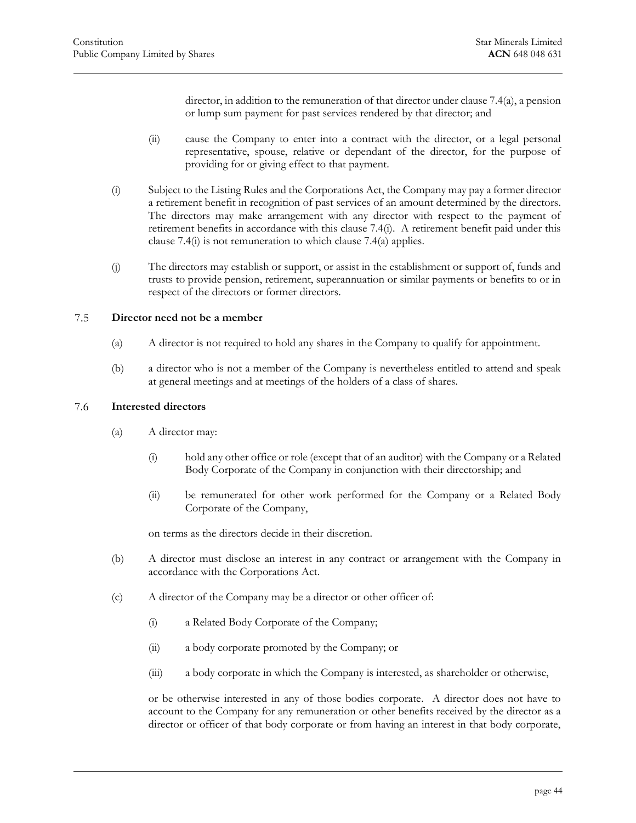director, in addition to the remuneration of that director unde[r clause 7.4\(a\),](#page-42-4) a pension or lump sum payment for past services rendered by that director; and

- (ii) cause the Company to enter into a contract with the director, or a legal personal representative, spouse, relative or dependant of the director, for the purpose of providing for or giving effect to that payment.
- <span id="page-44-2"></span>(i) Subject to the Listing Rules and the Corporations Act, the Company may pay a former director a retirement benefit in recognition of past services of an amount determined by the directors. The directors may make arrangement with any director with respect to the payment of retirement benefits in accordance with this [clause 7.4\(i\).](#page-44-2) A retirement benefit paid under this [clause 7.4\(i\)](#page-44-2) is not remuneration to which [clause 7.4\(a\)](#page-42-4) applies.
- (j) The directors may establish or support, or assist in the establishment or support of, funds and trusts to provide pension, retirement, superannuation or similar payments or benefits to or in respect of the directors or former directors.

#### <span id="page-44-0"></span>7.5 **Director need not be a member**

- (a) A director is not required to hold any shares in the Company to qualify for appointment.
- <span id="page-44-1"></span>(b) a director who is not a member of the Company is nevertheless entitled to attend and speak at general meetings and at meetings of the holders of a class of shares.

#### 7.6 **Interested directors**

- (a) A director may:
	- (i) hold any other office or role (except that of an auditor) with the Company or a Related Body Corporate of the Company in conjunction with their directorship; and
	- (ii) be remunerated for other work performed for the Company or a Related Body Corporate of the Company,

on terms as the directors decide in their discretion.

- (b) A director must disclose an interest in any contract or arrangement with the Company in accordance with the Corporations Act.
- (c) A director of the Company may be a director or other officer of:
	- (i) a Related Body Corporate of the Company;
	- (ii) a body corporate promoted by the Company; or
	- (iii) a body corporate in which the Company is interested, as shareholder or otherwise,

or be otherwise interested in any of those bodies corporate. A director does not have to account to the Company for any remuneration or other benefits received by the director as a director or officer of that body corporate or from having an interest in that body corporate,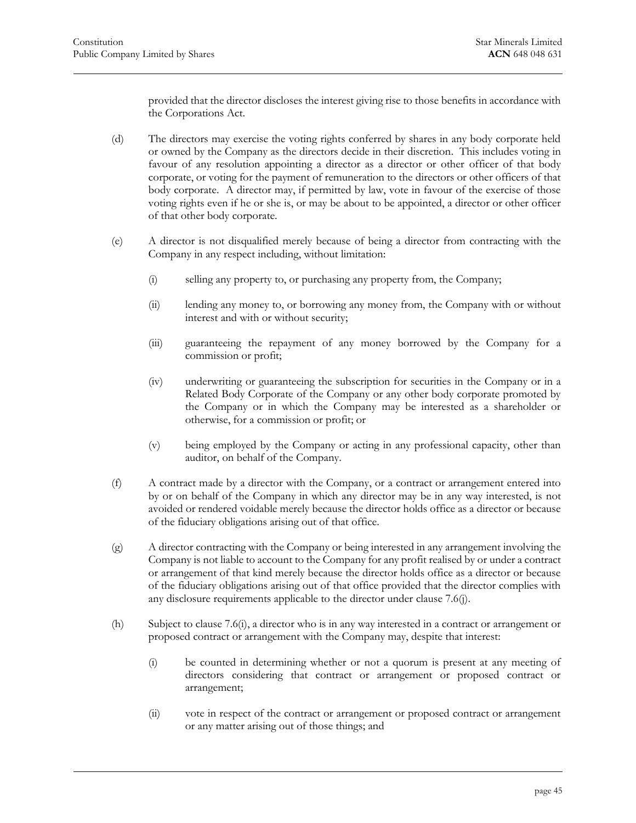provided that the director discloses the interest giving rise to those benefits in accordance with the Corporations Act.

- (d) The directors may exercise the voting rights conferred by shares in any body corporate held or owned by the Company as the directors decide in their discretion. This includes voting in favour of any resolution appointing a director as a director or other officer of that body corporate, or voting for the payment of remuneration to the directors or other officers of that body corporate. A director may, if permitted by law, vote in favour of the exercise of those voting rights even if he or she is, or may be about to be appointed, a director or other officer of that other body corporate.
- (e) A director is not disqualified merely because of being a director from contracting with the Company in any respect including, without limitation:
	- (i) selling any property to, or purchasing any property from, the Company;
	- (ii) lending any money to, or borrowing any money from, the Company with or without interest and with or without security;
	- (iii) guaranteeing the repayment of any money borrowed by the Company for a commission or profit;
	- (iv) underwriting or guaranteeing the subscription for securities in the Company or in a Related Body Corporate of the Company or any other body corporate promoted by the Company or in which the Company may be interested as a shareholder or otherwise, for a commission or profit; or
	- (v) being employed by the Company or acting in any professional capacity, other than auditor, on behalf of the Company.
- (f) A contract made by a director with the Company, or a contract or arrangement entered into by or on behalf of the Company in which any director may be in any way interested, is not avoided or rendered voidable merely because the director holds office as a director or because of the fiduciary obligations arising out of that office.
- (g) A director contracting with the Company or being interested in any arrangement involving the Company is not liable to account to the Company for any profit realised by or under a contract or arrangement of that kind merely because the director holds office as a director or because of the fiduciary obligations arising out of that office provided that the director complies with any disclosure requirements applicable to the director under [clause 7.6\(j\).](#page-46-1)
- <span id="page-45-0"></span>(h) Subject to [clause 7.6\(i\),](#page-46-2) a director who is in any way interested in a contract or arrangement or proposed contract or arrangement with the Company may, despite that interest:
	- (i) be counted in determining whether or not a quorum is present at any meeting of directors considering that contract or arrangement or proposed contract or arrangement;
	- (ii) vote in respect of the contract or arrangement or proposed contract or arrangement or any matter arising out of those things; and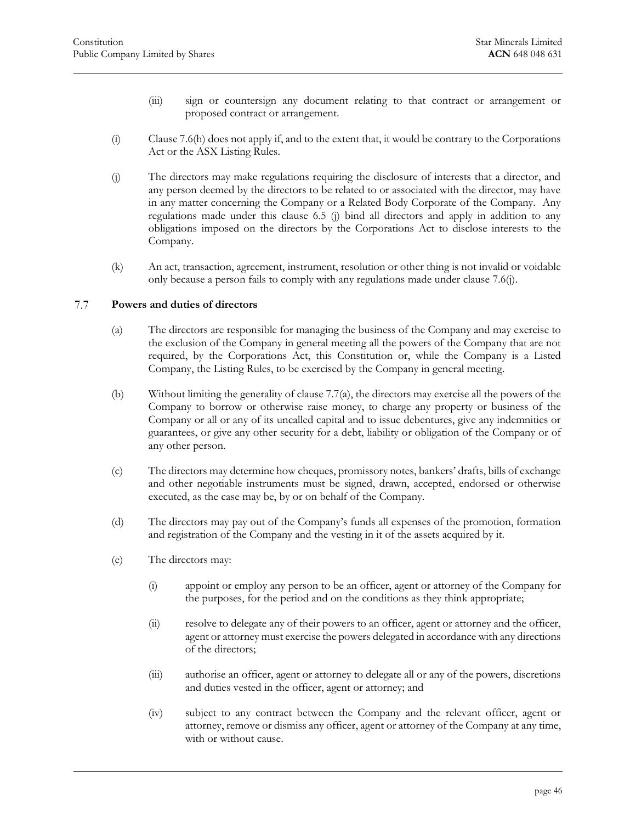- <span id="page-46-2"></span>(iii) sign or countersign any document relating to that contract or arrangement or proposed contract or arrangement.
- (i) [Clause 7.6\(h\)](#page-45-0) does not apply if, and to the extent that, it would be contrary to the Corporations Act or the ASX Listing Rules.
- <span id="page-46-1"></span>(j) The directors may make regulations requiring the disclosure of interests that a director, and any person deemed by the directors to be related to or associated with the director, may have in any matter concerning the Company or a Related Body Corporate of the Company. Any regulations made under this clause 6.5 (j) bind all directors and apply in addition to any obligations imposed on the directors by the Corporations Act to disclose interests to the Company.
- <span id="page-46-0"></span>(k) An act, transaction, agreement, instrument, resolution or other thing is not invalid or voidable only because a person fails to comply with any regulations made under [clause 7.6\(j\).](#page-46-1)

#### <span id="page-46-3"></span>7.7 **Powers and duties of directors**

- (a) The directors are responsible for managing the business of the Company and may exercise to the exclusion of the Company in general meeting all the powers of the Company that are not required, by the Corporations Act, this Constitution or, while the Company is a Listed Company, the Listing Rules, to be exercised by the Company in general meeting.
- (b) Without limiting the generality of [clause 7.7\(a\),](#page-46-3) the directors may exercise all the powers of the Company to borrow or otherwise raise money, to charge any property or business of the Company or all or any of its uncalled capital and to issue debentures, give any indemnities or guarantees, or give any other security for a debt, liability or obligation of the Company or of any other person.
- (c) The directors may determine how cheques, promissory notes, bankers' drafts, bills of exchange and other negotiable instruments must be signed, drawn, accepted, endorsed or otherwise executed, as the case may be, by or on behalf of the Company.
- (d) The directors may pay out of the Company's funds all expenses of the promotion, formation and registration of the Company and the vesting in it of the assets acquired by it.
- (e) The directors may:
	- (i) appoint or employ any person to be an officer, agent or attorney of the Company for the purposes, for the period and on the conditions as they think appropriate;
	- (ii) resolve to delegate any of their powers to an officer, agent or attorney and the officer, agent or attorney must exercise the powers delegated in accordance with any directions of the directors;
	- (iii) authorise an officer, agent or attorney to delegate all or any of the powers, discretions and duties vested in the officer, agent or attorney; and
	- (iv) subject to any contract between the Company and the relevant officer, agent or attorney, remove or dismiss any officer, agent or attorney of the Company at any time, with or without cause.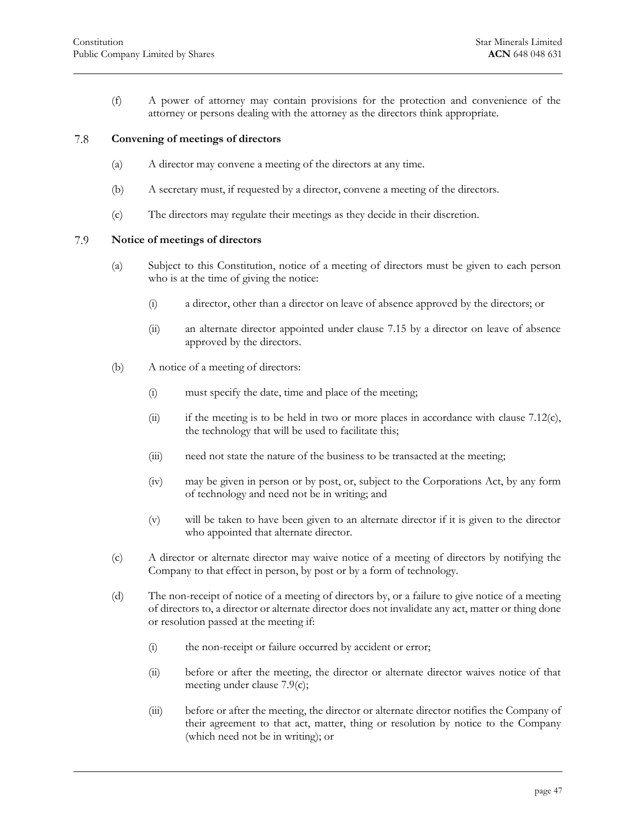<span id="page-47-0"></span>(f) A power of attorney may contain provisions for the protection and convenience of the attorney or persons dealing with the attorney as the directors think appropriate.

#### 7.8 **Convening of meetings of directors**

- (a) A director may convene a meeting of the directors at any time.
- (b) A secretary must, if requested by a director, convene a meeting of the directors.
- <span id="page-47-1"></span>(c) The directors may regulate their meetings as they decide in their discretion.

#### 7.9 **Notice of meetings of directors**

- (a) Subject to this Constitution, notice of a meeting of directors must be given to each person who is at the time of giving the notice:
	- (i) a director, other than a director on leave of absence approved by the directors; or
	- (ii) an alternate director appointed under [clause 7.15](#page-50-2) by a director on leave of absence approved by the directors.
- (b) A notice of a meeting of directors:
	- (i) must specify the date, time and place of the meeting;
	- (ii) if the meeting is to be held in two or more places in accordance with [clause 7.12\(c\),](#page-49-1) the technology that will be used to facilitate this;
	- (iii) need not state the nature of the business to be transacted at the meeting;
	- (iv) may be given in person or by post, or, subject to the Corporations Act, by any form of technology and need not be in writing; and
	- (v) will be taken to have been given to an alternate director if it is given to the director who appointed that alternate director.
- <span id="page-47-2"></span>(c) A director or alternate director may waive notice of a meeting of directors by notifying the Company to that effect in person, by post or by a form of technology.
- (d) The non-receipt of notice of a meeting of directors by, or a failure to give notice of a meeting of directors to, a director or alternate director does not invalidate any act, matter or thing done or resolution passed at the meeting if:
	- (i) the non-receipt or failure occurred by accident or error;
	- (ii) before or after the meeting, the director or alternate director waives notice of that meeting under [clause 7.9\(c\);](#page-47-2)
	- (iii) before or after the meeting, the director or alternate director notifies the Company of their agreement to that act, matter, thing or resolution by notice to the Company (which need not be in writing); or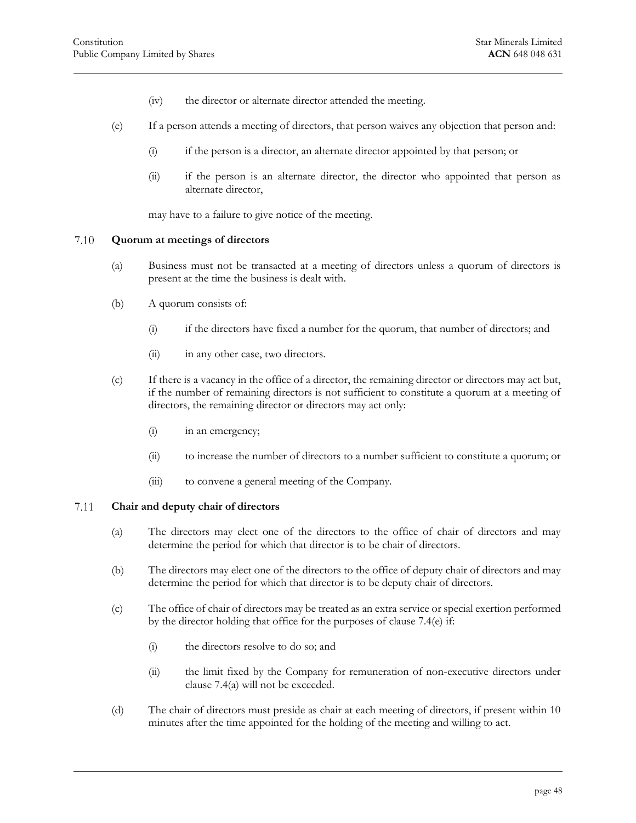- (iv) the director or alternate director attended the meeting.
- (e) If a person attends a meeting of directors, that person waives any objection that person and:
	- (i) if the person is a director, an alternate director appointed by that person; or
	- (ii) if the person is an alternate director, the director who appointed that person as alternate director,

may have to a failure to give notice of the meeting.

#### <span id="page-48-0"></span>7.10 **Quorum at meetings of directors**

- (a) Business must not be transacted at a meeting of directors unless a quorum of directors is present at the time the business is dealt with.
- (b) A quorum consists of:
	- (i) if the directors have fixed a number for the quorum, that number of directors; and
	- (ii) in any other case, two directors.
- (c) If there is a vacancy in the office of a director, the remaining director or directors may act but, if the number of remaining directors is not sufficient to constitute a quorum at a meeting of directors, the remaining director or directors may act only:
	- (i) in an emergency;
	- (ii) to increase the number of directors to a number sufficient to constitute a quorum; or
	- (iii) to convene a general meeting of the Company.

#### <span id="page-48-1"></span>7.11 **Chair and deputy chair of directors**

- (a) The directors may elect one of the directors to the office of chair of directors and may determine the period for which that director is to be chair of directors.
- (b) The directors may elect one of the directors to the office of deputy chair of directors and may determine the period for which that director is to be deputy chair of directors.
- (c) The office of chair of directors may be treated as an extra service or special exertion performed by the director holding that office for the purposes of [clause 7.4\(e\)](#page-43-2) if:
	- (i) the directors resolve to do so; and
	- (ii) the limit fixed by the Company for remuneration of non-executive directors under [clause 7.4\(a\)](#page-42-4) will not be exceeded.
- <span id="page-48-2"></span>(d) The chair of directors must preside as chair at each meeting of directors, if present within 10 minutes after the time appointed for the holding of the meeting and willing to act.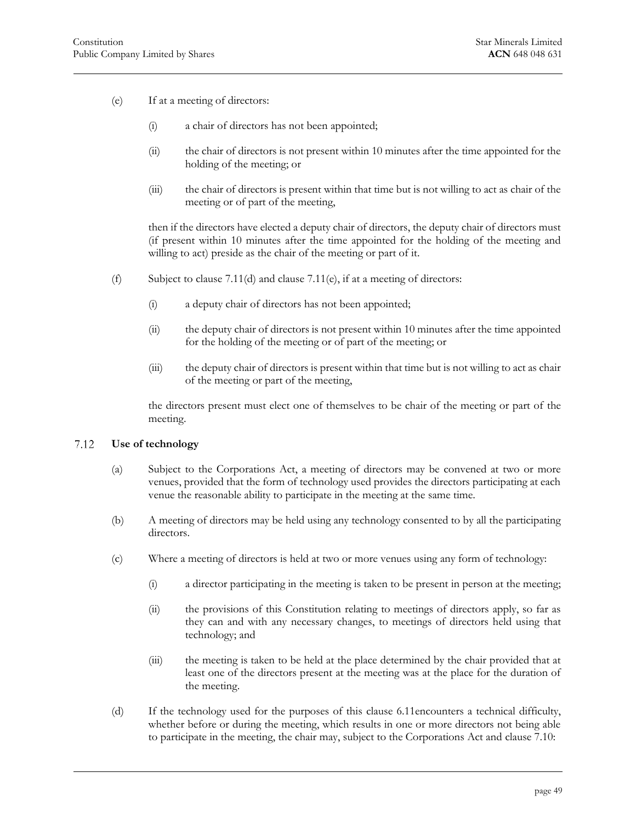- <span id="page-49-2"></span>(e) If at a meeting of directors:
	- (i) a chair of directors has not been appointed;
	- (ii) the chair of directors is not present within 10 minutes after the time appointed for the holding of the meeting; or
	- (iii) the chair of directors is present within that time but is not willing to act as chair of the meeting or of part of the meeting,

then if the directors have elected a deputy chair of directors, the deputy chair of directors must (if present within 10 minutes after the time appointed for the holding of the meeting and willing to act) preside as the chair of the meeting or part of it.

- (f) Subject to clause  $7.11(d)$  and clause  $7.11(e)$ , if at a meeting of directors:
	- (i) a deputy chair of directors has not been appointed;
	- (ii) the deputy chair of directors is not present within 10 minutes after the time appointed for the holding of the meeting or of part of the meeting; or
	- (iii) the deputy chair of directors is present within that time but is not willing to act as chair of the meeting or part of the meeting,

the directors present must elect one of themselves to be chair of the meeting or part of the meeting.

#### <span id="page-49-0"></span>7.12 **Use of technology**

- (a) Subject to the Corporations Act, a meeting of directors may be convened at two or more venues, provided that the form of technology used provides the directors participating at each venue the reasonable ability to participate in the meeting at the same time.
- (b) A meeting of directors may be held using any technology consented to by all the participating directors.
- <span id="page-49-1"></span>(c) Where a meeting of directors is held at two or more venues using any form of technology:
	- (i) a director participating in the meeting is taken to be present in person at the meeting;
	- (ii) the provisions of this Constitution relating to meetings of directors apply, so far as they can and with any necessary changes, to meetings of directors held using that technology; and
	- (iii) the meeting is taken to be held at the place determined by the chair provided that at least one of the directors present at the meeting was at the place for the duration of the meeting.
- (d) If the technology used for the purposes of this clause 6.11encounters a technical difficulty, whether before or during the meeting, which results in one or more directors not being able to participate in the meeting, the chair may, subject to the Corporations Act and [clause 7.10:](#page-48-0)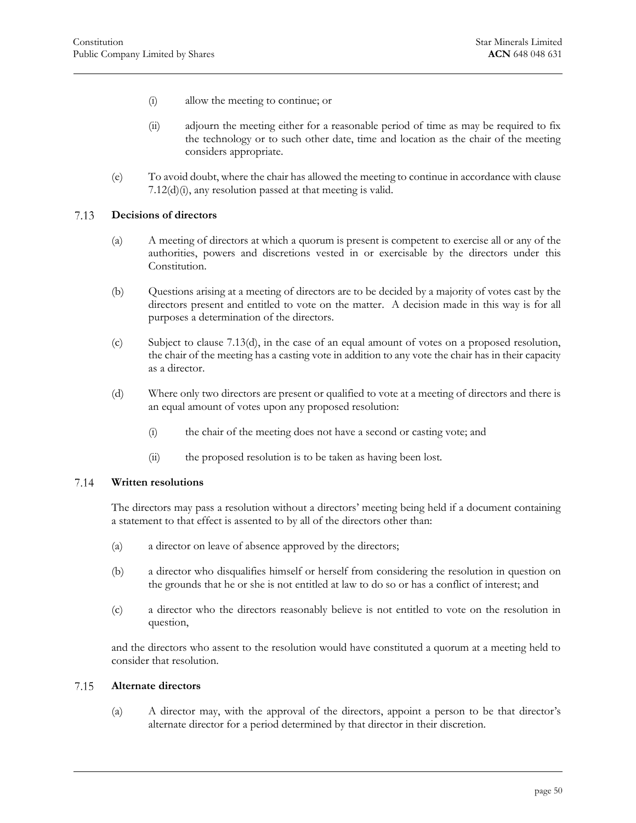- <span id="page-50-3"></span>(i) allow the meeting to continue; or
- (ii) adjourn the meeting either for a reasonable period of time as may be required to fix the technology or to such other date, time and location as the chair of the meeting considers appropriate.
- <span id="page-50-0"></span>(e) To avoid doubt, where the chair has allowed the meeting to continue in accordance wit[h clause](#page-50-3)  [7.12\(d\)\(i\),](#page-50-3) any resolution passed at that meeting is valid.

#### 7.13 **Decisions of directors**

- (a) A meeting of directors at which a quorum is present is competent to exercise all or any of the authorities, powers and discretions vested in or exercisable by the directors under this Constitution.
- (b) Questions arising at a meeting of directors are to be decided by a majority of votes cast by the directors present and entitled to vote on the matter. A decision made in this way is for all purposes a determination of the directors.
- (c) Subject to [clause 7.13\(d\),](#page-50-4) in the case of an equal amount of votes on a proposed resolution, the chair of the meeting has a casting vote in addition to any vote the chair has in their capacity as a director.
- <span id="page-50-4"></span>(d) Where only two directors are present or qualified to vote at a meeting of directors and there is an equal amount of votes upon any proposed resolution:
	- (i) the chair of the meeting does not have a second or casting vote; and
	- (ii) the proposed resolution is to be taken as having been lost.

#### <span id="page-50-1"></span>7.14 **Written resolutions**

The directors may pass a resolution without a directors' meeting being held if a document containing a statement to that effect is assented to by all of the directors other than:

- (a) a director on leave of absence approved by the directors;
- (b) a director who disqualifies himself or herself from considering the resolution in question on the grounds that he or she is not entitled at law to do so or has a conflict of interest; and
- (c) a director who the directors reasonably believe is not entitled to vote on the resolution in question,

<span id="page-50-2"></span>and the directors who assent to the resolution would have constituted a quorum at a meeting held to consider that resolution.

#### 7.15 **Alternate directors**

(a) A director may, with the approval of the directors, appoint a person to be that director's alternate director for a period determined by that director in their discretion.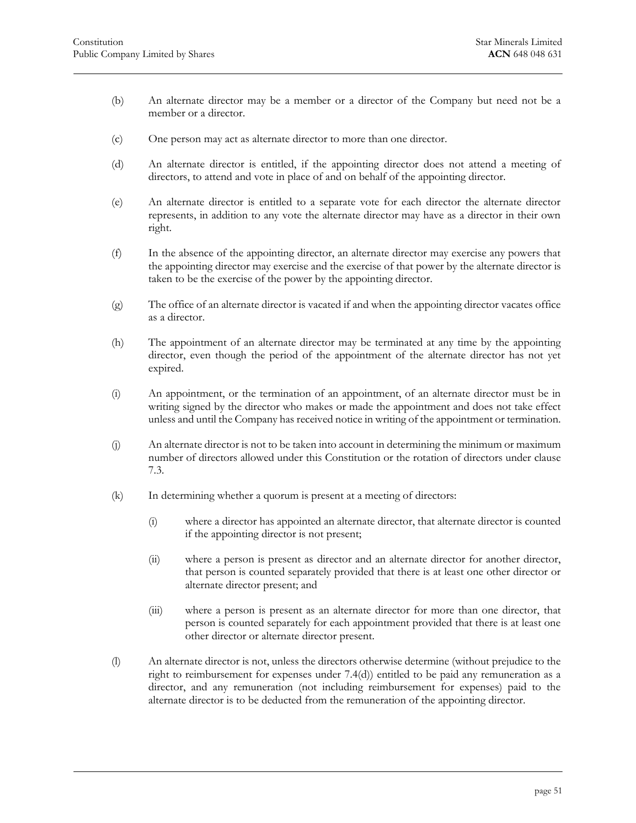- (b) An alternate director may be a member or a director of the Company but need not be a member or a director.
- (c) One person may act as alternate director to more than one director.
- (d) An alternate director is entitled, if the appointing director does not attend a meeting of directors, to attend and vote in place of and on behalf of the appointing director.
- (e) An alternate director is entitled to a separate vote for each director the alternate director represents, in addition to any vote the alternate director may have as a director in their own right.
- (f) In the absence of the appointing director, an alternate director may exercise any powers that the appointing director may exercise and the exercise of that power by the alternate director is taken to be the exercise of the power by the appointing director.
- (g) The office of an alternate director is vacated if and when the appointing director vacates office as a director.
- (h) The appointment of an alternate director may be terminated at any time by the appointing director, even though the period of the appointment of the alternate director has not yet expired.
- (i) An appointment, or the termination of an appointment, of an alternate director must be in writing signed by the director who makes or made the appointment and does not take effect unless and until the Company has received notice in writing of the appointment or termination.
- (j) An alternate director is not to be taken into account in determining the minimum or maximum number of directors allowed under this Constitution or the rotation of directors under [clause](#page-42-0)  [7.3.](#page-42-0)
- (k) In determining whether a quorum is present at a meeting of directors:
	- (i) where a director has appointed an alternate director, that alternate director is counted if the appointing director is not present;
	- (ii) where a person is present as director and an alternate director for another director, that person is counted separately provided that there is at least one other director or alternate director present; and
	- (iii) where a person is present as an alternate director for more than one director, that person is counted separately for each appointment provided that there is at least one other director or alternate director present.
- (l) An alternate director is not, unless the directors otherwise determine (without prejudice to the right to reimbursement for expenses under [7.4\(d\)\)](#page-43-3) entitled to be paid any remuneration as a director, and any remuneration (not including reimbursement for expenses) paid to the alternate director is to be deducted from the remuneration of the appointing director.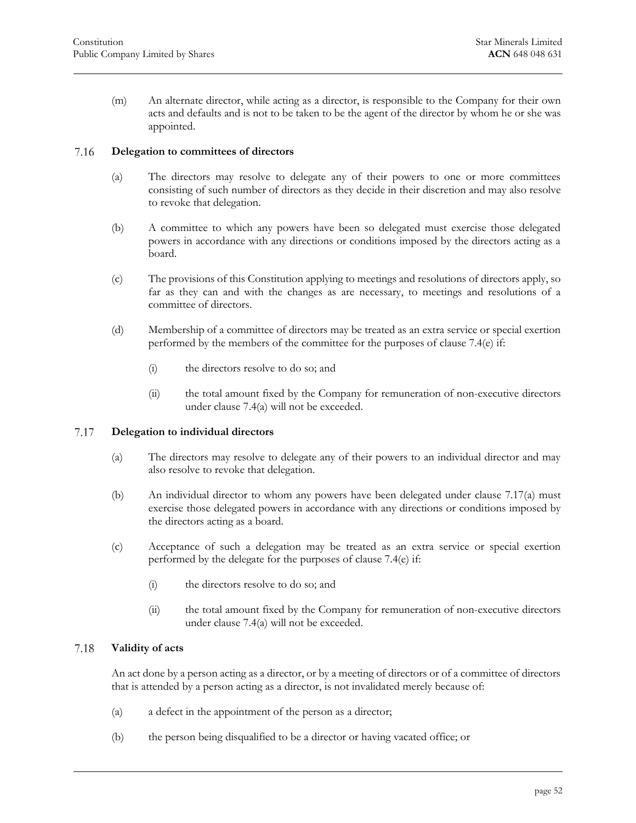(m) An alternate director, while acting as a director, is responsible to the Company for their own acts and defaults and is not to be taken to be the agent of the director by whom he or she was appointed.

#### <span id="page-52-0"></span>**Delegation to committees of directors** 7.16

- (a) The directors may resolve to delegate any of their powers to one or more committees consisting of such number of directors as they decide in their discretion and may also resolve to revoke that delegation.
- (b) A committee to which any powers have been so delegated must exercise those delegated powers in accordance with any directions or conditions imposed by the directors acting as a board.
- (c) The provisions of this Constitution applying to meetings and resolutions of directors apply, so far as they can and with the changes as are necessary, to meetings and resolutions of a committee of directors.
- (d) Membership of a committee of directors may be treated as an extra service or special exertion performed by the members of the committee for the purposes of [clause 7.4\(e\)](#page-43-2) if:
	- (i) the directors resolve to do so; and
	- (ii) the total amount fixed by the Company for remuneration of non-executive directors under [clause 7.4\(a\)](#page-42-4) will not be exceeded.

#### <span id="page-52-3"></span><span id="page-52-1"></span>7.17 **Delegation to individual directors**

- (a) The directors may resolve to delegate any of their powers to an individual director and may also resolve to revoke that delegation.
- (b) An individual director to whom any powers have been delegated under [clause 7.17\(a\)](#page-52-3) must exercise those delegated powers in accordance with any directions or conditions imposed by the directors acting as a board.
- (c) Acceptance of such a delegation may be treated as an extra service or special exertion performed by the delegate for the purposes of [clause 7.4\(e\)](#page-43-2) if:
	- (i) the directors resolve to do so; and
	- (ii) the total amount fixed by the Company for remuneration of non-executive directors under [clause 7.4\(a\)](#page-42-4) will not be exceeded.

#### <span id="page-52-2"></span>7.18 **Validity of acts**

An act done by a person acting as a director, or by a meeting of directors or of a committee of directors that is attended by a person acting as a director, is not invalidated merely because of:

- (a) a defect in the appointment of the person as a director;
- (b) the person being disqualified to be a director or having vacated office; or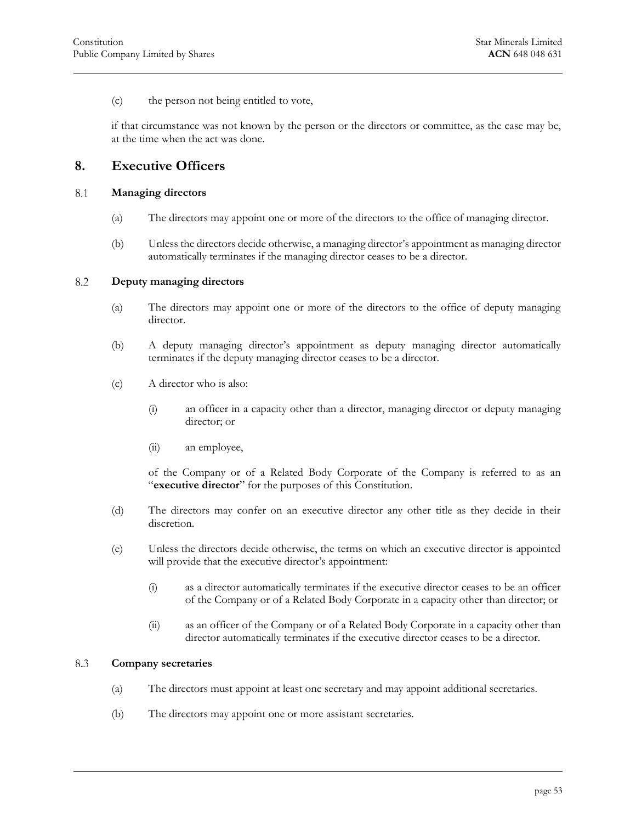(c) the person not being entitled to vote,

<span id="page-53-0"></span>if that circumstance was not known by the person or the directors or committee, as the case may be, at the time when the act was done.

### **8. Executive Officers**

#### <span id="page-53-1"></span>8.1 **Managing directors**

- (a) The directors may appoint one or more of the directors to the office of managing director.
- <span id="page-53-2"></span>(b) Unless the directors decide otherwise, a managing director's appointment as managing director automatically terminates if the managing director ceases to be a director.

#### 8.2 **Deputy managing directors**

- (a) The directors may appoint one or more of the directors to the office of deputy managing director.
- (b) A deputy managing director's appointment as deputy managing director automatically terminates if the deputy managing director ceases to be a director.
- (c) A director who is also:
	- (i) an officer in a capacity other than a director, managing director or deputy managing director; or
	- (ii) an employee,

of the Company or of a Related Body Corporate of the Company is referred to as an "**executive director**" for the purposes of this Constitution.

- (d) The directors may confer on an executive director any other title as they decide in their discretion.
- (e) Unless the directors decide otherwise, the terms on which an executive director is appointed will provide that the executive director's appointment:
	- (i) as a director automatically terminates if the executive director ceases to be an officer of the Company or of a Related Body Corporate in a capacity other than director; or
	- (ii) as an officer of the Company or of a Related Body Corporate in a capacity other than director automatically terminates if the executive director ceases to be a director.

#### <span id="page-53-3"></span>8.3 **Company secretaries**

- (a) The directors must appoint at least one secretary and may appoint additional secretaries.
- (b) The directors may appoint one or more assistant secretaries.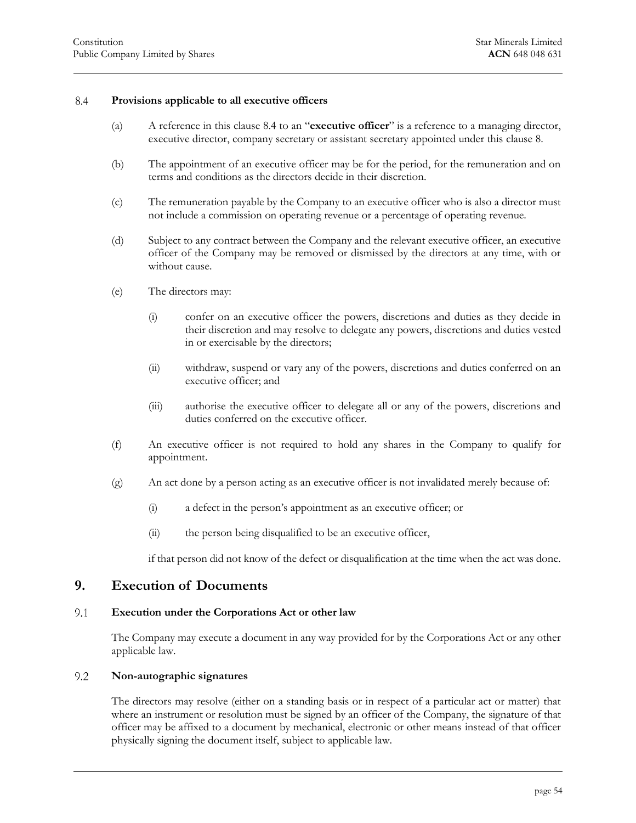#### <span id="page-54-4"></span>8.4 **Provisions applicable to all executive officers**

- <span id="page-54-0"></span>(a) A reference in this [clause 8.4](#page-54-0) to an "**executive officer**" is a reference to a managing director, executive director, company secretary or assistant secretary appointed under this [clause 8.](#page-53-0)
- (b) The appointment of an executive officer may be for the period, for the remuneration and on terms and conditions as the directors decide in their discretion.
- (c) The remuneration payable by the Company to an executive officer who is also a director must not include a commission on operating revenue or a percentage of operating revenue.
- (d) Subject to any contract between the Company and the relevant executive officer, an executive officer of the Company may be removed or dismissed by the directors at any time, with or without cause.
- (e) The directors may:
	- (i) confer on an executive officer the powers, discretions and duties as they decide in their discretion and may resolve to delegate any powers, discretions and duties vested in or exercisable by the directors;
	- (ii) withdraw, suspend or vary any of the powers, discretions and duties conferred on an executive officer; and
	- (iii) authorise the executive officer to delegate all or any of the powers, discretions and duties conferred on the executive officer.
- (f) An executive officer is not required to hold any shares in the Company to qualify for appointment.
- (g) An act done by a person acting as an executive officer is not invalidated merely because of:
	- (i) a defect in the person's appointment as an executive officer; or
	- (ii) the person being disqualified to be an executive officer,

if that person did not know of the defect or disqualification at the time when the act was done.

### <span id="page-54-1"></span>**9. Execution of Documents**

#### <span id="page-54-2"></span>9.1 **Execution under the Corporations Act or other law**

<span id="page-54-3"></span>The Company may execute a document in any way provided for by the Corporations Act or any other applicable law.

#### $9.2$ **Non-autographic signatures**

The directors may resolve (either on a standing basis or in respect of a particular act or matter) that where an instrument or resolution must be signed by an officer of the Company, the signature of that officer may be affixed to a document by mechanical, electronic or other means instead of that officer physically signing the document itself, subject to applicable law.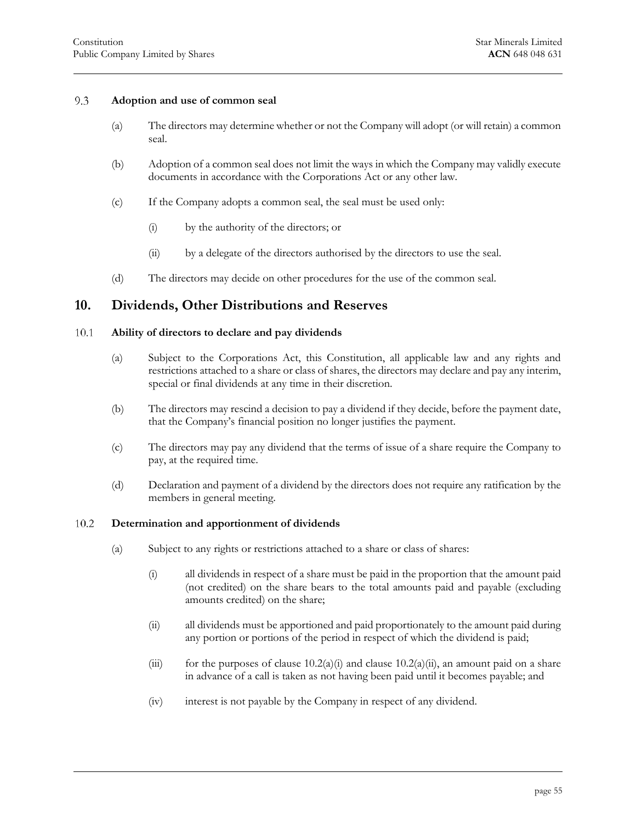#### 9.3 **Adoption and use of common seal**

- <span id="page-55-0"></span>(a) The directors may determine whether or not the Company will adopt (or will retain) a common seal.
- (b) Adoption of a common seal does not limit the ways in which the Company may validly execute documents in accordance with the Corporations Act or any other law.
- (c) If the Company adopts a common seal, the seal must be used only:
	- (i) by the authority of the directors; or
	- (ii) by a delegate of the directors authorised by the directors to use the seal.
- <span id="page-55-1"></span>(d) The directors may decide on other procedures for the use of the common seal.

### **10. Dividends, Other Distributions and Reserves**

#### <span id="page-55-2"></span>10.1 **Ability of directors to declare and pay dividends**

- (a) Subject to the Corporations Act, this Constitution, all applicable law and any rights and restrictions attached to a share or class of shares, the directors may declare and pay any interim, special or final dividends at any time in their discretion.
- (b) The directors may rescind a decision to pay a dividend if they decide, before the payment date, that the Company's financial position no longer justifies the payment.
- (c) The directors may pay any dividend that the terms of issue of a share require the Company to pay, at the required time.
- <span id="page-55-3"></span>(d) Declaration and payment of a dividend by the directors does not require any ratification by the members in general meeting.

#### <span id="page-55-4"></span>10.2 **Determination and apportionment of dividends**

- <span id="page-55-5"></span>(a) Subject to any rights or restrictions attached to a share or class of shares:
	- (i) all dividends in respect of a share must be paid in the proportion that the amount paid (not credited) on the share bears to the total amounts paid and payable (excluding amounts credited) on the share;
	- (ii) all dividends must be apportioned and paid proportionately to the amount paid during any portion or portions of the period in respect of which the dividend is paid;
	- (iii) for the purposes of clause  $10.2(a)(i)$  and clause  $10.2(a)(ii)$ , an amount paid on a share in advance of a call is taken as not having been paid until it becomes payable; and
	- (iv) interest is not payable by the Company in respect of any dividend.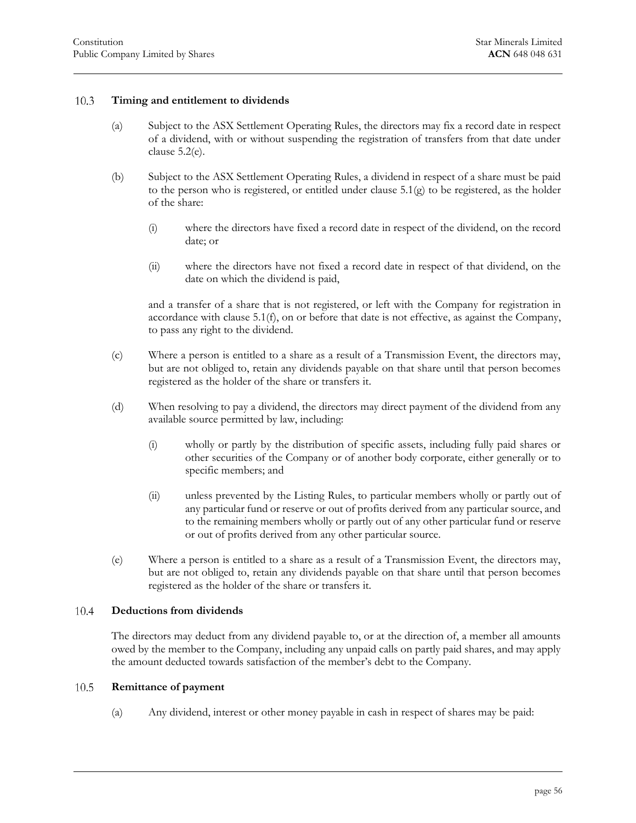#### <span id="page-56-3"></span>10.3 **Timing and entitlement to dividends**

- <span id="page-56-0"></span>(a) Subject to the ASX Settlement Operating Rules, the directors may fix a record date in respect of a dividend, with or without suspending the registration of transfers from that date under [clause 5.2\(e\).](#page-26-4)
- <span id="page-56-4"></span>(b) Subject to the ASX Settlement Operating Rules, a dividend in respect of a share must be paid to the person who is registered, or entitled under clause  $5.1(g)$  to be registered, as the holder of the share:
	- (i) where the directors have fixed a record date in respect of the dividend, on the record date; or
	- (ii) where the directors have not fixed a record date in respect of that dividend, on the date on which the dividend is paid,

and a transfer of a share that is not registered, or left with the Company for registration in accordance with [clause 5.1\(f\),](#page-25-5) on or before that date is not effective, as against the Company, to pass any right to the dividend.

- (c) Where a person is entitled to a share as a result of a Transmission Event, the directors may, but are not obliged to, retain any dividends payable on that share until that person becomes registered as the holder of the share or transfers it.
- (d) When resolving to pay a dividend, the directors may direct payment of the dividend from any available source permitted by law, including:
	- (i) wholly or partly by the distribution of specific assets, including fully paid shares or other securities of the Company or of another body corporate, either generally or to specific members; and
	- (ii) unless prevented by the Listing Rules, to particular members wholly or partly out of any particular fund or reserve or out of profits derived from any particular source, and to the remaining members wholly or partly out of any other particular fund or reserve or out of profits derived from any other particular source.
- (e) Where a person is entitled to a share as a result of a Transmission Event, the directors may, but are not obliged to, retain any dividends payable on that share until that person becomes registered as the holder of the share or transfers it.

#### <span id="page-56-1"></span>10.4 **Deductions from dividends**

The directors may deduct from any dividend payable to, or at the direction of, a member all amounts owed by the member to the Company, including any unpaid calls on partly paid shares, and may apply the amount deducted towards satisfaction of the member's debt to the Company.

#### <span id="page-56-2"></span>10.5 **Remittance of payment**

(a) Any dividend, interest or other money payable in cash in respect of shares may be paid: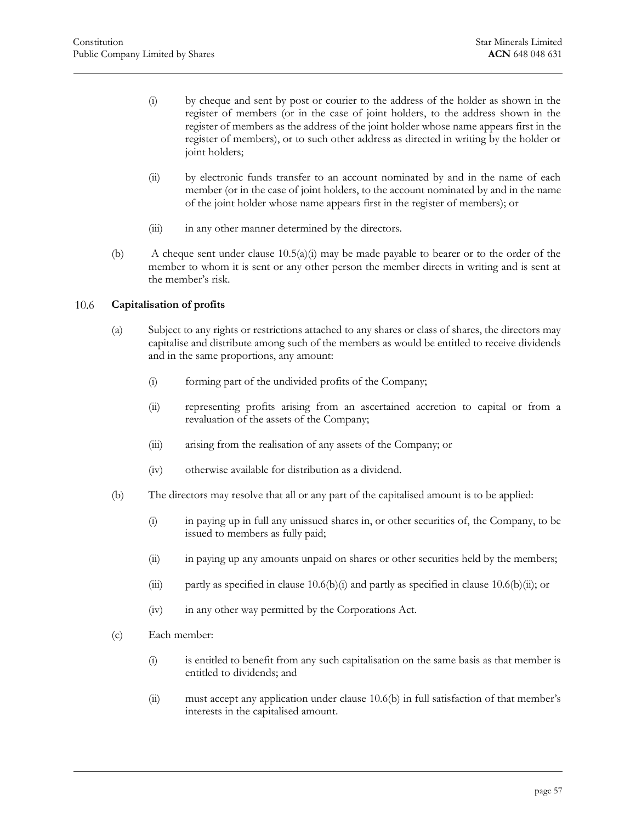- <span id="page-57-1"></span>(i) by cheque and sent by post or courier to the address of the holder as shown in the register of members (or in the case of joint holders, to the address shown in the register of members as the address of the joint holder whose name appears first in the register of members), or to such other address as directed in writing by the holder or joint holders;
- (ii) by electronic funds transfer to an account nominated by and in the name of each member (or in the case of joint holders, to the account nominated by and in the name of the joint holder whose name appears first in the register of members); or
- (iii) in any other manner determined by the directors.
- (b) A cheque sent under clause  $10.5(a)(i)$  may be made payable to bearer or to the order of the member to whom it is sent or any other person the member directs in writing and is sent at the member's risk.

#### <span id="page-57-0"></span>10.6 **Capitalisation of profits**

- (a) Subject to any rights or restrictions attached to any shares or class of shares, the directors may capitalise and distribute among such of the members as would be entitled to receive dividends and in the same proportions, any amount:
	- (i) forming part of the undivided profits of the Company;
	- (ii) representing profits arising from an ascertained accretion to capital or from a revaluation of the assets of the Company;
	- (iii) arising from the realisation of any assets of the Company; or
	- (iv) otherwise available for distribution as a dividend.
- <span id="page-57-4"></span><span id="page-57-3"></span><span id="page-57-2"></span>(b) The directors may resolve that all or any part of the capitalised amount is to be applied:
	- (i) in paying up in full any unissued shares in, or other securities of, the Company, to be issued to members as fully paid;
	- (ii) in paying up any amounts unpaid on shares or other securities held by the members;
	- (iii) partly as specified in [clause 10.6\(b\)\(i\)](#page-57-2) and partly as specified in [clause 10.6\(b\)\(ii\);](#page-57-3) or
	- (iv) in any other way permitted by the Corporations Act.
- (c) Each member:
	- (i) is entitled to benefit from any such capitalisation on the same basis as that member is entitled to dividends; and
	- (ii) must accept any application under [clause 10.6\(b\)](#page-57-4) in full satisfaction of that member's interests in the capitalised amount.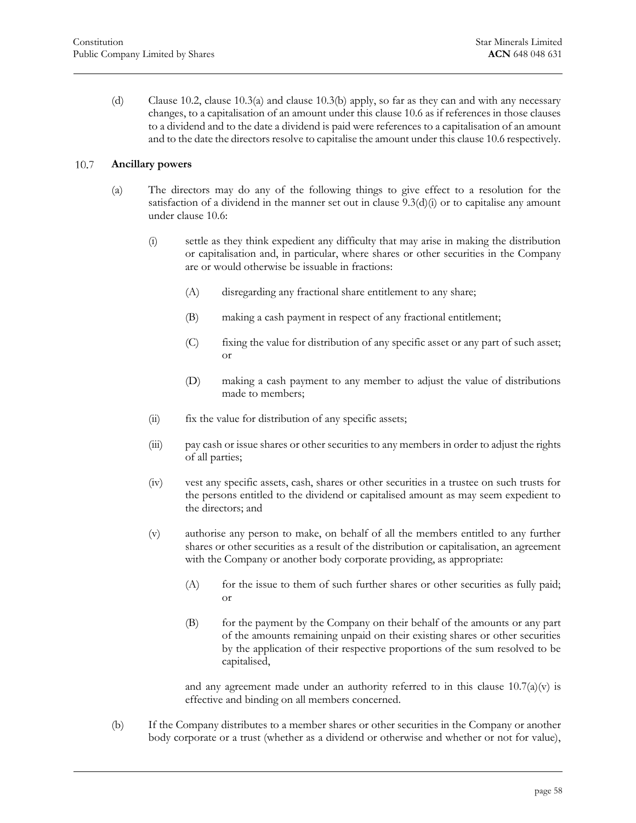(d) [Clause 10.2,](#page-55-3) [clause 1](#page-56-3)0.3(a) and [clause 1](#page-56-4)0.3(b) apply, so far as they can and with any necessary changes, to a capit[alisation](#page-56-3) of an amo[unt unde](#page-56-4)r this [clause 10.6](#page-57-0) as if references in those clauses to a dividend and to the date a dividend is paid were references to a capitalisation of an amount and to the date the directors resolve to capitalise the amount under thi[s clause 10.6](#page-57-0) respectively.

#### <span id="page-58-0"></span>10.7 **Ancillary powers**

- (a) The directors may do any of the following things to give effect to a resolution for the satisfaction of a dividend in the manner set out in clause  $9.3(d)(i)$  or to capitalise any amount under [clause 10.6:](#page-57-0)
	- (i) settle as they think expedient any difficulty that may arise in making the distribution or capitalisation and, in particular, where shares or other securities in the Company are or would otherwise be issuable in fractions:
		- (A) disregarding any fractional share entitlement to any share;
		- (B) making a cash payment in respect of any fractional entitlement;
		- (C) fixing the value for distribution of any specific asset or any part of such asset; or
		- (D) making a cash payment to any member to adjust the value of distributions made to members;
	- (ii) fix the value for distribution of any specific assets;
	- (iii) pay cash or issue shares or other securities to any members in order to adjust the rights of all parties;
	- (iv) vest any specific assets, cash, shares or other securities in a trustee on such trusts for the persons entitled to the dividend or capitalised amount as may seem expedient to the directors; and
	- (v) authorise any person to make, on behalf of all the members entitled to any further shares or other securities as a result of the distribution or capitalisation, an agreement with the Company or another body corporate providing, as appropriate:
		- (A) for the issue to them of such further shares or other securities as fully paid; or
		- (B) for the payment by the Company on their behalf of the amounts or any part of the amounts remaining unpaid on their existing shares or other securities by the application of their respective proportions of the sum resolved to be capitalised,

<span id="page-58-1"></span>and any agreement made under an authority referred to in this clause  $10.7(a)(v)$  is effective and binding on all members concerned.

(b) If the Company distributes to a member shares or other securities in the Company or another body corporate or a trust (whether as a dividend or otherwise and whether or not for value),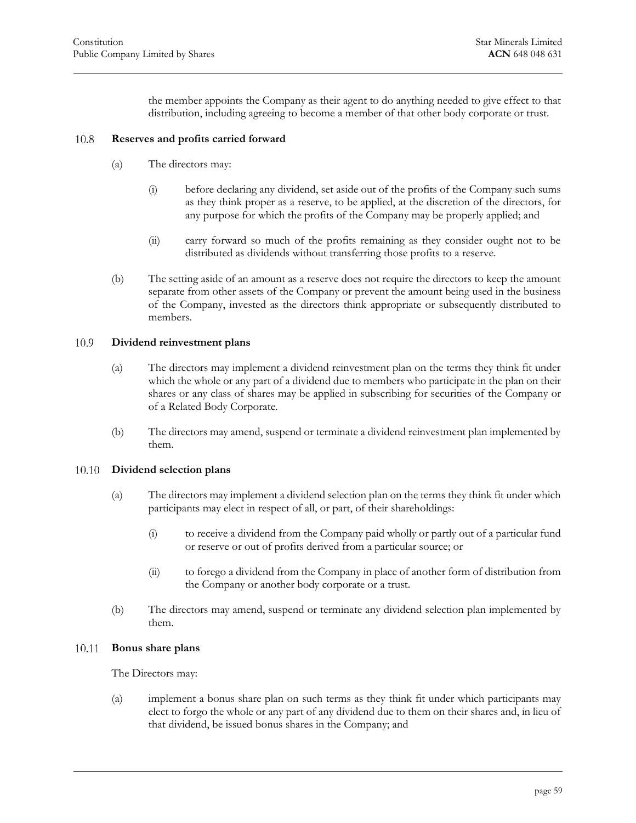the member appoints the Company as their agent to do anything needed to give effect to that distribution, including agreeing to become a member of that other body corporate or trust.

#### <span id="page-59-0"></span>10.8 **Reserves and profits carried forward**

- (a) The directors may:
	- (i) before declaring any dividend, set aside out of the profits of the Company such sums as they think proper as a reserve, to be applied, at the discretion of the directors, for any purpose for which the profits of the Company may be properly applied; and
	- (ii) carry forward so much of the profits remaining as they consider ought not to be distributed as dividends without transferring those profits to a reserve.
- (b) The setting aside of an amount as a reserve does not require the directors to keep the amount separate from other assets of the Company or prevent the amount being used in the business of the Company, invested as the directors think appropriate or subsequently distributed to members.

#### <span id="page-59-1"></span>10.9 **Dividend reinvestment plans**

- (a) The directors may implement a dividend reinvestment plan on the terms they think fit under which the whole or any part of a dividend due to members who participate in the plan on their shares or any class of shares may be applied in subscribing for securities of the Company or of a Related Body Corporate.
- <span id="page-59-2"></span>(b) The directors may amend, suspend or terminate a dividend reinvestment plan implemented by them.

#### **Dividend selection plans** 10.10

- (a) The directors may implement a dividend selection plan on the terms they think fit under which participants may elect in respect of all, or part, of their shareholdings:
	- (i) to receive a dividend from the Company paid wholly or partly out of a particular fund or reserve or out of profits derived from a particular source; or
	- (ii) to forego a dividend from the Company in place of another form of distribution from the Company or another body corporate or a trust.
- <span id="page-59-3"></span>(b) The directors may amend, suspend or terminate any dividend selection plan implemented by them.

#### **Bonus share plans** 10.11

The Directors may:

(a) implement a bonus share plan on such terms as they think fit under which participants may elect to forgo the whole or any part of any dividend due to them on their shares and, in lieu of that dividend, be issued bonus shares in the Company; and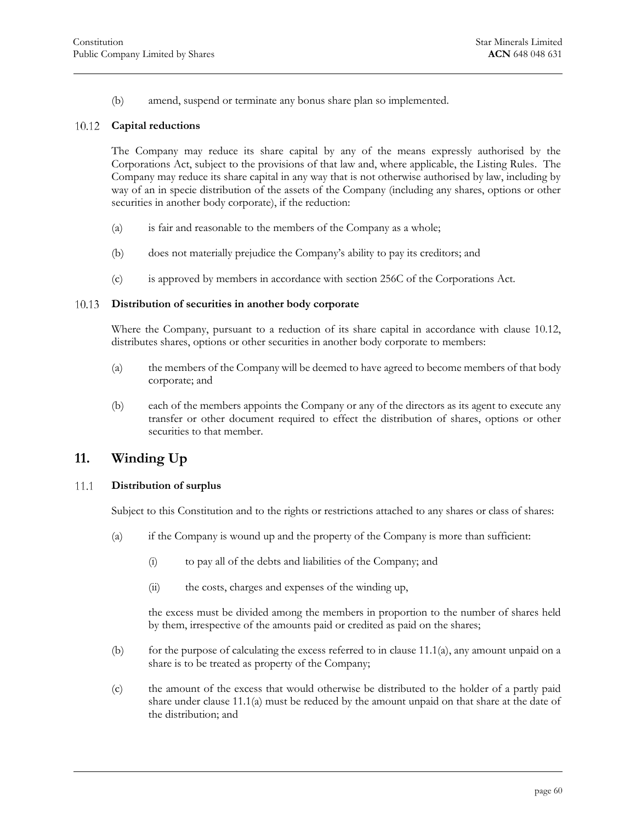<span id="page-60-0"></span>(b) amend, suspend or terminate any bonus share plan so implemented.

#### 10.12 **Capital reductions**

The Company may reduce its share capital by any of the means expressly authorised by the Corporations Act, subject to the provisions of that law and, where applicable, the Listing Rules. The Company may reduce its share capital in any way that is not otherwise authorised by law, including by way of an in specie distribution of the assets of the Company (including any shares, options or other securities in another body corporate), if the reduction:

- (a) is fair and reasonable to the members of the Company as a whole;
- (b) does not materially prejudice the Company's ability to pay its creditors; and
- <span id="page-60-1"></span>(c) is approved by members in accordance with section 256C of the Corporations Act.

#### **Distribution of securities in another body corporate** 10.13

Where the Company, pursuant to a reduction of its share capital in accordance with [clause 10.12,](#page-60-0) distributes shares, options or other securities in another body corporate to members:

- (a) the members of the Company will be deemed to have agreed to become members of that body corporate; and
- (b) each of the members appoints the Company or any of the directors as its agent to execute any transfer or other document required to effect the distribution of shares, options or other securities to that member.

# <span id="page-60-2"></span>**11. Winding Up**

#### <span id="page-60-4"></span><span id="page-60-3"></span>11.1 **Distribution of surplus**

Subject to this Constitution and to the rights or restrictions attached to any shares or class of shares:

- (a) if the Company is wound up and the property of the Company is more than sufficient:
	- (i) to pay all of the debts and liabilities of the Company; and
	- (ii) the costs, charges and expenses of the winding up,

the excess must be divided among the members in proportion to the number of shares held by them, irrespective of the amounts paid or credited as paid on the shares;

- (b) for the purpose of calculating the excess referred to in [clause 11.1\(a\),](#page-60-4) any amount unpaid on a share is to be treated as property of the Company;
- <span id="page-60-5"></span>(c) the amount of the excess that would otherwise be distributed to the holder of a partly paid share under [clause 11.1\(a\)](#page-60-4) must be reduced by the amount unpaid on that share at the date of the distribution; and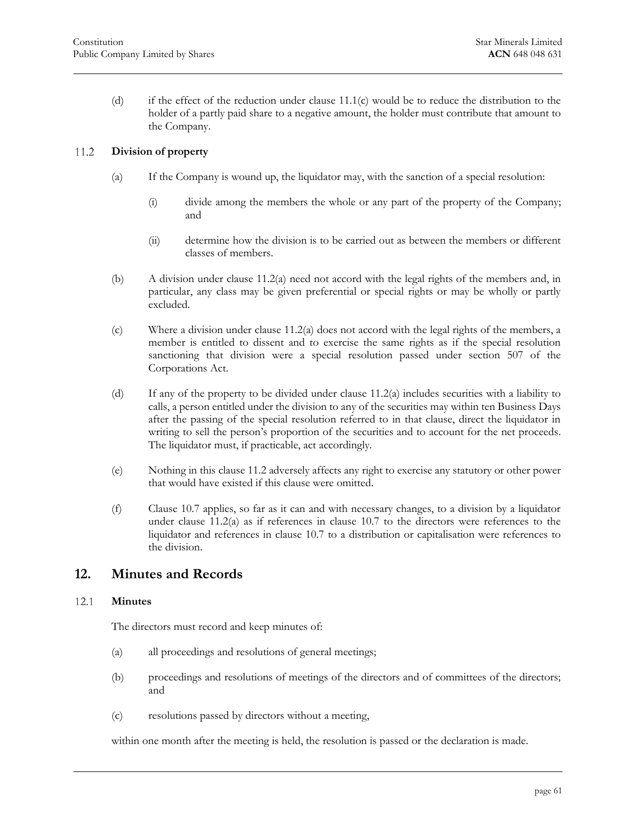(d) if the effect of the reduction under [clause 1](#page-60-5)1.1(c) would be to reduce the distribution to the holder of a partly paid share to a negative [amount,](#page-60-5) the holder must contribute that amount to the Company.

#### <span id="page-61-3"></span><span id="page-61-0"></span>11.2 **Division of property**

- (a) If the Company is wound up, the liquidator may, with the sanction of a special resolution:
	- (i) divide among the members the whole or any part of the property of the Company; and
	- (ii) determine how the division is to be carried out as between the members or different classes of members.
- (b) A division under [clause 11.2\(a\)](#page-61-3) need not accord with the legal rights of the members and, in particular, any class may be given preferential or special rights or may be wholly or partly excluded.
- (c) Where a division under [clause 11.2\(a\)](#page-61-3) does not accord with the legal rights of the members, a member is entitled to dissent and to exercise the same rights as if the special resolution sanctioning that division were a special resolution passed under section 507 of the Corporations Act.
- (d) If any of the property to be divided under [clause 11.2\(a\)](#page-61-3) includes securities with a liability to calls, a person entitled under the division to any of the securities may within ten Business Days after the passing of the special resolution referred to in that clause, direct the liquidator in writing to sell the person's proportion of the securities and to account for the net proceeds. The liquidator must, if practicable, act accordingly.
- (e) Nothing in this [clause 11.2](#page-61-0) adversely affects any right to exercise any statutory or other power that would have existed if this clause were omitted.
- (f) [Clause 10.7](#page-58-0) applies, so far as it can and with necessary changes, to a division by a liquidator under clause  $11.2(a)$  as if references in clause  $10.7$  to the directors were references to the liquidator and references in [clause 10.7](#page-58-0) to a distribution or capitalisation were references to the division.

# <span id="page-61-1"></span>**12. Minutes and Records**

#### <span id="page-61-2"></span>12.1 **Minutes**

The directors must record and keep minutes of:

- (a) all proceedings and resolutions of general meetings;
- (b) proceedings and resolutions of meetings of the directors and of committees of the directors; and
- (c) resolutions passed by directors without a meeting,

within one month after the meeting is held, the resolution is passed or the declaration is made.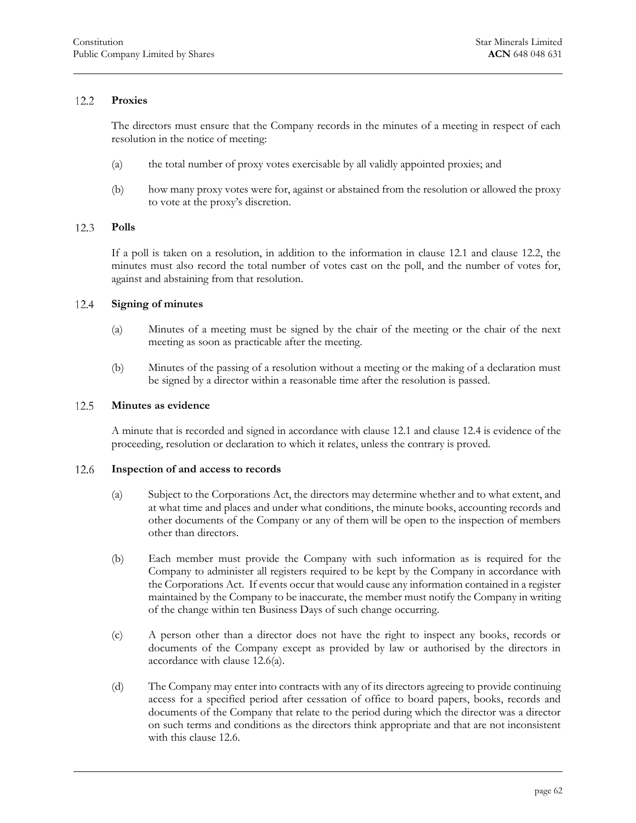#### 12.2 **Proxies**

<span id="page-62-0"></span>The directors must ensure that the Company records in the minutes of a meeting in respect of each resolution in the notice of meeting:

- (a) the total number of proxy votes exercisable by all validly appointed proxies; and
- <span id="page-62-1"></span>(b) how many proxy votes were for, against or abstained from the resolution or allowed the proxy to vote at the proxy's discretion.

#### **Polls** 12.3

If a poll is taken on a resolution, in addition to the information in [clause 12.1](#page-61-2) and [clause 12.2,](#page-62-0) the minutes must also record the total number of votes cast on the poll, and the number of votes for, against and abstaining from that resolution.

#### <span id="page-62-2"></span>12.4 **Signing of minutes**

- (a) Minutes of a meeting must be signed by the chair of the meeting or the chair of the next meeting as soon as practicable after the meeting.
- <span id="page-62-3"></span>(b) Minutes of the passing of a resolution without a meeting or the making of a declaration must be signed by a director within a reasonable time after the resolution is passed.

#### 12.5 **Minutes as evidence**

<span id="page-62-4"></span>A minute that is recorded and signed in accordance with [clause 12.1](#page-61-2) and [clause 12.4](#page-62-2) is evidence of the proceeding, resolution or declaration to which it relates, unless the contrary is proved.

#### <span id="page-62-5"></span>12.6 **Inspection of and access to records**

- (a) Subject to the Corporations Act, the directors may determine whether and to what extent, and at what time and places and under what conditions, the minute books, accounting records and other documents of the Company or any of them will be open to the inspection of members other than directors.
- (b) Each member must provide the Company with such information as is required for the Company to administer all registers required to be kept by the Company in accordance with the Corporations Act. If events occur that would cause any information contained in a register maintained by the Company to be inaccurate, the member must notify the Company in writing of the change within ten Business Days of such change occurring.
- (c) A person other than a director does not have the right to inspect any books, records or documents of the Company except as provided by law or authorised by the directors in accordance wit[h clause 12.6\(a\).](#page-62-5)
- <span id="page-62-6"></span>(d) The Company may enter into contracts with any of its directors agreeing to provide continuing access for a specified period after cessation of office to board papers, books, records and documents of the Company that relate to the period during which the director was a director on such terms and conditions as the directors think appropriate and that are not inconsistent with this [clause 12.6.](#page-62-4)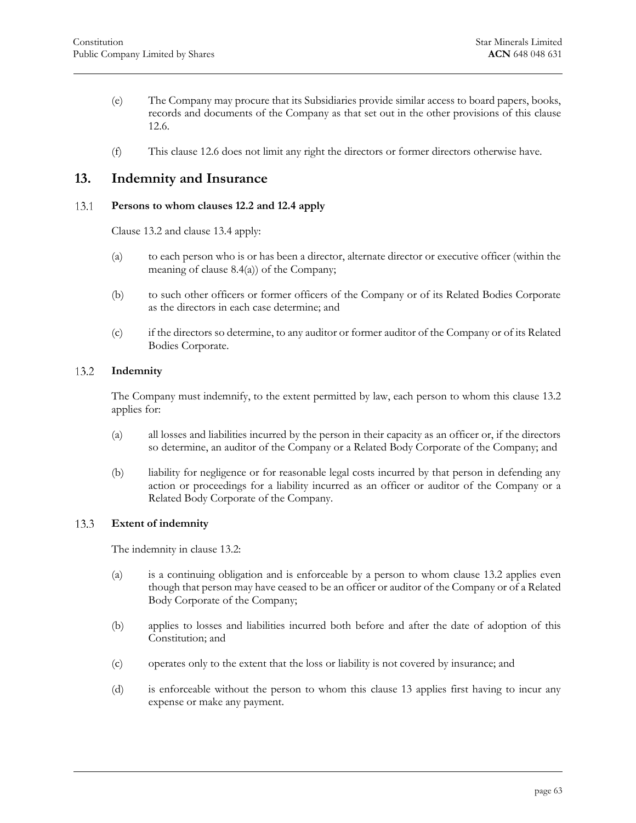- (e) The Company may procure that its Subsidiaries provide similar access to board papers, books, records and documents of the Company as that set out in the other provisions of this [clause](#page-62-4)  [12.6.](#page-62-4)
- <span id="page-63-0"></span>(f) This [clause 12.6](#page-62-4) does not limit any right the directors or former directors otherwise have.

# **13. Indemnity and Insurance**

#### <span id="page-63-1"></span>13.1 **Persons to whom clauses 12.2 and 12.4 apply**

[Clause 13.2](#page-63-2) and [clause 13.4](#page-64-0) apply:

- (a) to each person who is or has been a director, alternate director or executive officer (within the meaning of [clause 8.4\(a\)\)](#page-54-4) of the Company;
- (b) to such other officers or former officers of the Company or of its Related Bodies Corporate as the directors in each case determine; and
- <span id="page-63-2"></span>(c) if the directors so determine, to any auditor or former auditor of the Company or of its Related Bodies Corporate.

#### 13.2 **Indemnity**

The Company must indemnify, to the extent permitted by law, each person to whom this [clause 13.2](#page-63-2) applies for:

- (a) all losses and liabilities incurred by the person in their capacity as an officer or, if the directors so determine, an auditor of the Company or a Related Body Corporate of the Company; and
- (b) liability for negligence or for reasonable legal costs incurred by that person in defending any action or proceedings for a liability incurred as an officer or auditor of the Company or a Related Body Corporate of the Company.

#### <span id="page-63-3"></span>13.3 **Extent of indemnity**

The indemnity in [clause 13.2:](#page-63-2)

- (a) is a continuing obligation and is enforceable by a person to whom [clause 13.2](#page-63-2) applies even though that person may have ceased to be an officer or auditor of the Company or of a Related Body Corporate of the Company;
- (b) applies to losses and liabilities incurred both before and after the date of adoption of this Constitution; and
- (c) operates only to the extent that the loss or liability is not covered by insurance; and
- (d) is enforceable without the person to whom this [clause 13](#page-63-0) applies first having to incur any expense or make any payment.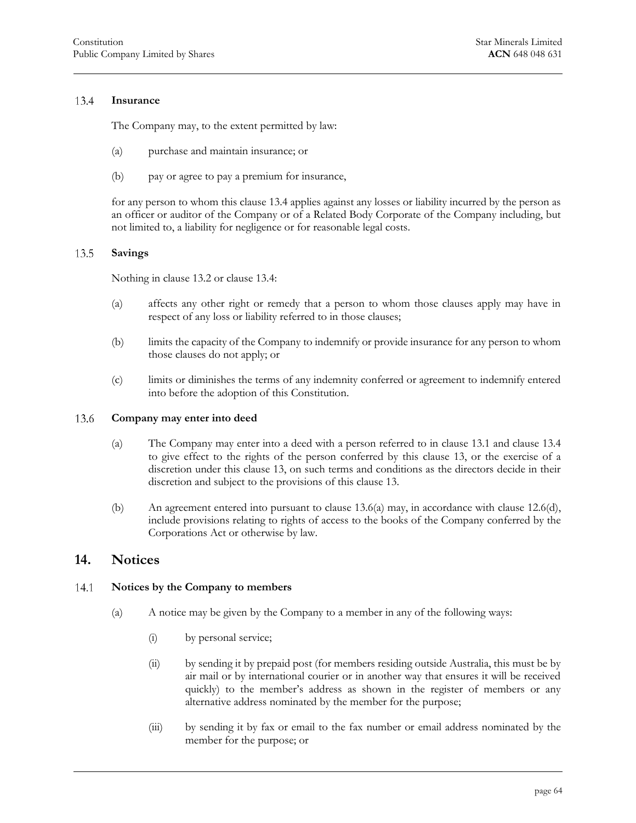#### 13.4 **Insurance**

<span id="page-64-0"></span>The Company may, to the extent permitted by law:

- (a) purchase and maintain insurance; or
- (b) pay or agree to pay a premium for insurance,

for any person to whom this [clause 13.4](#page-64-0) applies against any losses or liability incurred by the person as an officer or auditor of the Company or of a Related Body Corporate of the Company including, but not limited to, a liability for negligence or for reasonable legal costs.

#### <span id="page-64-1"></span>13.5 **Savings**

Nothing in [clause 13.2](#page-63-2) or [clause 13.4:](#page-64-0)

- (a) affects any other right or remedy that a person to whom those clauses apply may have in respect of any loss or liability referred to in those clauses;
- (b) limits the capacity of the Company to indemnify or provide insurance for any person to whom those clauses do not apply; or
- <span id="page-64-2"></span>(c) limits or diminishes the terms of any indemnity conferred or agreement to indemnify entered into before the adoption of this Constitution.

#### <span id="page-64-5"></span>13.6 **Company may enter into deed**

- (a) The Company may enter into a deed with a person referred to in [clause 13.1](#page-63-1) and [clause 13.4](#page-64-0) to give effect to the rights of the person conferred by this [clause 13,](#page-63-0) or the exercise of a discretion under this [clause 13,](#page-63-0) on such terms and conditions as the directors decide in their discretion and subject to the provisions of this [clause 13.](#page-63-0)
- (b) An agreement entered into pursuant to [clause 13.6\(a\)](#page-64-5) may, in accordance with [clause 12.6\(d\),](#page-62-6) include provisions relating to rights of access to the books of the Company conferred by the Corporations Act or otherwise by law.

### <span id="page-64-3"></span>**14. Notices**

#### <span id="page-64-6"></span><span id="page-64-4"></span>14.1 **Notices by the Company to members**

- (a) A notice may be given by the Company to a member in any of the following ways:
	- (i) by personal service;
	- (ii) by sending it by prepaid post (for members residing outside Australia, this must be by air mail or by international courier or in another way that ensures it will be received quickly) to the member's address as shown in the register of members or any alternative address nominated by the member for the purpose;
	- (iii) by sending it by fax or email to the fax number or email address nominated by the member for the purpose; or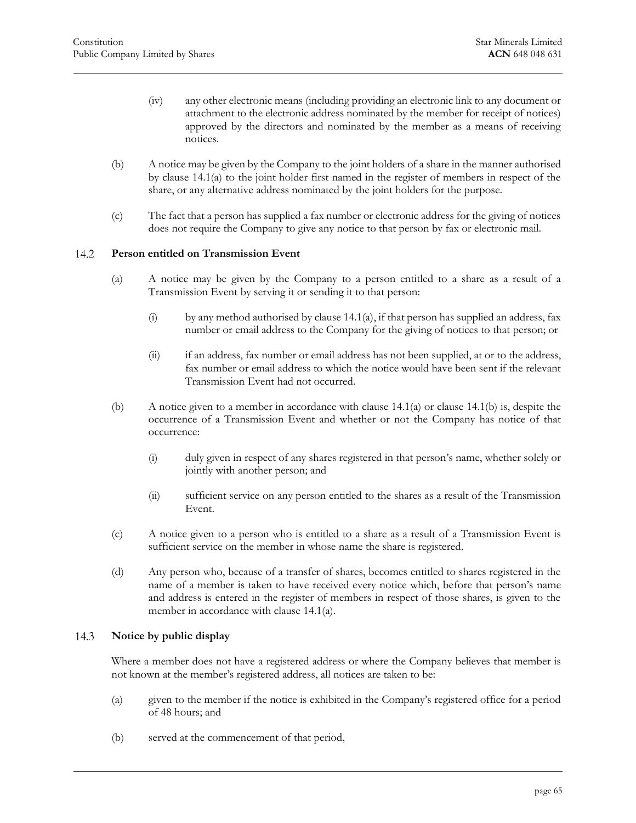- (iv) any other electronic means (including providing an electronic link to any document or attachment to the electronic address nominated by the member for receipt of notices) approved by the directors and nominated by the member as a means of receiving notices.
- <span id="page-65-2"></span>(b) A notice may be given by the Company to the joint holders of a share in the manner authorised by [clause 14.1\(a\)](#page-64-6) to the joint holder first named in the register of members in respect of the share, or any alternative address nominated by the joint holders for the purpose.
- <span id="page-65-0"></span>(c) The fact that a person has supplied a fax number or electronic address for the giving of notices does not require the Company to give any notice to that person by fax or electronic mail.

#### 14.2 **Person entitled on Transmission Event**

- (a) A notice may be given by the Company to a person entitled to a share as a result of a Transmission Event by serving it or sending it to that person:
	- (i) by any method authorised by clause  $14.1(a)$ , if that person has supplied an address, fax number or email address to the Company for the giving of notices to that person; or
	- (ii) if an address, fax number or email address has not been supplied, at or to the address, fax number or email address to which the notice would have been sent if the relevant Transmission Event had not occurred.
- (b) A notice given to a member in accordance with [clause 14.1\(a\)](#page-64-6) or [clause 14.1\(b\)](#page-65-2) is, despite the occurrence of a Transmission Event and whether or not the Company has notice of that occurrence:
	- (i) duly given in respect of any shares registered in that person's name, whether solely or jointly with another person; and
	- (ii) sufficient service on any person entitled to the shares as a result of the Transmission Event.
- (c) A notice given to a person who is entitled to a share as a result of a Transmission Event is sufficient service on the member in whose name the share is registered.
- (d) Any person who, because of a transfer of shares, becomes entitled to shares registered in the name of a member is taken to have received every notice which, before that person's name and address is entered in the register of members in respect of those shares, is given to the member in accordance with [clause 14.1\(a\).](#page-64-6)

#### <span id="page-65-1"></span>14.3 **Notice by public display**

Where a member does not have a registered address or where the Company believes that member is not known at the member's registered address, all notices are taken to be:

- (a) given to the member if the notice is exhibited in the Company's registered office for a period of 48 hours; and
- (b) served at the commencement of that period,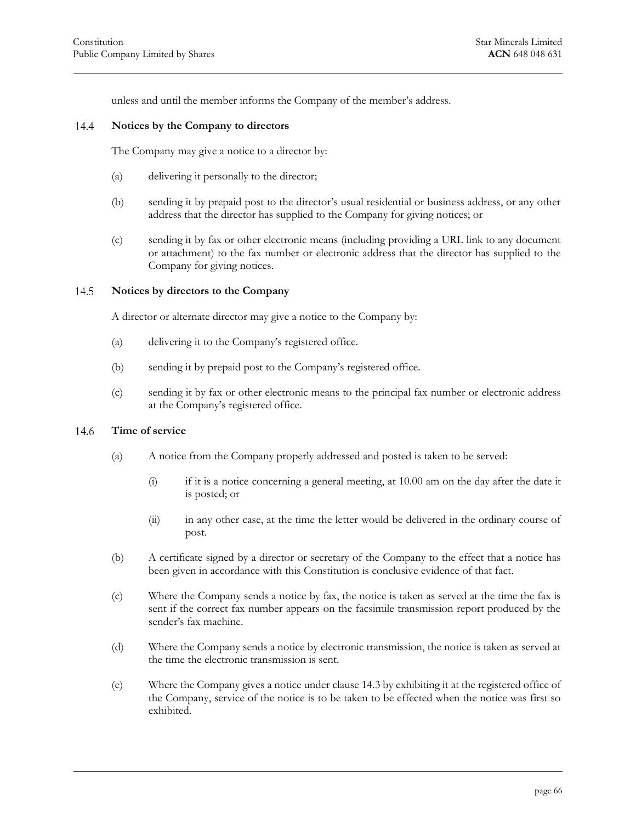<span id="page-66-0"></span>unless and until the member informs the Company of the member's address.

#### **Notices by the Company to directors** 14.4

The Company may give a notice to a director by:

- (a) delivering it personally to the director;
- (b) sending it by prepaid post to the director's usual residential or business address, or any other address that the director has supplied to the Company for giving notices; or
- (c) sending it by fax or other electronic means (including providing a URL link to any document or attachment) to the fax number or electronic address that the director has supplied to the Company for giving notices.

#### <span id="page-66-1"></span>14.5 **Notices by directors to the Company**

A director or alternate director may give a notice to the Company by:

- (a) delivering it to the Company's registered office.
- (b) sending it by prepaid post to the Company's registered office.
- <span id="page-66-2"></span>(c) sending it by fax or other electronic means to the principal fax number or electronic address at the Company's registered office.

#### **Time of service** 14.6

- (a) A notice from the Company properly addressed and posted is taken to be served:
	- (i) if it is a notice concerning a general meeting, at 10.00 am on the day after the date it is posted; or
	- (ii) in any other case, at the time the letter would be delivered in the ordinary course of post.
- (b) A certificate signed by a director or secretary of the Company to the effect that a notice has been given in accordance with this Constitution is conclusive evidence of that fact.
- (c) Where the Company sends a notice by fax, the notice is taken as served at the time the fax is sent if the correct fax number appears on the facsimile transmission report produced by the sender's fax machine.
- (d) Where the Company sends a notice by electronic transmission, the notice is taken as served at the time the electronic transmission is sent.
- (e) Where the Company gives a notice under clause [14.3](#page-65-1) by exhibiting it at the registered office of the Company, service of the notice is to be taken to be effected when the notice was first so exhibited.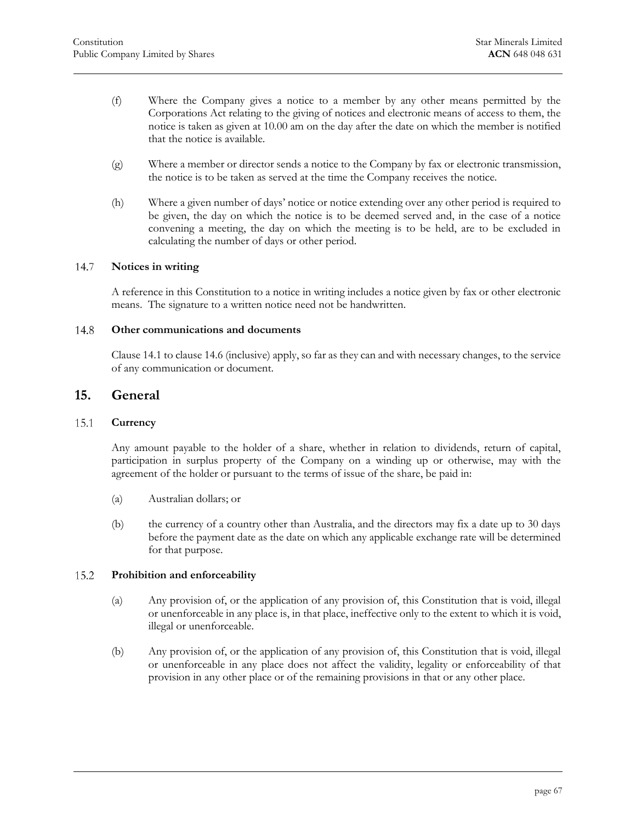- (f) Where the Company gives a notice to a member by any other means permitted by the Corporations Act relating to the giving of notices and electronic means of access to them, the notice is taken as given at 10.00 am on the day after the date on which the member is notified that the notice is available.
- (g) Where a member or director sends a notice to the Company by fax or electronic transmission, the notice is to be taken as served at the time the Company receives the notice.
- (h) Where a given number of days' notice or notice extending over any other period is required to be given, the day on which the notice is to be deemed served and, in the case of a notice convening a meeting, the day on which the meeting is to be held, are to be excluded in calculating the number of days or other period.

#### <span id="page-67-0"></span>14.7 **Notices in writing**

<span id="page-67-1"></span>A reference in this Constitution to a notice in writing includes a notice given by fax or other electronic means. The signature to a written notice need not be handwritten.

#### 14.8 **Other communications and documents**

<span id="page-67-2"></span>[Clause 14.1](#page-64-4) to clause [14.6](#page-66-2) (inclusive) apply, so far as they can and with necessary changes, to the service of any communication or document.

### **15. General**

#### <span id="page-67-3"></span>15.1 **Currency**

Any amount payable to the holder of a share, whether in relation to dividends, return of capital, participation in surplus property of the Company on a winding up or otherwise, may with the agreement of the holder or pursuant to the terms of issue of the share, be paid in:

- (a) Australian dollars; or
- (b) the currency of a country other than Australia, and the directors may fix a date up to 30 days before the payment date as the date on which any applicable exchange rate will be determined for that purpose.

#### <span id="page-67-4"></span>15.2 **Prohibition and enforceability**

- (a) Any provision of, or the application of any provision of, this Constitution that is void, illegal or unenforceable in any place is, in that place, ineffective only to the extent to which it is void, illegal or unenforceable.
- (b) Any provision of, or the application of any provision of, this Constitution that is void, illegal or unenforceable in any place does not affect the validity, legality or enforceability of that provision in any other place or of the remaining provisions in that or any other place.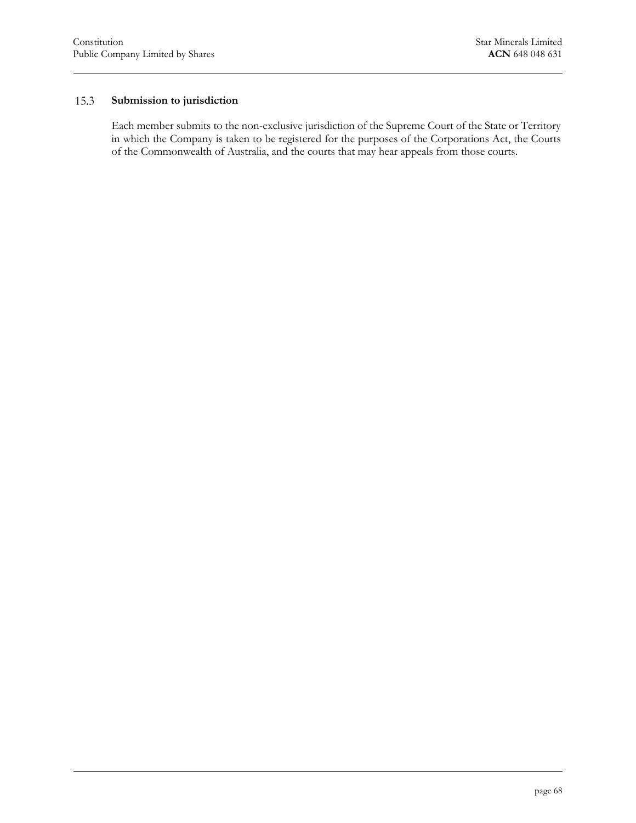#### **Submission to jurisdiction** 15.3

<span id="page-68-0"></span>Each member submits to the non-exclusive jurisdiction of the Supreme Court of the State or Territory in which the Company is taken to be registered for the purposes of the Corporations Act, the Courts of the Commonwealth of Australia, and the courts that may hear appeals from those courts.